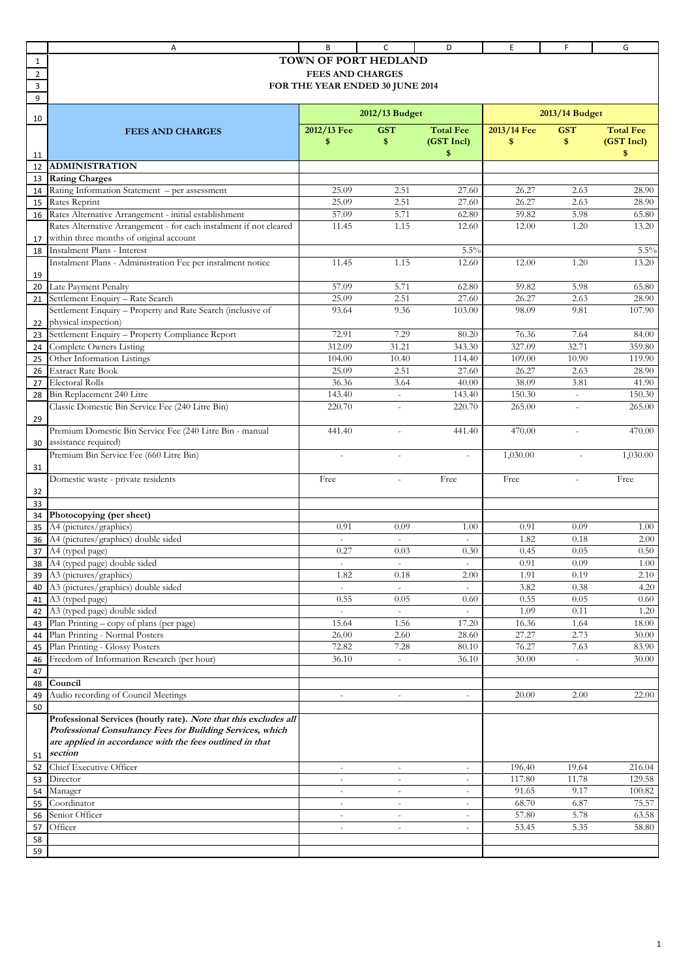|                | Α                                                                  | B                               | с                        | D                        | Ε           | F              | G                |
|----------------|--------------------------------------------------------------------|---------------------------------|--------------------------|--------------------------|-------------|----------------|------------------|
| 1              |                                                                    | <b>TOWN OF PORT HEDLAND</b>     |                          |                          |             |                |                  |
| $\overline{2}$ |                                                                    | <b>FEES AND CHARGES</b>         |                          |                          |             |                |                  |
| 3              |                                                                    | FOR THE YEAR ENDED 30 JUNE 2014 |                          |                          |             |                |                  |
| 9              |                                                                    |                                 |                          |                          |             |                |                  |
|                |                                                                    |                                 | 2012/13 Budget           |                          |             | 2013/14 Budget |                  |
| 10             |                                                                    |                                 |                          |                          |             |                |                  |
|                | <b>FEES AND CHARGES</b>                                            | 2012/13 Fee                     | <b>GST</b>               | <b>Total Fee</b>         | 2013/14 Fee | <b>GST</b>     | <b>Total Fee</b> |
|                |                                                                    | \$                              | \$                       | (GST Incl)               | \$          | \$             | (GST Incl)       |
| 11             |                                                                    |                                 |                          | \$                       |             |                | \$               |
| 12             | <b>ADMINISTRATION</b>                                              |                                 |                          |                          |             |                |                  |
| 13             | <b>Rating Charges</b>                                              |                                 |                          |                          |             |                |                  |
| 14             | Rating Information Statement - per assessment                      | 25.09                           | 2.51                     | 27.60                    | 26.27       | 2.63           | 28.90            |
| 15             | Rates Reprint                                                      | 25.09                           | 2.51                     | 27.60                    | 26.27       | 2.63           | 28.90            |
| 16             | Rates Alternative Arrangement - initial establishment              | 57.09                           | 5.71                     | 62.80                    | 59.82       | 5.98           | 65.80            |
|                | Rates Alternative Arrangement - for each instalment if not cleared | 11.45                           | 1.15                     | 12.60                    | 12.00       | 1.20           | 13.20            |
| 17             | within three months of original account                            |                                 |                          |                          |             |                |                  |
| 18             | Instalment Plans - Interest                                        |                                 |                          | 5.5%                     |             |                | 5.5%             |
|                | Instalment Plans - Administration Fee per instalment notice        | 11.45                           | 1.15                     | 12.60                    | 12.00       | 1.20           | 13.20            |
| 19             |                                                                    |                                 |                          |                          |             |                |                  |
| 20             | Late Payment Penalty                                               | 57.09                           | 5.71                     | 62.80                    | 59.82       | 5.98           | 65.80            |
| 21             | Settlement Enquiry - Rate Search                                   | 25.09                           | 2.51                     | 27.60                    | 26.27       | 2.63           | 28.90            |
|                | Settlement Enquiry - Property and Rate Search (inclusive of        | 93.64                           | 9.36                     | 103.00                   | 98.09       | 9.81           | 107.90           |
| 22             | physical inspection)                                               |                                 |                          |                          |             |                |                  |
| 23             | Settlement Enquiry - Property Compliance Report                    | 72.91                           | 7.29                     | 80.20                    | 76.36       | 7.64           | 84.00            |
| 24             | Complete Owners Listing                                            | 312.09                          | 31.21                    | 343.30                   | 327.09      | 32.71          | 359.80           |
| 25             | Other Information Listings                                         | 104.00                          | 10.40                    | 114.40                   | 109.00      | 10.90          | 119.90           |
| 26             | <b>Extract Rate Book</b>                                           | 25.09                           | 2.51                     | 27.60                    | 26.27       | 2.63           | 28.90            |
| 27             | <b>Electoral Rolls</b>                                             | 36.36                           | 3.64                     | 40.00                    | 38.09       | 3.81           | 41.90            |
|                | Bin Replacement 240 Litre                                          | 143.40                          |                          | 143.40                   | 150.30      |                | 150.30           |
| 28             | Classic Domestic Bin Service Fee (240 Litre Bin)                   | 220.70                          | ÷.                       | 220.70                   | 265.00      | $\overline{a}$ | 265.00           |
|                |                                                                    |                                 |                          |                          |             |                |                  |
| 29             |                                                                    |                                 |                          |                          |             |                |                  |
|                | Premium Domestic Bin Service Fee (240 Litre Bin - manual           | 441.40                          |                          | 441.40                   | 470.00      |                | 470.00           |
| 30             | assistance required)                                               |                                 |                          |                          |             |                |                  |
|                | Premium Bin Service Fee (660 Litre Bin)                            | $\overline{a}$                  |                          | $\bar{a}$                | 1,030.00    | $\sim$         | 1,030.00         |
| 31             |                                                                    |                                 |                          |                          |             |                |                  |
|                | Domestic waste - private residents                                 | Free                            |                          | Free                     | Free        |                | Free             |
| 32             |                                                                    |                                 |                          |                          |             |                |                  |
| 33             |                                                                    |                                 |                          |                          |             |                |                  |
| 34             | Photocopying (per sheet)                                           |                                 |                          |                          |             |                |                  |
| 35             | A4 (pictures/graphics)                                             | 0.91                            | 0.09                     | 1.00                     | 0.91        | 0.09           | 1.00             |
| 36             | A4 (pictures/graphics) double sided                                | $\omega$                        |                          | L.                       | 1.82        | 0.18           | 2.00             |
| 37             | A4 (typed page)                                                    | 0.27                            | 0.03                     | 0.30                     | 0.45        | 0.05           | 0.50             |
| 38             | A4 (typed page) double sided                                       |                                 |                          |                          | 0.91        | 0.09           | 1.00             |
| 39             | A3 (pictures/graphics)                                             | 1.82                            | 0.18                     | 2.00                     | 1.91        | 0.19           | 2.10             |
| 40             | A3 (pictures/graphics) double sided                                |                                 |                          |                          | 3.82        | 0.38           | 4.20             |
| 41             | A3 (typed page)                                                    | 0.55                            | 0.05                     | 0.60                     | 0.55        | 0.05           | 0.60             |
| 42             | A3 (typed page) double sided                                       |                                 |                          |                          | 1.09        | 0.11           | 1.20             |
| 43             | Plan Printing - copy of plans (per page)                           | 15.64                           | 1.56                     | 17.20                    | 16.36       | 1.64           | 18.00            |
| 44             | Plan Printing - Normal Posters                                     | 26.00                           | 2.60                     | 28.60                    | 27.27       | 2.73           | 30.00            |
| 45             | Plan Printing - Glossy Posters                                     | 72.82                           | 7.28                     | 80.10                    | 76.27       | 7.63           | 83.90            |
| 46             | Freedom of Information Research (per hour)                         | 36.10                           | $\omega$                 | 36.10                    | 30.00       | ÷.             | 30.00            |
| 47             |                                                                    |                                 |                          |                          |             |                |                  |
| 48             | Council                                                            |                                 |                          |                          |             |                |                  |
| 49             | Audio recording of Council Meetings                                |                                 | $\overline{\phantom{a}}$ |                          | 20.00       | 2.00           | 22.00            |
| 50             |                                                                    |                                 |                          |                          |             |                |                  |
|                | Professional Services (hourly rate). Note that this excludes all   |                                 |                          |                          |             |                |                  |
|                | Professional Consultancy Fees for Building Services, which         |                                 |                          |                          |             |                |                  |
|                | are applied in accordance with the fees outlined in that           |                                 |                          |                          |             |                |                  |
| 51             | section                                                            |                                 |                          |                          |             |                |                  |
| 52             | Chief Executive Officer                                            | $\overline{\phantom{a}}$        | $\bar{a}$                | $\overline{\phantom{a}}$ | 196.40      | 19.64          | 216.04           |
| 53             | Director                                                           |                                 | ä,                       | $\overline{\phantom{a}}$ | 117.80      | 11.78          | 129.58           |
| 54             | Manager                                                            | $\omega$                        | $\overline{\phantom{a}}$ | $\overline{\phantom{a}}$ | 91.65       | 9.17           | 100.82           |
| 55             | Coordinator                                                        | $\overline{\phantom{a}}$        | $\overline{\phantom{a}}$ | $\overline{\phantom{a}}$ | 68.70       | 6.87           | 75.57            |
| 56             | Senior Officer                                                     | $\sim$                          | $\overline{\phantom{a}}$ | $\overline{\phantom{a}}$ | 57.80       | 5.78           | 63.58            |
| 57             | Officer                                                            | $\sim$                          | $\sim$                   | $\equiv$                 | 53.45       | 5.35           | 58.80            |
| 58             |                                                                    |                                 |                          |                          |             |                |                  |
| 59             |                                                                    |                                 |                          |                          |             |                |                  |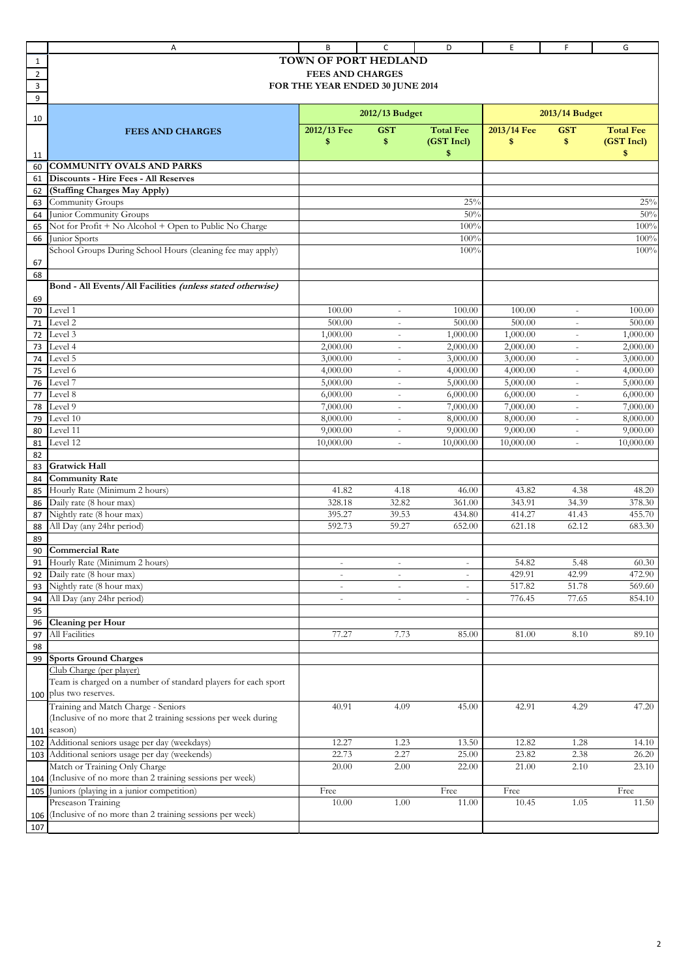|                | Α                                                              | B                               | C                        | D                        | E           | F                        | G                |
|----------------|----------------------------------------------------------------|---------------------------------|--------------------------|--------------------------|-------------|--------------------------|------------------|
| 1              |                                                                | <b>TOWN OF PORT HEDLAND</b>     |                          |                          |             |                          |                  |
| $\overline{2}$ |                                                                | <b>FEES AND CHARGES</b>         |                          |                          |             |                          |                  |
| 3              |                                                                | FOR THE YEAR ENDED 30 JUNE 2014 |                          |                          |             |                          |                  |
| 9              |                                                                |                                 |                          |                          |             |                          |                  |
|                |                                                                |                                 | 2012/13 Budget           |                          |             | 2013/14 Budget           |                  |
| 10             |                                                                | 2012/13 Fee                     | <b>GST</b>               | <b>Total Fee</b>         | 2013/14 Fee | <b>GST</b>               | <b>Total Fee</b> |
|                | <b>FEES AND CHARGES</b>                                        | \$                              | \$                       | (GST Incl)               | \$          | \$                       | (GST Incl)       |
|                |                                                                |                                 |                          | \$                       |             |                          | \$               |
| 11<br>60       | <b>COMMUNITY OVALS AND PARKS</b>                               |                                 |                          |                          |             |                          |                  |
| 61             | Discounts - Hire Fees - All Reserves                           |                                 |                          |                          |             |                          |                  |
| 62             | (Staffing Charges May Apply)                                   |                                 |                          |                          |             |                          |                  |
| 63             | Community Groups                                               |                                 |                          | 25%                      |             |                          | 25%              |
| 64             | Junior Community Groups                                        |                                 |                          | 50%                      |             |                          | 50%              |
| 65             | Not for Profit + No Alcohol + Open to Public No Charge         |                                 |                          | 100%                     |             |                          | 100%             |
| 66             | Junior Sports                                                  |                                 |                          | 100%                     |             |                          | 100%             |
|                | School Groups During School Hours (cleaning fee may apply)     |                                 |                          | 100%                     |             |                          | 100%             |
| 67             |                                                                |                                 |                          |                          |             |                          |                  |
| 68             |                                                                |                                 |                          |                          |             |                          |                  |
|                | Bond - All Events/All Facilities (unless stated otherwise)     |                                 |                          |                          |             |                          |                  |
| 69             |                                                                |                                 |                          |                          |             |                          |                  |
| 70             | Level 1                                                        | 100.00                          | $\sim$                   | 100.00                   | 100.00      | $\bar{a}$                | 100.00           |
| 71             | Level 2                                                        | 500.00                          | $\overline{\phantom{a}}$ | 500.00                   | 500.00      | $\overline{\phantom{a}}$ | 500.00           |
| 72             | Level 3                                                        | 1,000.00                        | $\sim$                   | 1,000.00                 | 1,000.00    | ä,                       | 1,000.00         |
| 73             | Level 4                                                        | 2,000.00                        | $\sim$                   | 2,000.00                 | 2,000.00    | ÷,                       | 2,000.00         |
| 74             | Level 5                                                        | 3,000.00                        | $\bar{a}$                | 3,000.00                 | 3,000.00    | $\bar{ }$                | 3,000.00         |
| 75             | Level 6                                                        | 4,000.00                        | $\overline{\phantom{a}}$ | 4,000.00                 | 4,000.00    | $\bar{\phantom{a}}$      | 4,000.00         |
| 76             | Level 7                                                        | 5,000.00                        | $\overline{\phantom{a}}$ | 5,000.00                 | 5,000.00    | ä,                       | 5,000.00         |
| 77             | Level 8                                                        | 6,000.00                        | $\sim$                   | 6,000.00                 | 6,000.00    | $\sim$                   | 6,000.00         |
| 78             | Level 9                                                        | 7,000.00                        | $\overline{\phantom{a}}$ | 7,000.00                 | 7,000.00    | $\overline{\phantom{a}}$ | 7,000.00         |
| 79             | Level 10                                                       | 8,000.00                        | $\sim$                   | 8,000.00                 | 8,000.00    | ä,                       | 8,000.00         |
| 80             | Level 11                                                       | 9,000.00                        | $\sim$                   | 9,000.00                 | 9,000.00    | ä,                       | 9,000.00         |
| 81             | Level 12                                                       | 10,000.00                       | $\equiv$                 | 10,000.00                | 10,000.00   | $\omega$                 | 10,000.00        |
| 82             |                                                                |                                 |                          |                          |             |                          |                  |
| 83             | <b>Gratwick Hall</b>                                           |                                 |                          |                          |             |                          |                  |
| 84             | <b>Community Rate</b>                                          |                                 |                          |                          |             |                          |                  |
| 85             | Hourly Rate (Minimum 2 hours)                                  | 41.82                           | 4.18                     | 46.00                    | 43.82       | 4.38                     | 48.20            |
| 86             | Daily rate (8 hour max)                                        | 328.18                          | 32.82                    | 361.00                   | 343.91      | 34.39                    | 378.30           |
| 87             | Nightly rate (8 hour max)                                      | 395.27                          | 39.53                    | 434.80                   | 414.27      | 41.43                    | 455.70           |
| 88             | All Day (any 24hr period)                                      | 592.73                          | 59.27                    | 652.00                   | 621.18      | 62.12                    | 683.30           |
| 89             |                                                                |                                 |                          |                          |             |                          |                  |
| 90             | <b>Commercial Rate</b>                                         |                                 |                          |                          |             |                          |                  |
| 91             | Hourly Rate (Minimum 2 hours)                                  |                                 |                          |                          | 54.82       | 5.48                     | 60.30            |
| 92             | Daily rate (8 hour max)                                        | $\sim$                          | $\overline{\phantom{a}}$ | $\overline{\phantom{a}}$ | 429.91      | 42.99                    | 472.90           |
| 93             | Nightly rate (8 hour max)                                      |                                 | $\overline{\phantom{a}}$ | $\overline{\phantom{a}}$ | 517.82      | 51.78                    | 569.60           |
| 94             | All Day (any 24hr period)                                      | $\sim$                          | $\sim$                   | $\sim$                   | 776.45      | 77.65                    | 854.10           |
| 95             |                                                                |                                 |                          |                          |             |                          |                  |
| 96             | Cleaning per Hour                                              |                                 |                          |                          |             |                          |                  |
| 97             | All Facilities                                                 | 77.27                           | 7.73                     | 85.00                    | 81.00       | 8.10                     | 89.10            |
| 98             |                                                                |                                 |                          |                          |             |                          |                  |
| 99             | <b>Sports Ground Charges</b>                                   |                                 |                          |                          |             |                          |                  |
|                | Club Charge (per player)                                       |                                 |                          |                          |             |                          |                  |
|                | Team is charged on a number of standard players for each sport |                                 |                          |                          |             |                          |                  |
| 100            | plus two reserves.                                             |                                 |                          |                          |             |                          |                  |
|                | Training and Match Charge - Seniors                            | 40.91                           | 4.09                     | 45.00                    | 42.91       | 4.29                     | 47.20            |
|                | (Inclusive of no more that 2 training sessions per week during |                                 |                          |                          |             |                          |                  |
| 101            | season)                                                        |                                 |                          |                          |             |                          |                  |
| 102            | Additional seniors usage per day (weekdays)                    | 12.27                           | 1.23                     | 13.50                    | 12.82       | 1.28                     | 14.10            |
| 103            | Additional seniors usage per day (weekends)                    | 22.73                           | 2.27                     | 25.00                    | 23.82       | 2.38                     | 26.20            |
|                | Match or Training Only Charge                                  | 20.00                           | 2.00                     | 22.00                    | 21.00       | 2.10                     | 23.10            |
| 104            | (Inclusive of no more than 2 training sessions per week)       |                                 |                          |                          |             |                          |                  |
| 105            | Juniors (playing in a junior competition)                      | Free                            |                          | Free                     | Free        |                          | Free             |
|                | Preseason Training                                             | 10.00                           | 1.00                     | 11.00                    | 10.45       | 1.05                     | 11.50            |
| 106            | (Inclusive of no more than 2 training sessions per week)       |                                 |                          |                          |             |                          |                  |
| 107            |                                                                |                                 |                          |                          |             |                          |                  |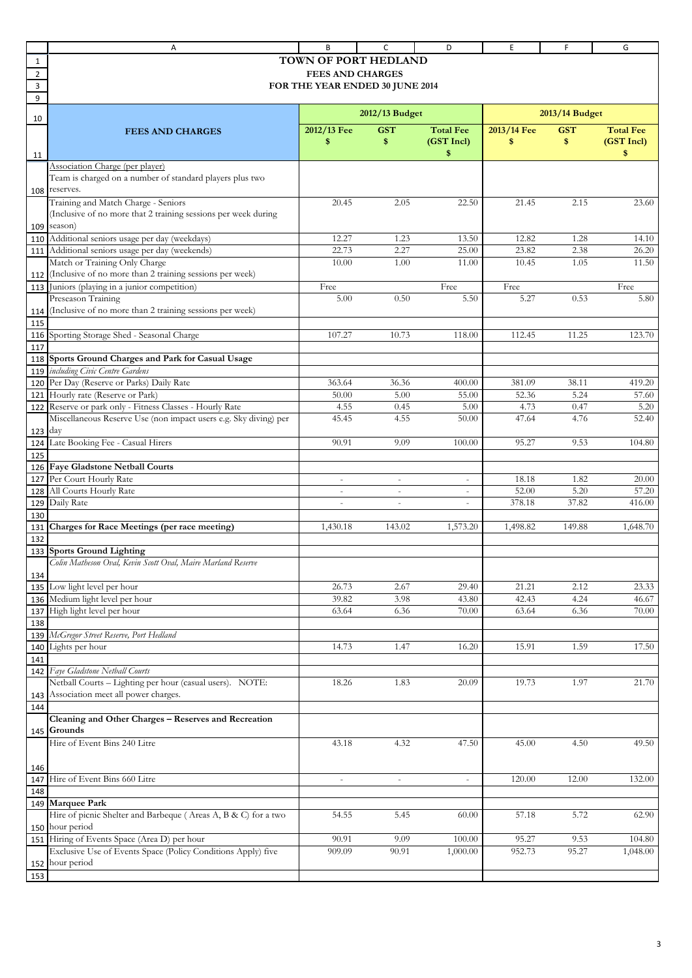|                          | Α                                                                                                        | B                                                                                  | c                              | D                                     | E               | F              | G                  |
|--------------------------|----------------------------------------------------------------------------------------------------------|------------------------------------------------------------------------------------|--------------------------------|---------------------------------------|-----------------|----------------|--------------------|
| 1<br>$\overline{2}$<br>3 |                                                                                                          | TOWN OF PORT HEDLAND<br><b>FEES AND CHARGES</b><br>FOR THE YEAR ENDED 30 JUNE 2014 |                                |                                       |                 |                |                    |
| 9                        |                                                                                                          |                                                                                    | 2012/13 Budget                 |                                       |                 | 2013/14 Budget |                    |
| 10                       | <b>FEES AND CHARGES</b>                                                                                  | 2012/13 Fee                                                                        | <b>GST</b>                     | <b>Total Fee</b>                      | 2013/14 Fee     | <b>GST</b>     | <b>Total Fee</b>   |
| 11                       |                                                                                                          | \$                                                                                 | \$                             | (GST Incl)<br>\$                      | \$              | \$             | (GST Incl)<br>\$   |
|                          | Association Charge (per player)<br>Team is charged on a number of standard players plus two              |                                                                                    |                                |                                       |                 |                |                    |
|                          | 108 reserves.                                                                                            |                                                                                    |                                |                                       |                 |                |                    |
|                          | Training and Match Charge - Seniors<br>(Inclusive of no more that 2 training sessions per week during    | 20.45                                                                              | 2.05                           | 22.50                                 | 21.45           | 2.15           | 23.60              |
| 109                      | season)                                                                                                  |                                                                                    |                                |                                       |                 |                |                    |
| 110                      | Additional seniors usage per day (weekdays)                                                              | 12.27                                                                              | 1.23                           | 13.50                                 | 12.82           | 1.28           | 14.10              |
| 111                      | Additional seniors usage per day (weekends)                                                              | 22.73                                                                              | 2.27                           | 25.00                                 | 23.82           | 2.38           | 26.20              |
|                          | Match or Training Only Charge                                                                            | 10.00                                                                              | 1.00                           | 11.00                                 | 10.45           | 1.05           | 11.50              |
| 112                      | (Inclusive of no more than 2 training sessions per week)                                                 |                                                                                    |                                |                                       |                 |                |                    |
| 113                      | Juniors (playing in a junior competition)                                                                | Free                                                                               |                                | Free                                  | Free            |                | Free               |
|                          | Preseason Training                                                                                       | 5.00                                                                               | 0.50                           | 5.50                                  | 5.27            | 0.53           | 5.80               |
| 114<br>115               | (Inclusive of no more than 2 training sessions per week)                                                 |                                                                                    |                                |                                       |                 |                |                    |
|                          | 116 Sporting Storage Shed - Seasonal Charge                                                              | 107.27                                                                             | 10.73                          | 118.00                                | 112.45          | 11.25          | 123.70             |
| 117<br>118               | Sports Ground Charges and Park for Casual Usage                                                          |                                                                                    |                                |                                       |                 |                |                    |
| 119                      | including Civic Centre Gardens                                                                           |                                                                                    |                                |                                       |                 |                |                    |
| 120                      | Per Day (Reserve or Parks) Daily Rate                                                                    | 363.64                                                                             | 36.36                          | 400.00                                | 381.09          | 38.11          | 419.20             |
| 121                      | Hourly rate (Reserve or Park)                                                                            | 50.00                                                                              | 5.00                           | 55.00                                 | 52.36           | 5.24           | 57.60              |
| 122                      | Reserve or park only - Fitness Classes - Hourly Rate                                                     | 4.55                                                                               | 0.45                           | 5.00                                  | 4.73            | 0.47           | 5.20               |
|                          | Miscellaneous Reserve Use (non impact users e.g. Sky diving) per                                         | 45.45                                                                              | 4.55                           | 50.00                                 | 47.64           | 4.76           | 52.40              |
| 123                      | day                                                                                                      |                                                                                    |                                |                                       |                 |                |                    |
| 124                      | Late Booking Fee - Casual Hirers                                                                         | 90.91                                                                              | 9.09                           | 100.00                                | 95.27           | 9.53           | 104.80             |
| 125                      |                                                                                                          |                                                                                    |                                |                                       |                 |                |                    |
|                          | 126 Faye Gladstone Netball Courts<br>Per Court Hourly Rate                                               |                                                                                    |                                |                                       |                 |                |                    |
| 127                      | All Courts Hourly Rate                                                                                   | $\omega$                                                                           | $\omega$                       | $\omega$                              | 18.18<br>52.00  | 1.82<br>5.20   | 20.00              |
| 128                      | Daily Rate                                                                                               | $\overline{\phantom{a}}$<br>$\sim$                                                 | $\overline{\phantom{a}}$<br>÷, | $\overline{\phantom{a}}$<br>$\bar{a}$ | 378.18          | 37.82          | 57.20<br>416.00    |
| 129<br>130               |                                                                                                          |                                                                                    |                                |                                       |                 |                |                    |
| 131                      | Charges for Race Meetings (per race meeting)                                                             | 1,430.18                                                                           | 143.02                         | 1,573.20                              | 1,498.82        | 149.88         | 1,648.70           |
| 132                      |                                                                                                          |                                                                                    |                                |                                       |                 |                |                    |
|                          | 133 Sports Ground Lighting<br>Colin Matheson Oval, Kevin Scott Oval, Maire Marland Reserve               |                                                                                    |                                |                                       |                 |                |                    |
| 134                      |                                                                                                          |                                                                                    |                                |                                       |                 |                |                    |
| 135                      | Low light level per hour                                                                                 | 26.73                                                                              | 2.67                           | 29.40                                 | 21.21           | 2.12           | 23.33              |
| 136                      | Medium light level per hour                                                                              | 39.82                                                                              | 3.98                           | 43.80                                 | 42.43           | 4.24           | 46.67              |
| 137                      | High light level per hour                                                                                | 63.64                                                                              | 6.36                           | 70.00                                 | 63.64           | 6.36           | 70.00              |
| 138                      |                                                                                                          |                                                                                    |                                |                                       |                 |                |                    |
|                          | 139 McGregor Street Reserve, Port Hedland                                                                |                                                                                    |                                |                                       |                 |                |                    |
| 140                      | Lights per hour                                                                                          | 14.73                                                                              | 1.47                           | 16.20                                 | 15.91           | 1.59           | 17.50              |
| 141                      |                                                                                                          |                                                                                    |                                |                                       |                 |                |                    |
| 142                      | Faye Gladstone Netball Courts                                                                            |                                                                                    |                                |                                       |                 |                |                    |
|                          | Netball Courts - Lighting per hour (casual users). NOTE:                                                 | 18.26                                                                              | 1.83                           | 20.09                                 | 19.73           | 1.97           | 21.70              |
| 143                      | Association meet all power charges.                                                                      |                                                                                    |                                |                                       |                 |                |                    |
| 144                      | Cleaning and Other Charges - Reserves and Recreation                                                     |                                                                                    |                                |                                       |                 |                |                    |
| 145                      | Grounds                                                                                                  |                                                                                    |                                |                                       |                 |                |                    |
|                          | Hire of Event Bins 240 Litre                                                                             | 43.18                                                                              | 4.32                           | 47.50                                 | 45.00           | 4.50           | 49.50              |
|                          |                                                                                                          |                                                                                    |                                |                                       |                 |                |                    |
| 146                      |                                                                                                          |                                                                                    |                                |                                       |                 |                |                    |
| 147                      | Hire of Event Bins 660 Litre                                                                             | $\blacksquare$                                                                     | $\overline{\phantom{a}}$       | $\blacksquare$                        | 120.00          | 12.00          | 132.00             |
| 148                      |                                                                                                          |                                                                                    |                                |                                       |                 |                |                    |
| 149                      | <b>Marquee Park</b>                                                                                      |                                                                                    |                                |                                       |                 |                |                    |
|                          | Hire of picnic Shelter and Barbeque (Areas A, B & C) for a two                                           | 54.55                                                                              | 5.45                           | 60.00                                 | 57.18           | 5.72           | 62.90              |
|                          | 150 hour period                                                                                          |                                                                                    |                                |                                       |                 |                |                    |
| 151                      | Hiring of Events Space (Area D) per hour<br>Exclusive Use of Events Space (Policy Conditions Apply) five | 90.91<br>909.09                                                                    | 9.09<br>90.91                  | 100.00<br>1,000.00                    | 95.27<br>952.73 | 9.53<br>95.27  | 104.80<br>1,048.00 |
| 152                      | hour period                                                                                              |                                                                                    |                                |                                       |                 |                |                    |
| 153                      |                                                                                                          |                                                                                    |                                |                                       |                 |                |                    |
|                          |                                                                                                          |                                                                                    |                                |                                       |                 |                |                    |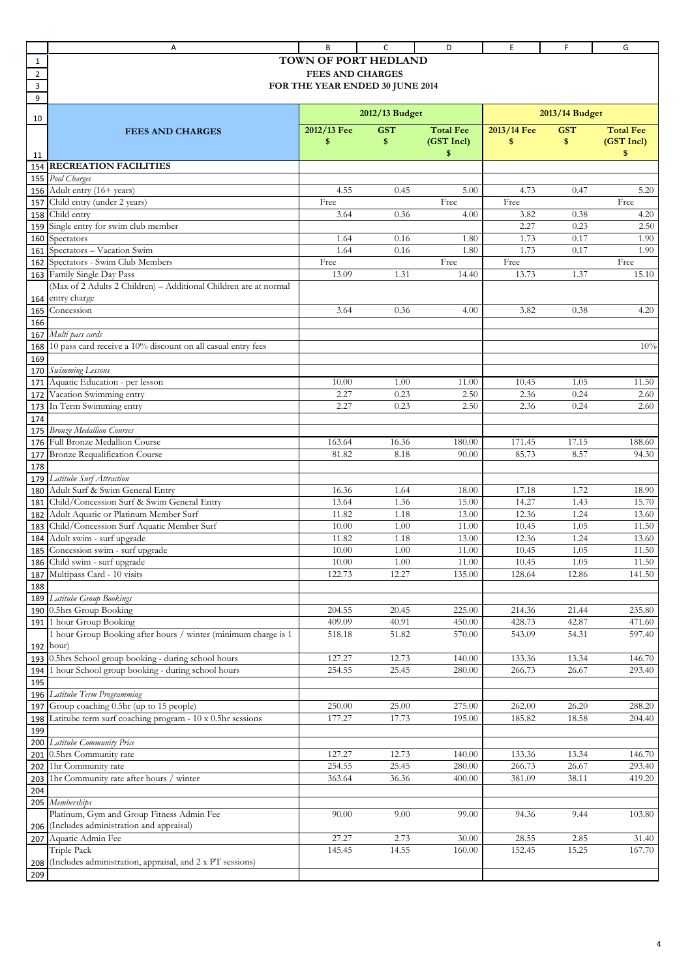|                | Α                                                                | B                               | C                | D                | E              | F            | G                |
|----------------|------------------------------------------------------------------|---------------------------------|------------------|------------------|----------------|--------------|------------------|
| 1              |                                                                  | TOWN OF PORT HEDLAND            |                  |                  |                |              |                  |
| $\overline{2}$ |                                                                  | <b>FEES AND CHARGES</b>         |                  |                  |                |              |                  |
| 3              |                                                                  | FOR THE YEAR ENDED 30 JUNE 2014 |                  |                  |                |              |                  |
| 9              |                                                                  |                                 |                  |                  |                |              |                  |
|                |                                                                  |                                 | 2012/13 Budget   |                  | 2013/14 Budget |              |                  |
| 10             |                                                                  |                                 |                  |                  |                |              |                  |
|                | <b>FEES AND CHARGES</b>                                          | 2012/13 Fee                     | <b>GST</b>       | <b>Total Fee</b> | 2013/14 Fee    | <b>GST</b>   | <b>Total Fee</b> |
|                |                                                                  | \$                              | \$               | (GST Incl)       | \$             | \$           | (GST Incl)       |
| 11             |                                                                  |                                 |                  | \$               |                |              | \$               |
| 154            | <b>RECREATION FACILITIES</b>                                     |                                 |                  |                  |                |              |                  |
| 155            | Pool Charges                                                     |                                 |                  |                  |                |              |                  |
| 156            | Adult entry (16+ years)                                          | 4.55                            | 0.45             | 5.00             | 4.73           | 0.47         | 5.20             |
| 157            | Child entry (under 2 years)<br>Child entry                       | Free<br>3.64                    | 0.36             | Free             | Free           | 0.38         | Free             |
| 158            | Single entry for swim club member                                |                                 |                  | 4.00             | 3.82<br>2.27   | 0.23         | 4.20<br>2.50     |
| 159<br>160     | Spectators                                                       | 1.64                            | 0.16             | 1.80             | 1.73           | 0.17         | 1.90             |
| 161            | Spectators - Vacation Swim                                       | 1.64                            | 0.16             | 1.80             | 1.73           | 0.17         | 1.90             |
| 162            | Spectators - Swim Club Members                                   | Free                            |                  | Free             | Free           |              | Free             |
| 163            | Family Single Day Pass                                           | 13.09                           | 1.31             | 14.40            | 13.73          | 1.37         | 15.10            |
|                | (Max of 2 Adults 2 Children) - Additional Children are at normal |                                 |                  |                  |                |              |                  |
| 164            | entry charge                                                     |                                 |                  |                  |                |              |                  |
| 165            | Concession                                                       | 3.64                            | 0.36             | 4.00             | 3.82           | 0.38         | 4.20             |
| 166            |                                                                  |                                 |                  |                  |                |              |                  |
| 167            | Multi pass cards                                                 |                                 |                  |                  |                |              |                  |
| 168            | 10 pass card receive a 10% discount on all casual entry fees     |                                 |                  |                  |                |              | 10%              |
| 169            |                                                                  |                                 |                  |                  |                |              |                  |
| 170            | Swimming Lessons                                                 |                                 |                  |                  |                |              |                  |
| 171            | Aquatic Education - per lesson                                   | 10.00                           | 1.00             | 11.00            | 10.45          | 1.05         | 11.50            |
| 172            | Vacation Swimming entry                                          | 2.27                            | 0.23             | 2.50             | 2.36           | 0.24         | 2.60             |
| 173            | In Term Swimming entry                                           | 2.27                            | 0.23             | 2.50             | 2.36           | 0.24         | 2.60             |
| 174            |                                                                  |                                 |                  |                  |                |              |                  |
| 175            | <b>Bronze Medallion Courses</b>                                  |                                 |                  |                  |                |              |                  |
| 176            | Full Bronze Medallion Course                                     | 163.64                          | 16.36            | 180.00           | 171.45         | 17.15        | 188.60           |
| 177            | <b>Bronze Requalification Course</b>                             | 81.82                           | 8.18             | 90.00            | 85.73          | 8.57         | 94.30            |
| 178            |                                                                  |                                 |                  |                  |                |              |                  |
| 179            | Latitube Surf Attraction                                         |                                 |                  |                  |                |              |                  |
| 180            | Adult Surf & Swim General Entry                                  | 16.36                           | 1.64             | 18.00            | 17.18          | 1.72         | 18.90            |
| 181            | Child/Concession Surf & Swim General Entry                       | 13.64                           | 1.36             | 15.00            | 14.27          | 1.43         | 15.70            |
| 182            | Adult Aquatic or Platinum Member Surf                            | 11.82                           | 1.18             | 13.00            | 12.36          | 1.24         | 13.60            |
| 183            | Child/Concession Surf Aquatic Member Surf                        | 10.00                           | 1.00             | 11.00            | 10.45          | 1.05         | 11.50            |
| 184            | Adult swim - surf upgrade                                        | 11.82                           | 1.18             | 13.00            | 12.36          | 1.24         | 13.60            |
|                | 185 Concession swim - surf upgrade<br>Child swim - surf upgrade  | 10.00<br>$10.00\,$              | 1.00<br>$1.00\,$ | 11.00<br>11.00   | 10.45<br>10.45 | 1.05<br>1.05 | 11.50<br>11.50   |
| 186<br>187     | Multipass Card - 10 visits                                       | 122.73                          | 12.27            | 135.00           | 128.64         | 12.86        | 141.50           |
| 188            |                                                                  |                                 |                  |                  |                |              |                  |
| 189            | Latitube Group Bookings                                          |                                 |                  |                  |                |              |                  |
| 190            | 0.5hrs Group Booking                                             | 204.55                          | 20.45            | 225.00           | 214.36         | 21.44        | 235.80           |
| 191            | 1 hour Group Booking                                             | 409.09                          | 40.91            | 450.00           | 428.73         | 42.87        | 471.60           |
|                | 1 hour Group Booking after hours / winter (minimum charge is 1   | 518.18                          | 51.82            | 570.00           | 543.09         | 54.31        | 597.40           |
| 192            | hour)                                                            |                                 |                  |                  |                |              |                  |
| 193            | 0.5hrs School group booking - during school hours                | 127.27                          | 12.73            | 140.00           | 133.36         | 13.34        | 146.70           |
| 194            | hour School group booking - during school hours                  | 254.55                          | 25.45            | 280.00           | 266.73         | 26.67        | 293.40           |
| 195            |                                                                  |                                 |                  |                  |                |              |                  |
| 196            | Latitube Term Programming                                        |                                 |                  |                  |                |              |                  |
| 197            | Group coaching 0.5hr (up to 15 people)                           | 250.00                          | 25.00            | 275.00           | 262.00         | 26.20        | 288.20           |
| 198            | Latitube term surf coaching program - 10 x 0.5hr sessions        | 177.27                          | 17.73            | 195.00           | 185.82         | 18.58        | 204.40           |
| 199            |                                                                  |                                 |                  |                  |                |              |                  |
| 200            | Latitube Community Price                                         |                                 |                  |                  |                |              |                  |
| 201            | 0.5hrs Community rate                                            | 127.27                          | 12.73            | 140.00           | 133.36         | 13.34        | 146.70           |
| 202            | 1hr Community rate                                               | 254.55                          | 25.45            | 280.00           | 266.73         | 26.67        | 293.40           |
| 203            | 1hr Community rate after hours / winter                          | 363.64                          | 36.36            | 400.00           | 381.09         | 38.11        | 419.20           |
| 204            |                                                                  |                                 |                  |                  |                |              |                  |
| 205            | Memberships<br>Platinum, Gym and Group Fitness Admin Fee         | 90.00                           | 9.00             | 99.00            | 94.36          | 9.44         | 103.80           |
| 206            | (Includes administration and appraisal)                          |                                 |                  |                  |                |              |                  |
| 207            | Aquatic Admin Fee                                                | 27.27                           | 2.73             | 30.00            | 28.55          | 2.85         | 31.40            |
|                | Triple Pack                                                      | 145.45                          | 14.55            | 160.00           | 152.45         | 15.25        | 167.70           |
| 208            | (Includes administration, appraisal, and 2 x PT sessions)        |                                 |                  |                  |                |              |                  |
| 209            |                                                                  |                                 |                  |                  |                |              |                  |
|                |                                                                  |                                 |                  |                  |                |              |                  |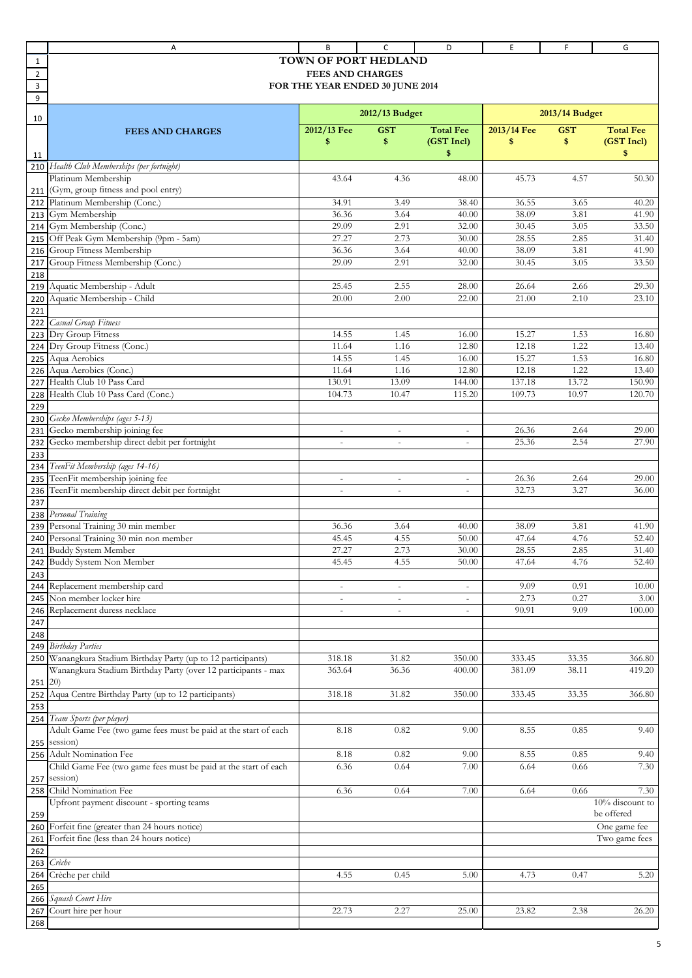|                | Α                                                               | B                               | C                        | D                        | E           | F              | G                  |
|----------------|-----------------------------------------------------------------|---------------------------------|--------------------------|--------------------------|-------------|----------------|--------------------|
| 1              |                                                                 | TOWN OF PORT HEDLAND            |                          |                          |             |                |                    |
| $\overline{2}$ |                                                                 | <b>FEES AND CHARGES</b>         |                          |                          |             |                |                    |
| 3              |                                                                 | FOR THE YEAR ENDED 30 JUNE 2014 |                          |                          |             |                |                    |
| 9              |                                                                 |                                 |                          |                          |             |                |                    |
|                |                                                                 |                                 |                          |                          |             |                |                    |
| 10             |                                                                 |                                 | 2012/13 Budget           |                          |             | 2013/14 Budget |                    |
|                | <b>FEES AND CHARGES</b>                                         | 2012/13 Fee                     | <b>GST</b>               | <b>Total Fee</b>         | 2013/14 Fee | <b>GST</b>     | <b>Total Fee</b>   |
|                |                                                                 | \$                              | \$                       | (GST Incl)               | \$          | \$             | (GST Incl)         |
| 11             |                                                                 |                                 |                          | \$                       |             |                | \$                 |
| 210            | Health Club Memberships (per fortnight)                         |                                 |                          |                          |             |                |                    |
|                | Platinum Membership                                             | 43.64                           | 4.36                     | 48.00                    | 45.73       | 4.57           | 50.30              |
| 211            | (Gym, group fitness and pool entry)                             |                                 |                          |                          |             |                |                    |
| 212            | Platinum Membership (Conc.)                                     | 34.91                           | 3.49                     | 38.40                    | 36.55       | 3.65           | 40.20              |
| 213            | Gym Membership                                                  | 36.36                           | 3.64                     | 40.00                    | 38.09       | 3.81           | 41.90              |
| 214            | Gym Membership (Conc.)                                          | 29.09                           | 2.91                     | 32.00                    | 30.45       | 3.05           | 33.50              |
| 215            | Off Peak Gym Membership (9pm - 5am)                             | 27.27                           | 2.73                     | 30.00                    | 28.55       | 2.85           | 31.40              |
| 216            | Group Fitness Membership                                        | 36.36                           | 3.64                     | 40.00                    | 38.09       | 3.81           | 41.90              |
|                | Group Fitness Membership (Conc.)                                | 29.09                           | 2.91                     | 32.00                    | 30.45       | 3.05           | 33.50              |
| 217            |                                                                 |                                 |                          |                          |             |                |                    |
| 218            |                                                                 |                                 |                          |                          |             |                |                    |
| 219            | Aquatic Membership - Adult                                      | 25.45                           | 2.55                     | 28.00                    | 26.64       | 2.66           | 29.30              |
| 220            | Aquatic Membership - Child                                      | 20.00                           | 2.00                     | 22.00                    | 21.00       | 2.10           | 23.10              |
| 221            |                                                                 |                                 |                          |                          |             |                |                    |
| 222            | Casual Group Fitness                                            |                                 |                          |                          |             |                |                    |
| 223            | Dry Group Fitness                                               | 14.55                           | 1.45                     | 16.00                    | 15.27       | 1.53           | 16.80              |
| 224            | Dry Group Fitness (Conc.)                                       | 11.64                           | 1.16                     | 12.80                    | 12.18       | 1.22           | 13.40              |
| 225            | Aqua Aerobics                                                   | 14.55                           | 1.45                     | 16.00                    | 15.27       | 1.53           | 16.80              |
| 226            | Aqua Aerobics (Conc.)                                           | 11.64                           | 1.16                     | 12.80                    | 12.18       | 1.22           | 13.40              |
| 227            | Health Club 10 Pass Card                                        | 130.91                          | 13.09                    | 144.00                   | 137.18      | 13.72          | 150.90             |
| 228            | Health Club 10 Pass Card (Conc.)                                | 104.73                          | 10.47                    | 115.20                   | 109.73      | 10.97          | 120.70             |
| 229            |                                                                 |                                 |                          |                          |             |                |                    |
| 230            | Gecko Memberships (ages 5-13)                                   |                                 |                          |                          |             |                |                    |
| 231            | Gecko membership joining fee                                    |                                 | $\sim$                   | $\overline{\phantom{a}}$ | 26.36       | 2.64           | 29.00              |
| 232            | Gecko membership direct debit per fortnight                     | $\mathcal{L}$                   | $\overline{\phantom{a}}$ | $\blacksquare$           | 25.36       | 2.54           | 27.90              |
| 233            |                                                                 |                                 |                          |                          |             |                |                    |
| 234            | TeenFit Membership (ages 14-16)                                 |                                 |                          |                          |             |                |                    |
| 235            | TeenFit membership joining fee                                  |                                 | $\qquad \qquad -$        | $\overline{\phantom{a}}$ | 26.36       | 2.64           | 29.00              |
| 236            | TeenFit membership direct debit per fortnight                   | $\sim$                          | $\overline{\phantom{a}}$ | $\overline{\phantom{a}}$ | 32.73       | 3.27           | 36.00              |
| 237            |                                                                 |                                 |                          |                          |             |                |                    |
| 238            | Personal Training                                               |                                 |                          |                          |             |                |                    |
| 239            | Personal Training 30 min member                                 | 36.36                           | 3.64                     | 40.00                    | 38.09       | 3.81           | 41.90              |
| 240            | Personal Training 30 min non member                             | 45.45                           | 4.55                     | 50.00                    | 47.64       | 4.76           | 52.40              |
| 241            | <b>Buddy System Member</b>                                      | 27.27                           | 2.73                     | 30.00                    | 28.55       | 2.85           | 31.40              |
| 242            | Buddy System Non Member                                         | 45.45                           | 4.55                     | 50.00                    | 47.64       | 4.76           | 52.40              |
| 243            |                                                                 |                                 |                          |                          |             |                |                    |
| 244            | Replacement membership card                                     |                                 | $\overline{\phantom{a}}$ | $\overline{\phantom{a}}$ | 9.09        | 0.91           | 10.00              |
| 245            | Non member locker hire                                          | $\sim$                          | $\blacksquare$           | $\sim$                   | 2.73        | 0.27           | 3.00               |
| 246            | Replacement duress necklace                                     |                                 | $\bar{a}$                |                          | 90.91       | 9.09           | 100.00             |
| 247            |                                                                 |                                 |                          |                          |             |                |                    |
| 248            |                                                                 |                                 |                          |                          |             |                |                    |
| 249            | <b>Birthday Parties</b>                                         |                                 |                          |                          |             |                |                    |
|                | Wanangkura Stadium Birthday Party (up to 12 participants)       | 318.18                          | 31.82                    | 350.00                   | 333.45      | 33.35          | 366.80             |
| 250            | Wanangkura Stadium Birthday Party (over 12 participants - max   | 363.64                          | 36.36                    | 400.00                   | 381.09      | 38.11          | 419.20             |
|                |                                                                 |                                 |                          |                          |             |                |                    |
| 251            | (20)                                                            |                                 |                          |                          |             |                |                    |
| 252            | Aqua Centre Birthday Party (up to 12 participants)              | 318.18                          | 31.82                    | 350.00                   | 333.45      | 33.35          | 366.80             |
| 253            |                                                                 |                                 |                          |                          |             |                |                    |
| 254            | Team Sports (per player)                                        |                                 |                          |                          |             |                |                    |
|                | Adult Game Fee (two game fees must be paid at the start of each | 8.18                            | 0.82                     | 9.00                     | 8.55        | 0.85           | 9.40               |
| 255            | session)                                                        |                                 |                          |                          |             |                |                    |
| 256            | Adult Nomination Fee                                            | 8.18                            | 0.82                     | 9.00                     | 8.55        | 0.85           | 9.40               |
|                | Child Game Fee (two game fees must be paid at the start of each | 6.36                            | 0.64                     | 7.00                     | 6.64        | 0.66           | 7.30               |
| 257            | session)                                                        |                                 |                          |                          |             |                |                    |
| 258            | Child Nomination Fee                                            | 6.36                            | 0.64                     | 7.00                     | 6.64        | 0.66           | 7.30               |
|                | Upfront payment discount - sporting teams                       |                                 |                          |                          |             |                | $10\%$ discount to |
| 259            |                                                                 |                                 |                          |                          |             |                | be offered         |
| 260            | Forfeit fine (greater than 24 hours notice)                     |                                 |                          |                          |             |                | One game fee       |
| 261            | Forfeit fine (less than 24 hours notice)                        |                                 |                          |                          |             |                | Two game fees      |
| 262            |                                                                 |                                 |                          |                          |             |                |                    |
| 263            | Crèche                                                          |                                 |                          |                          |             |                |                    |
| 264            | Crèche per child                                                | 4.55                            | 0.45                     | 5.00                     | 4.73        | 0.47           | 5.20               |
| 265            |                                                                 |                                 |                          |                          |             |                |                    |
| 266            | Squash Court Hire                                               |                                 |                          |                          |             |                |                    |
| 267            | Court hire per hour                                             | 22.73                           | 2.27                     | 25.00                    | 23.82       | 2.38           | 26.20              |
| 268            |                                                                 |                                 |                          |                          |             |                |                    |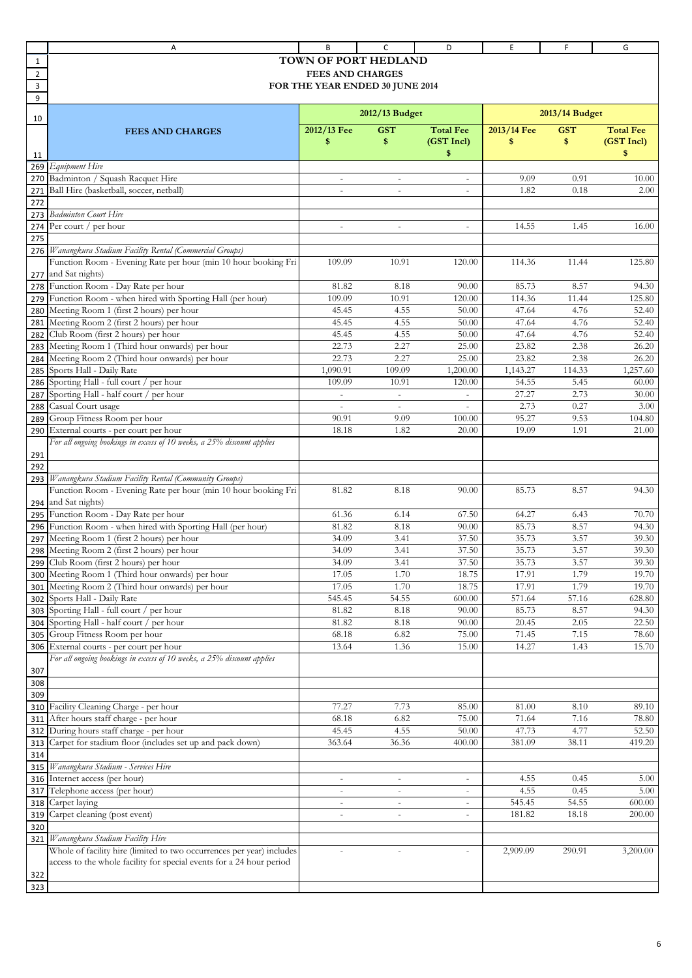|                | Α                                                                                  | В                               | c                        | D                        | E               | F              | G                |
|----------------|------------------------------------------------------------------------------------|---------------------------------|--------------------------|--------------------------|-----------------|----------------|------------------|
| 1              |                                                                                    | <b>TOWN OF PORT HEDLAND</b>     |                          |                          |                 |                |                  |
| $\overline{2}$ |                                                                                    | <b>FEES AND CHARGES</b>         |                          |                          |                 |                |                  |
| 3              |                                                                                    | FOR THE YEAR ENDED 30 JUNE 2014 |                          |                          |                 |                |                  |
| 9              |                                                                                    |                                 |                          |                          |                 |                |                  |
| 10             |                                                                                    |                                 | $2012/13$ Budget         |                          |                 | 2013/14 Budget |                  |
|                | <b>FEES AND CHARGES</b>                                                            | 2012/13 Fee                     | <b>GST</b>               | <b>Total Fee</b>         | 2013/14 Fee     | <b>GST</b>     | <b>Total Fee</b> |
|                |                                                                                    | \$                              | \$                       | (GST Incl)               | \$              | \$             | (GST Incl)       |
| 11             |                                                                                    |                                 |                          | \$                       |                 |                | \$               |
| 269            | <b>Equipment Hire</b>                                                              |                                 |                          |                          |                 |                |                  |
| 270            | Badminton / Squash Racquet Hire                                                    |                                 |                          |                          | 9.09            | 0.91           | 10.00            |
| 271            | Ball Hire (basketball, soccer, netball)                                            | $\sim$                          | $\sim$                   | $\overline{\phantom{a}}$ | 1.82            | 0.18           | 2.00             |
| 272<br>273     | <b>Badminton Court Hire</b>                                                        |                                 |                          |                          |                 |                |                  |
| 274            | Per court / per hour                                                               | $\bar{a}$                       |                          | $\overline{\phantom{a}}$ | 14.55           | 1.45           | 16.00            |
| 275            |                                                                                    |                                 |                          |                          |                 |                |                  |
| 276            | Wanangkura Stadium Facility Rental (Commercial Groups)                             |                                 |                          |                          |                 |                |                  |
|                | Function Room - Evening Rate per hour (min 10 hour booking Fri                     | 109.09                          | 10.91                    | 120.00                   | 114.36          | 11.44          | 125.80           |
| 277            | and Sat nights)                                                                    |                                 |                          |                          |                 |                |                  |
| 278            | Function Room - Day Rate per hour                                                  | 81.82                           | 8.18                     | 90.00                    | 85.73           | 8.57           | 94.30            |
| 279            | Function Room - when hired with Sporting Hall (per hour)                           | 109.09                          | 10.91                    | 120.00                   | 114.36          | 11.44          | 125.80           |
| 280            | Meeting Room 1 (first 2 hours) per hour                                            | 45.45                           | 4.55                     | 50.00                    | 47.64           | 4.76           | 52.40            |
| 281            | Meeting Room 2 (first 2 hours) per hour                                            | 45.45                           | 4.55                     | 50.00                    | 47.64           | 4.76           | 52.40            |
| 282            | Club Room (first 2 hours) per hour<br>Meeting Room 1 (Third hour onwards) per hour | 45.45<br>22.73                  | 4.55<br>2.27             | 50.00<br>25.00           | 47.64<br>23.82  | 4.76<br>2.38   | 52.40<br>26.20   |
| 283<br>284     | Meeting Room 2 (Third hour onwards) per hour                                       | 22.73                           | 2.27                     | 25.00                    | 23.82           | 2.38           | 26.20            |
| 285            | Sports Hall - Daily Rate                                                           | 1,090.91                        | 109.09                   | 1,200.00                 | 1,143.27        | 114.33         | 1,257.60         |
| 286            | Sporting Hall - full court / per hour                                              | 109.09                          | 10.91                    | 120.00                   | 54.55           | 5.45           | 60.00            |
| 287            | Sporting Hall - half court / per hour                                              |                                 |                          |                          | 27.27           | 2.73           | 30.00            |
| 288            | Casual Court usage                                                                 | $\sim$                          | $\sim$                   | $\equiv$                 | 2.73            | 0.27           | 3.00             |
| 289            | Group Fitness Room per hour                                                        | 90.91                           | 9.09                     | 100.00                   | 95.27           | 9.53           | 104.80           |
| 290            | External courts - per court per hour                                               | 18.18                           | 1.82                     | 20.00                    | 19.09           | 1.91           | 21.00            |
|                | For all ongoing bookings in excess of 10 weeks, a 25% discount applies             |                                 |                          |                          |                 |                |                  |
| 291            |                                                                                    |                                 |                          |                          |                 |                |                  |
| 292<br>293     | Wanangkura Stadium Facility Rental (Community Groups)                              |                                 |                          |                          |                 |                |                  |
|                | Function Room - Evening Rate per hour (min 10 hour booking Fri                     | 81.82                           | 8.18                     | 90.00                    | 85.73           | 8.57           | 94.30            |
| 294            | and Sat nights)                                                                    |                                 |                          |                          |                 |                |                  |
| 295            | Function Room - Day Rate per hour                                                  | 61.36                           | 6.14                     | 67.50                    | 64.27           | 6.43           | 70.70            |
| 296            | Function Room - when hired with Sporting Hall (per hour)                           | 81.82                           | 8.18                     | 90.00                    | 85.73           | 8.57           | 94.30            |
| 297            | Meeting Room 1 (first 2 hours) per hour                                            | 34.09                           | 3.41                     | 37.50                    | 35.73           | 3.57           | 39.30            |
| 298            | Meeting Room 2 (first 2 hours) per hour                                            | 34.09                           | 3.41                     | 37.50                    | 35.73           | 3.57           | 39.30            |
| 299            | Club Room (first 2 hours) per hour                                                 | 34.09                           | 3.41                     | 37.50                    | 35.73           | 3.57           | 39.30            |
| 300            | Meeting Room 1 (Third hour onwards) per hour                                       | 17.05                           | 1.70                     | 18.75                    | 17.91           | 1.79           | 19.70            |
| 301            | Meeting Room 2 (Third hour onwards) per hour<br>302 Sports Hall - Daily Rate       | 17.05<br>545.45                 | 1.70<br>54.55            | 18.75<br>600.00          | 17.91<br>571.64 | 1.79<br>57.16  | 19.70<br>628.80  |
| 303            | Sporting Hall - full court /<br>per hour                                           | 81.82                           | 8.18                     | 90.00                    | 85.73           | 8.57           | 94.30            |
| 304            | Sporting Hall - half court / per hour                                              | 81.82                           | 8.18                     | 90.00                    | 20.45           | 2.05           | 22.50            |
| 305            | Group Fitness Room per hour                                                        | 68.18                           | 6.82                     | 75.00                    | 71.45           | 7.15           | 78.60            |
| 306            | External courts - per court per hour                                               | 13.64                           | 1.36                     | 15.00                    | 14.27           | 1.43           | 15.70            |
|                | For all ongoing bookings in excess of 10 weeks, a 25% discount applies             |                                 |                          |                          |                 |                |                  |
| 307            |                                                                                    |                                 |                          |                          |                 |                |                  |
| 308            |                                                                                    |                                 |                          |                          |                 |                |                  |
| 309            |                                                                                    |                                 |                          |                          |                 |                |                  |
| 310<br>311     | Facility Cleaning Charge - per hour<br>After hours staff charge - per hour         | 77.27<br>68.18                  | 7.73<br>6.82             | 85.00<br>75.00           | 81.00<br>71.64  | 8.10<br>7.16   | 89.10<br>78.80   |
| 312            | During hours staff charge - per hour                                               | 45.45                           | 4.55                     | 50.00                    | 47.73           | 4.77           | 52.50            |
| 313            | Carpet for stadium floor (includes set up and pack down)                           | 363.64                          | 36.36                    | 400.00                   | 381.09          | 38.11          | 419.20           |
| 314            |                                                                                    |                                 |                          |                          |                 |                |                  |
| 315            | Wanangkura Stadium - Services Hire                                                 |                                 |                          |                          |                 |                |                  |
| 316            | Internet access (per hour)                                                         |                                 |                          | $\overline{\phantom{a}}$ | 4.55            | 0.45           | 5.00             |
| 317            | Telephone access (per hour)                                                        | $\overline{\phantom{a}}$        | $\bar{a}$                | $\overline{\phantom{a}}$ | 4.55            | 0.45           | 5.00             |
| 318            | Carpet laying                                                                      | $\overline{\phantom{a}}$        | $\overline{\phantom{a}}$ | $\overline{\phantom{a}}$ | 545.45          | 54.55          | 600.00           |
| 319            | Carpet cleaning (post event)                                                       | $\overline{\phantom{a}}$        | $\overline{\phantom{a}}$ | $\overline{\phantom{a}}$ | 181.82          | 18.18          | 200.00           |
| 320<br>321     | Wanangkura Stadium Facility Hire                                                   |                                 |                          |                          |                 |                |                  |
|                | Whole of facility hire (limited to two occurrences per year) includes              | $\sim$                          | $\overline{\phantom{a}}$ | $\overline{\phantom{a}}$ | 2,909.09        | 290.91         | 3,200.00         |
|                | access to the whole facility for special events for a 24 hour period               |                                 |                          |                          |                 |                |                  |
| 322            |                                                                                    |                                 |                          |                          |                 |                |                  |
| 323            |                                                                                    |                                 |                          |                          |                 |                |                  |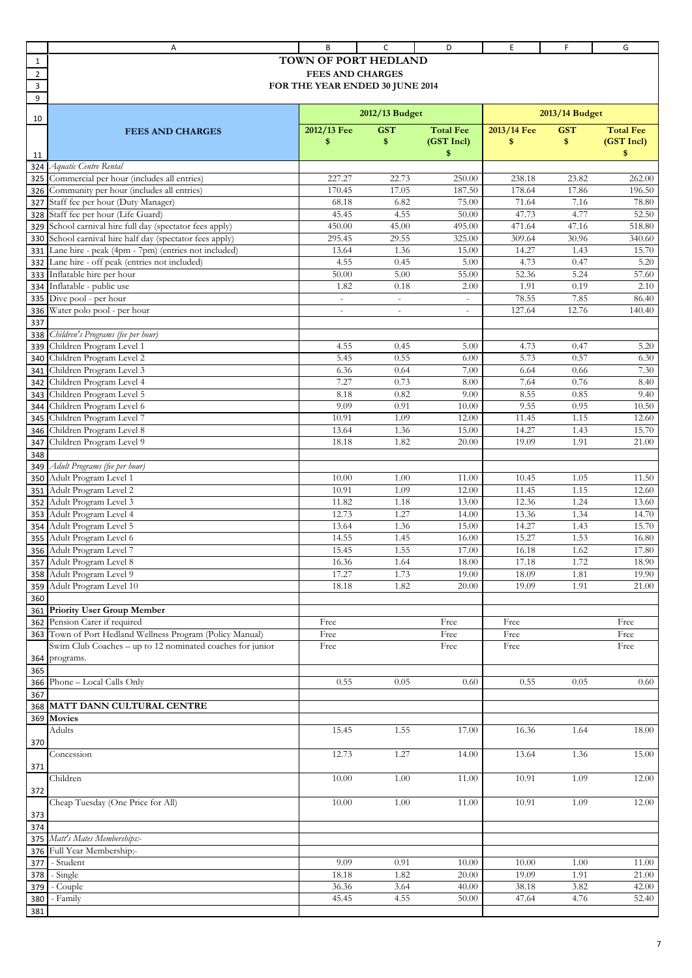|                | Α                                                         | B                               | C                        | D                | E           | F              | G                |
|----------------|-----------------------------------------------------------|---------------------------------|--------------------------|------------------|-------------|----------------|------------------|
| 1              |                                                           | TOWN OF PORT HEDLAND            |                          |                  |             |                |                  |
| $\overline{2}$ |                                                           | <b>FEES AND CHARGES</b>         |                          |                  |             |                |                  |
| 3              |                                                           | FOR THE YEAR ENDED 30 JUNE 2014 |                          |                  |             |                |                  |
| 9              |                                                           |                                 |                          |                  |             |                |                  |
|                |                                                           |                                 | 2012/13 Budget           |                  |             | 2013/14 Budget |                  |
| 10             |                                                           |                                 |                          |                  |             |                |                  |
|                | <b>FEES AND CHARGES</b>                                   | 2012/13 Fee                     | <b>GST</b>               | <b>Total Fee</b> | 2013/14 Fee | <b>GST</b>     | <b>Total Fee</b> |
|                |                                                           | \$                              | \$                       | (GST Incl)       | \$          | \$             | (GST Incl)       |
| 11             |                                                           |                                 |                          | \$               |             |                | \$               |
| 324            | Aquatic Centre Rental                                     |                                 |                          |                  |             |                |                  |
| 325            | Commercial per hour (includes all entries)                | 227.27                          | 22.73                    | 250.00           | 238.18      | 23.82          | 262.00           |
| 326            | Community per hour (includes all entries)                 | 170.45                          | 17.05                    | 187.50           | 178.64      | 17.86          | 196.50           |
| 327            | Staff fee per hour (Duty Manager)                         | 68.18                           | 6.82                     | 75.00            | 71.64       | 7.16           | 78.80            |
| 328            | Staff fee per hour (Life Guard)                           | 45.45                           | 4.55                     | 50.00            | 47.73       | 4.77           | 52.50            |
| 329            | School carnival hire full day (spectator fees apply)      | 450.00                          | 45.00                    | 495.00           | 471.64      | 47.16          | 518.80           |
| 330            | School carnival hire half day (spectator fees apply)      | 295.45                          | 29.55                    | 325.00           | 309.64      | 30.96          | 340.60           |
| 331            | Lane hire - peak (4pm - 7pm) (entries not included)       | 13.64                           | 1.36                     | 15.00            | 14.27       | 1.43           | 15.70            |
| 332            | Lane hire - off peak (entries not included)               | 4.55                            | 0.45                     | 5.00             | 4.73        | 0.47           | 5.20             |
| 333            | Inflatable hire per hour                                  | 50.00                           | 5.00                     | 55.00            | 52.36       | 5.24           | 57.60            |
| 334            | Inflatable - public use                                   | 1.82                            | 0.18                     | 2.00             | 1.91        | 0.19           | 2.10             |
| 335            | Dive pool - per hour                                      | ÷,                              | $\overline{\phantom{a}}$ |                  | 78.55       | 7.85           | 86.40            |
| 336            | Water polo pool - per hour                                | ÷,                              | $\sim$                   | $\sim$           | 127.64      | 12.76          | 140.40           |
| 337            |                                                           |                                 |                          |                  |             |                |                  |
| 338            | Children's Programs (fee per hour)                        |                                 |                          |                  |             |                |                  |
| 339            | Children Program Level 1                                  | 4.55                            | 0.45                     | 5.00             | 4.73        | 0.47           | 5.20             |
| 340            | Children Program Level 2                                  | 5.45                            | 0.55                     | 6.00             | 5.73        | 0.57           | 6.30             |
| 341            | Children Program Level 3                                  | 6.36                            | 0.64                     | 7.00             | 6.64        | 0.66           | 7.30             |
| 342            | Children Program Level 4                                  | 7.27                            | 0.73                     | 8.00             | 7.64        | 0.76           | 8.40             |
| 343            | Children Program Level 5                                  | 8.18                            | 0.82                     | 9.00             | 8.55        | 0.85           | 9.40             |
| 344            | Children Program Level 6                                  | 9.09                            | 0.91                     | 10.00            | 9.55        | 0.95           | 10.50            |
| 345            | Children Program Level 7                                  | 10.91                           | 1.09                     | 12.00            | 11.45       | 1.15           | 12.60            |
| 346            | Children Program Level 8                                  | 13.64                           | 1.36                     | 15.00            | 14.27       | 1.43           | 15.70            |
| 347            | Children Program Level 9                                  | 18.18                           | 1.82                     | 20.00            | 19.09       | 1.91           | 21.00            |
| 348            |                                                           |                                 |                          |                  |             |                |                  |
| 349            | Adult Programs (fee per hour)                             |                                 |                          |                  |             |                |                  |
| 350            | Adult Program Level 1                                     | 10.00                           | 1.00                     | 11.00            | 10.45       | 1.05           | 11.50            |
| 351            | Adult Program Level 2                                     | 10.91                           | 1.09                     | 12.00            | 11.45       | 1.15           | 12.60            |
| 352            | Adult Program Level 3                                     | 11.82                           | 1.18                     | 13.00            | 12.36       | 1.24           | 13.60            |
| 353            | Adult Program Level 4                                     | 12.73                           | 1.27                     | 14.00            | 13.36       | 1.34           | 14.70            |
| 354            | Adult Program Level 5                                     | 13.64                           | 1.36                     | 15.00            | 14.27       | 1.43           | 15.70            |
| 355            | Adult Program Level 6                                     | 14.55                           | 1.45                     | 16.00            | 15.27       | 1.53           | 16.80            |
|                | 356 Adult Program Level 7                                 | 15.45                           | 1.55                     | 17.00            | 16.18       | 1.62           | 17.80            |
|                | 357 Adult Program Level 8                                 | 16.36                           | 1.64                     | 18.00            | 17.18       | 1.72           | 18.90            |
|                | 358 Adult Program Level 9                                 | 17.27                           | 1.73                     | 19.00            | 18.09       | 1.81           | 19.90            |
| 359            | Adult Program Level 10                                    | 18.18                           | 1.82                     | 20.00            | 19.09       | 1.91           | 21.00            |
| 360            |                                                           |                                 |                          |                  |             |                |                  |
| 361            | <b>Priority User Group Member</b>                         |                                 |                          |                  |             |                |                  |
| 362            | Pension Carer if required                                 | Free                            |                          | Free             | Free        |                | Free             |
| 363            | Town of Port Hedland Wellness Program (Policy Manual)     | Free                            |                          | Free             | Free        |                | Free             |
|                | Swim Club Coaches - up to 12 nominated coaches for junior | Free                            |                          | Free             | Free        |                | Free             |
| 364            | programs.                                                 |                                 |                          |                  |             |                |                  |
| 365            |                                                           |                                 |                          |                  |             |                |                  |
|                | 366 Phone - Local Calls Only                              | 0.55                            | 0.05                     | 0.60             | 0.55        | 0.05           | 0.60             |
| 367            |                                                           |                                 |                          |                  |             |                |                  |
| 368            | MATT DANN CULTURAL CENTRE                                 |                                 |                          |                  |             |                |                  |
| 369            | <b>Movies</b>                                             |                                 |                          |                  |             |                |                  |
|                | Adults                                                    | 15.45                           | 1.55                     | 17.00            | 16.36       | 1.64           | 18.00            |
| 370            |                                                           |                                 |                          |                  |             |                |                  |
|                | Concession                                                | 12.73                           | 1.27                     | 14.00            | 13.64       | 1.36           | 15.00            |
| 371            |                                                           |                                 |                          |                  |             |                |                  |
|                | Children                                                  | 10.00                           | 1.00                     | 11.00            | 10.91       | 1.09           | 12.00            |
| 372            |                                                           |                                 |                          |                  |             |                |                  |
|                | Cheap Tuesday (One Price for All)                         | 10.00                           | 1.00                     | 11.00            | 10.91       | 1.09           | 12.00            |
| 373            |                                                           |                                 |                          |                  |             |                |                  |
| 374            |                                                           |                                 |                          |                  |             |                |                  |
| 375            | Matt's Mates Memberships:-                                |                                 |                          |                  |             |                |                  |
| 376            | Full Year Membership:-                                    |                                 |                          |                  |             |                |                  |
| 377            | - Student                                                 | 9.09                            | 0.91                     | 10.00            | 10.00       | 1.00           | 11.00            |
| 378            | - Single                                                  | 18.18                           | 1.82                     | 20.00            | 19.09       | 1.91           | 21.00            |
| 379            | - Couple                                                  | 36.36                           | 3.64                     | 40.00            | 38.18       | 3.82           | 42.00            |
| 380            | - Family                                                  | 45.45                           | 4.55                     | 50.00            | 47.64       | 4.76           | 52.40            |
| 381            |                                                           |                                 |                          |                  |             |                |                  |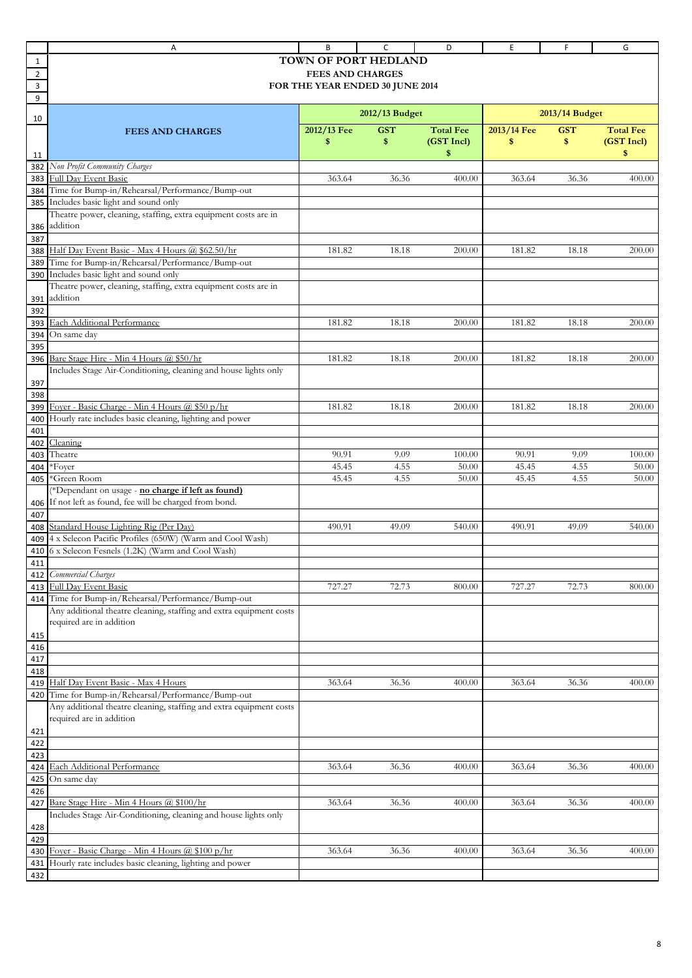|                | Α                                                                                                          | В                               | C              | D                | E           | F.             | G                |
|----------------|------------------------------------------------------------------------------------------------------------|---------------------------------|----------------|------------------|-------------|----------------|------------------|
| 1              |                                                                                                            | <b>TOWN OF PORT HEDLAND</b>     |                |                  |             |                |                  |
| $\overline{2}$ |                                                                                                            | <b>FEES AND CHARGES</b>         |                |                  |             |                |                  |
| 3              |                                                                                                            | FOR THE YEAR ENDED 30 JUNE 2014 |                |                  |             |                |                  |
| 9              |                                                                                                            |                                 |                |                  |             |                |                  |
|                |                                                                                                            |                                 | 2012/13 Budget |                  |             | 2013/14 Budget |                  |
| 10             |                                                                                                            | 2012/13 Fee                     | <b>GST</b>     | <b>Total Fee</b> | 2013/14 Fee | <b>GST</b>     | <b>Total Fee</b> |
|                | <b>FEES AND CHARGES</b>                                                                                    | \$                              | \$             | (GST Incl)       | \$          | \$             | (GST Incl)       |
| 11             |                                                                                                            |                                 |                | \$               |             |                | \$               |
| 382            | Non Profit Community Charges                                                                               |                                 |                |                  |             |                |                  |
| 383            | Full Day Event Basic                                                                                       | 363.64                          | 36.36          | 400.00           | 363.64      | 36.36          | 400.00           |
| 384            | Time for Bump-in/Rehearsal/Performance/Bump-out                                                            |                                 |                |                  |             |                |                  |
| 385            | Includes basic light and sound only                                                                        |                                 |                |                  |             |                |                  |
|                | Theatre power, cleaning, staffing, extra equipment costs are in                                            |                                 |                |                  |             |                |                  |
| 386            | addition                                                                                                   |                                 |                |                  |             |                |                  |
| 387            |                                                                                                            |                                 |                |                  |             |                |                  |
| 388            | Half Day Event Basic - Max 4 Hours @ \$62.50/hr                                                            | 181.82                          | 18.18          | 200.00           | 181.82      | 18.18          | 200.00           |
| 389            | Time for Bump-in/Rehearsal/Performance/Bump-out                                                            |                                 |                |                  |             |                |                  |
| 390            | Includes basic light and sound only                                                                        |                                 |                |                  |             |                |                  |
|                | Theatre power, cleaning, staffing, extra equipment costs are in                                            |                                 |                |                  |             |                |                  |
| 391            | addition                                                                                                   |                                 |                |                  |             |                |                  |
| 392            |                                                                                                            |                                 |                |                  |             |                |                  |
| 393            | Each Additional Performance                                                                                | 181.82                          | 18.18          | 200.00           | 181.82      | 18.18          | 200.00           |
| 394            | On same day                                                                                                |                                 |                |                  |             |                |                  |
| 395            |                                                                                                            | 181.82                          |                |                  | 181.82      | 18.18          | 200.00           |
| 396            | Bare Stage Hire - Min 4 Hours @ \$50/hr<br>Includes Stage Air-Conditioning, cleaning and house lights only |                                 | 18.18          | 200.00           |             |                |                  |
| 397            |                                                                                                            |                                 |                |                  |             |                |                  |
| 398            |                                                                                                            |                                 |                |                  |             |                |                  |
| 399            | Foyer - Basic Charge - Min 4 Hours @ \$50 p/hr                                                             | 181.82                          | 18.18          | 200.00           | 181.82      | 18.18          | 200.00           |
| 400            | Hourly rate includes basic cleaning, lighting and power                                                    |                                 |                |                  |             |                |                  |
| 401            |                                                                                                            |                                 |                |                  |             |                |                  |
| 402            | Cleaning                                                                                                   |                                 |                |                  |             |                |                  |
| 403            | Theatre                                                                                                    | 90.91                           | 9.09           | 100.00           | 90.91       | 9.09           | 100.00           |
| 404            | *Fover                                                                                                     | 45.45                           | 4.55           | 50.00            | 45.45       | 4.55           | 50.00            |
| 405            | *Green Room                                                                                                | 45.45                           | 4.55           | 50.00            | 45.45       | 4.55           | 50.00            |
|                | (*Dependant on usage - no charge if left as found)                                                         |                                 |                |                  |             |                |                  |
| 406            | If not left as found, fee will be charged from bond.                                                       |                                 |                |                  |             |                |                  |
| 407            |                                                                                                            |                                 |                |                  |             |                |                  |
| 408            | Standard House Lighting Rig (Per Day)                                                                      | 490.91                          | 49.09          | 540.00           | 490.91      | 49.09          | 540.00           |
| 409            | 4 x Selecon Pacific Profiles (650W) (Warm and Cool Wash)                                                   |                                 |                |                  |             |                |                  |
| 410            | 6 x Selecon Fesnels (1.2K) (Warm and Cool Wash)                                                            |                                 |                |                  |             |                |                  |
| 411            |                                                                                                            |                                 |                |                  |             |                |                  |
| 412            | Commercial Charges                                                                                         |                                 |                |                  |             |                |                  |
| 413<br>414     | Full Day Event Basic<br>Time for Bump-in/Rehearsal/Performance/Bump-out                                    | 727.27                          | 72.73          | 800.00           | 727.27      | 72.73          | 800.00           |
|                | Any additional theatre cleaning, staffing and extra equipment costs                                        |                                 |                |                  |             |                |                  |
|                | required are in addition                                                                                   |                                 |                |                  |             |                |                  |
| 415            |                                                                                                            |                                 |                |                  |             |                |                  |
| 416            |                                                                                                            |                                 |                |                  |             |                |                  |
| 417            |                                                                                                            |                                 |                |                  |             |                |                  |
| 418            |                                                                                                            |                                 |                |                  |             |                |                  |
| 419            | Half Day Event Basic - Max 4 Hours                                                                         | 363.64                          | 36.36          | 400.00           | 363.64      | 36.36          | 400.00           |
| 420            | Time for Bump-in/Rehearsal/Performance/Bump-out                                                            |                                 |                |                  |             |                |                  |
|                | Any additional theatre cleaning, staffing and extra equipment costs                                        |                                 |                |                  |             |                |                  |
|                | required are in addition                                                                                   |                                 |                |                  |             |                |                  |
| 421            |                                                                                                            |                                 |                |                  |             |                |                  |
| 422            |                                                                                                            |                                 |                |                  |             |                |                  |
| 423            |                                                                                                            |                                 |                |                  |             |                |                  |
| 424            | Each Additional Performance                                                                                | 363.64                          | 36.36          | 400.00           | 363.64      | 36.36          | 400.00           |
| 425            | On same day                                                                                                |                                 |                |                  |             |                |                  |
| 426            | Bare Stage Hire - Min 4 Hours @ \$100/hr                                                                   | 363.64                          | 36.36          | 400.00           | 363.64      | 36.36          | 400.00           |
| 427            | Includes Stage Air-Conditioning, cleaning and house lights only                                            |                                 |                |                  |             |                |                  |
| 428            |                                                                                                            |                                 |                |                  |             |                |                  |
| 429            |                                                                                                            |                                 |                |                  |             |                |                  |
| 430            | Foyer - Basic Charge - Min 4 Hours @ \$100 p/hr                                                            | 363.64                          | 36.36          | 400.00           | 363.64      | 36.36          | 400.00           |
| 431            | Hourly rate includes basic cleaning, lighting and power                                                    |                                 |                |                  |             |                |                  |
| 432            |                                                                                                            |                                 |                |                  |             |                |                  |
|                |                                                                                                            |                                 |                |                  |             |                |                  |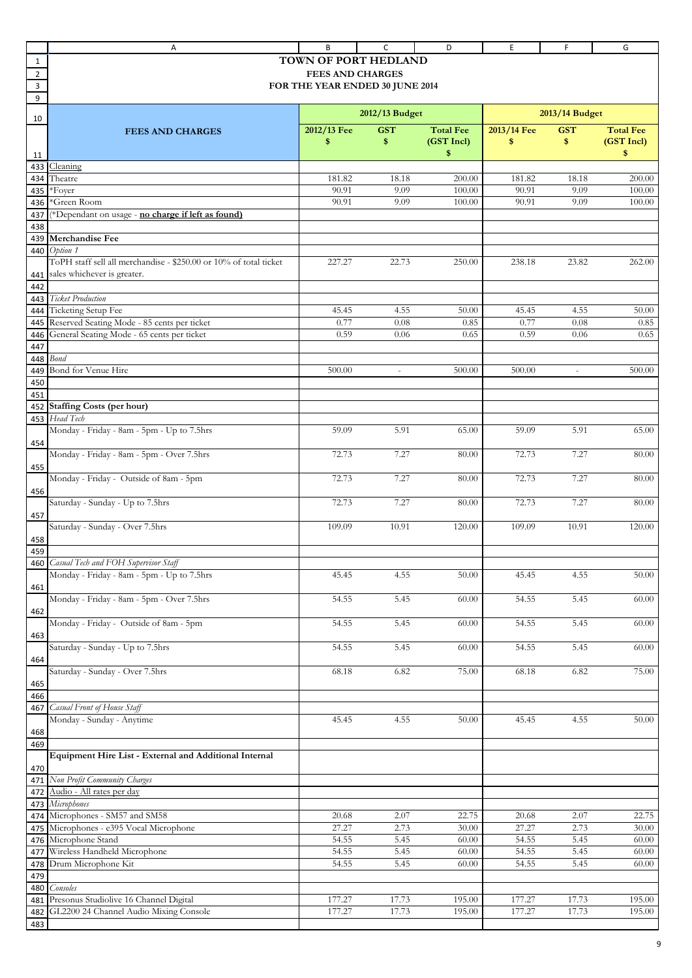|                | Α                                                                 | В                               | c                        | D                | Ε           | F                        | G                |
|----------------|-------------------------------------------------------------------|---------------------------------|--------------------------|------------------|-------------|--------------------------|------------------|
| 1              |                                                                   | TOWN OF PORT HEDLAND            |                          |                  |             |                          |                  |
| $\overline{2}$ |                                                                   | <b>FEES AND CHARGES</b>         |                          |                  |             |                          |                  |
| 3              |                                                                   | FOR THE YEAR ENDED 30 JUNE 2014 |                          |                  |             |                          |                  |
| 9              |                                                                   |                                 |                          |                  |             |                          |                  |
|                |                                                                   |                                 | 2012/13 Budget           |                  |             | 2013/14 Budget           |                  |
| 10             |                                                                   |                                 |                          |                  |             |                          |                  |
|                | <b>FEES AND CHARGES</b>                                           | 2012/13 Fee                     | <b>GST</b>               | <b>Total Fee</b> | 2013/14 Fee | <b>GST</b>               | <b>Total Fee</b> |
|                |                                                                   | \$                              | \$                       | (GST Incl)       | \$          | \$                       | (GST Incl)       |
| 11             |                                                                   |                                 |                          | \$               |             |                          | \$               |
| 433            | Cleaning                                                          |                                 |                          |                  |             |                          |                  |
| 434            | Theatre                                                           | 181.82                          | 18.18                    | 200.00           | 181.82      | 18.18                    | 200.00           |
| 435            | *Foyer                                                            | 90.91                           | 9.09                     | 100.00           | 90.91       | 9.09                     | 100.00           |
| 436            | *Green Room                                                       | 90.91                           | 9.09                     | 100.00           | 90.91       | 9.09                     | 100.00           |
| 437            | (*Dependant on usage - no charge if left as found)                |                                 |                          |                  |             |                          |                  |
| 438            |                                                                   |                                 |                          |                  |             |                          |                  |
| 439            | <b>Merchandise Fee</b>                                            |                                 |                          |                  |             |                          |                  |
| 440            | Option 1                                                          |                                 |                          |                  |             |                          |                  |
|                | ToPH staff sell all merchandise - \$250.00 or 10% of total ticket | 227.27                          | 22.73                    | 250.00           | 238.18      | 23.82                    | 262.00           |
| 441            | sales whichever is greater.                                       |                                 |                          |                  |             |                          |                  |
| 442            |                                                                   |                                 |                          |                  |             |                          |                  |
| 443            | <b>Ticket Production</b>                                          |                                 |                          |                  |             |                          |                  |
| 444            | Ticketing Setup Fee                                               | 45.45                           | 4.55                     | 50.00            | 45.45       | 4.55                     | 50.00            |
| 445            | Reserved Seating Mode - 85 cents per ticket                       | 0.77                            | 0.08                     | 0.85             | 0.77        | 0.08                     | 0.85             |
| 446            | General Seating Mode - 65 cents per ticket                        | 0.59                            | 0.06                     | 0.65             | 0.59        | 0.06                     | 0.65             |
| 447            |                                                                   |                                 |                          |                  |             |                          |                  |
| 448            | <b>Bond</b>                                                       |                                 |                          |                  |             |                          |                  |
| 449            | Bond for Venue Hire                                               | 500.00                          | $\overline{\phantom{a}}$ | 500.00           | 500.00      | $\overline{\phantom{a}}$ | 500.00           |
| 450            |                                                                   |                                 |                          |                  |             |                          |                  |
| 451            |                                                                   |                                 |                          |                  |             |                          |                  |
| 452            | <b>Staffing Costs (per hour)</b>                                  |                                 |                          |                  |             |                          |                  |
| 453            | Head Tech                                                         |                                 |                          |                  |             |                          |                  |
|                | Monday - Friday - 8am - 5pm - Up to 7.5hrs                        | 59.09                           | 5.91                     | 65.00            | 59.09       | 5.91                     | 65.00            |
| 454            | Monday - Friday - 8am - 5pm - Over 7.5hrs                         | 72.73                           | 7.27                     | 80.00            | 72.73       | 7.27                     | 80.00            |
|                |                                                                   |                                 |                          |                  |             |                          |                  |
| 455            | Monday - Friday - Outside of 8am - 5pm                            | 72.73                           | 7.27                     | 80.00            | 72.73       | 7.27                     | 80.00            |
| 456            |                                                                   |                                 |                          |                  |             |                          |                  |
|                | Saturday - Sunday - Up to 7.5hrs                                  | 72.73                           | 7.27                     | 80.00            | 72.73       | 7.27                     | 80.00            |
| 457            |                                                                   |                                 |                          |                  |             |                          |                  |
|                | Saturday - Sunday - Over 7.5hrs                                   | 109.09                          | 10.91                    | 120.00           | 109.09      | 10.91                    | 120.00           |
| 458            |                                                                   |                                 |                          |                  |             |                          |                  |
| 459            |                                                                   |                                 |                          |                  |             |                          |                  |
|                | 460 Casual Tech and FOH Supervisor Staff                          |                                 |                          |                  |             |                          |                  |
|                | Monday - Friday - 8am - 5pm - Up to 7.5hrs                        | 45.45                           | 4.55                     | 50.00            | 45.45       | 4.55                     | 50.00            |
| 461            |                                                                   |                                 |                          |                  |             |                          |                  |
|                | Monday - Friday - 8am - 5pm - Over 7.5hrs                         | 54.55                           | 5.45                     | 60.00            | 54.55       | 5.45                     | 60.00            |
| 462            |                                                                   |                                 |                          |                  |             |                          |                  |
|                | Monday - Friday - Outside of 8am - 5pm                            | 54.55                           | 5.45                     | 60.00            | 54.55       | 5.45                     | 60.00            |
| 463            |                                                                   |                                 |                          |                  |             |                          |                  |
|                | Saturday - Sunday - Up to 7.5hrs                                  | 54.55                           | 5.45                     | 60.00            | 54.55       | 5.45                     | 60.00            |
| 464            |                                                                   |                                 |                          |                  |             |                          |                  |
|                | Saturday - Sunday - Over 7.5hrs                                   | 68.18                           | 6.82                     | 75.00            | 68.18       | 6.82                     | 75.00            |
| 465            |                                                                   |                                 |                          |                  |             |                          |                  |
| 466            |                                                                   |                                 |                          |                  |             |                          |                  |
| 467            | Casual Front of House Staff                                       |                                 |                          |                  |             |                          |                  |
|                | Monday - Sunday - Anytime                                         | 45.45                           | 4.55                     | 50.00            | 45.45       | 4.55                     | 50.00            |
| 468            |                                                                   |                                 |                          |                  |             |                          |                  |
| 469            |                                                                   |                                 |                          |                  |             |                          |                  |
|                | Equipment Hire List - External and Additional Internal            |                                 |                          |                  |             |                          |                  |
| 470            |                                                                   |                                 |                          |                  |             |                          |                  |
| 471            | Non Profit Community Charges                                      |                                 |                          |                  |             |                          |                  |
| 472            | Audio - All rates per day                                         |                                 |                          |                  |             |                          |                  |
| 473            | Microphones                                                       |                                 |                          |                  |             |                          |                  |
| 474            | Microphones - SM57 and SM58                                       | 20.68                           | 2.07                     | 22.75            | 20.68       | 2.07                     | 22.75            |
| 475            | Microphones - e395 Vocal Microphone                               | 27.27                           | 2.73                     | 30.00            | 27.27       | 2.73                     | 30.00            |
| 476            | Microphone Stand                                                  | 54.55                           | 5.45                     | 60.00            | 54.55       | 5.45                     | 60.00            |
| 477            | Wireless Handheld Microphone                                      | 54.55                           | 5.45                     | 60.00            | 54.55       | 5.45                     | 60.00            |
| 478            | Drum Microphone Kit                                               | 54.55                           | 5.45                     | 60.00            | 54.55       | 5.45                     | 60.00            |
| 479            |                                                                   |                                 |                          |                  |             |                          |                  |
| 480            | Consoles                                                          |                                 |                          |                  |             |                          |                  |
| 481            | Presonus Studiolive 16 Channel Digital                            | 177.27                          | 17.73                    | 195.00           | 177.27      | 17.73                    | 195.00           |
| 482            | GL2200 24 Channel Audio Mixing Console                            | 177.27                          | 17.73                    | 195.00           | 177.27      | 17.73                    | 195.00           |
| 483            |                                                                   |                                 |                          |                  |             |                          |                  |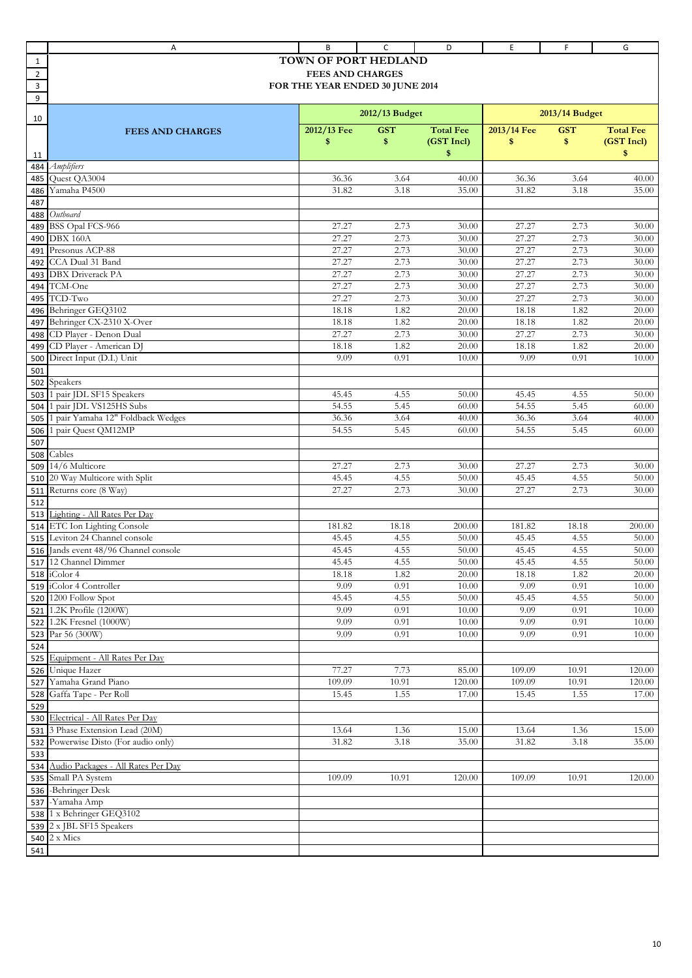|                | Α                                                     | B                               | C              | D                | E                | F.             | G                |
|----------------|-------------------------------------------------------|---------------------------------|----------------|------------------|------------------|----------------|------------------|
| 1              |                                                       | <b>TOWN OF PORT HEDLAND</b>     |                |                  |                  |                |                  |
| $\overline{2}$ |                                                       | <b>FEES AND CHARGES</b>         |                |                  |                  |                |                  |
| 3              |                                                       | FOR THE YEAR ENDED 30 JUNE 2014 |                |                  |                  |                |                  |
| 9              |                                                       |                                 |                |                  |                  |                |                  |
|                |                                                       |                                 | 2012/13 Budget |                  |                  | 2013/14 Budget |                  |
| 10             |                                                       | 2012/13 Fee                     | <b>GST</b>     | <b>Total Fee</b> | 2013/14 Fee      | <b>GST</b>     | <b>Total Fee</b> |
|                | <b>FEES AND CHARGES</b>                               | \$                              | \$             | (GST Incl)       | \$               | \$             | (GST Incl)       |
| 11             |                                                       |                                 |                | \$               |                  |                | \$               |
| 484            | <b>Amplifiers</b>                                     |                                 |                |                  |                  |                |                  |
| 485            | Quest QA3004                                          | 36.36                           | 3.64           | 40.00            | 36.36            | 3.64           | 40.00            |
| 486            | Yamaha P4500                                          | 31.82                           | 3.18           | 35.00            | 31.82            | 3.18           | 35.00            |
| 487            |                                                       |                                 |                |                  |                  |                |                  |
| 488            | Outboard                                              |                                 |                |                  |                  |                |                  |
| 489            | BSS Opal FCS-966                                      | 27.27                           | 2.73           | 30.00            | 27.27            | 2.73           | 30.00            |
| 490            | DBX 160A                                              | 27.27                           | 2.73           | 30.00            | 27.27            | 2.73           | 30.00            |
| 491            | Presonus ACP-88                                       | 27.27                           | 2.73           | 30.00            | 27.27            | 2.73           | 30.00            |
| 492            | CCA Dual 31 Band                                      | 27.27                           | 2.73           | 30.00            | 27.27            | 2.73           | 30.00            |
| 493            | <b>DBX</b> Driverack PA                               | 27.27                           | 2.73           | 30.00            | 27.27            | 2.73           | 30.00            |
| 494            | TCM-One                                               | 27.27                           | 2.73           | 30.00            | 27.27            | 2.73           | 30.00            |
| 495            | TCD-Two<br>Behringer GEQ3102                          | 27.27<br>18.18                  | 2.73<br>1.82   | 30.00<br>20.00   | 27.27<br>18.18   | 2.73<br>1.82   | 30.00<br>20.00   |
| 496<br>497     | Behringer CX-2310 X-Over                              | 18.18                           | 1.82           | 20.00            | 18.18            | 1.82           | 20.00            |
| 498            | CD Player - Denon Dual                                | 27.27                           | 2.73           | 30.00            | 27.27            | 2.73           | 30.00            |
| 499            | CD Player - American DJ                               | 18.18                           | 1.82           | 20.00            | 18.18            | 1.82           | 20.00            |
| 500            | Direct Input (D.I.) Unit                              | 9.09                            | 0.91           | 10.00            | 9.09             | 0.91           | 10.00            |
| 501            |                                                       |                                 |                |                  |                  |                |                  |
| 502            | Speakers                                              |                                 |                |                  |                  |                |                  |
| 503            | 1 pair JDL SF15 Speakers                              | 45.45                           | 4.55           | 50.00            | 45.45            | 4.55           | 50.00            |
| 504            | pair JDL VS125HS Subs                                 | 54.55                           | 5.45           | 60.00            | 54.55            | 5.45           | 60.00            |
| 505            | pair Yamaha 12" Foldback Wedges                       | 36.36                           | 3.64           | 40.00            | 36.36            | 3.64           | 40.00            |
| 506            | pair Quest QM12MP                                     | 54.55                           | 5.45           | 60.00            | 54.55            | 5.45           | 60.00            |
| 507            |                                                       |                                 |                |                  |                  |                |                  |
| 508            | Cables                                                |                                 |                |                  |                  |                |                  |
| 509            | 14/6 Multicore                                        | 27.27                           | 2.73           | 30.00            | 27.27            | 2.73           | 30.00            |
| 510            | 20 Way Multicore with Split                           | 45.45                           | 4.55           | 50.00            | 45.45            | 4.55           | 50.00            |
| 511            | Returns core (8 Way)                                  | 27.27                           | 2.73           | 30.00            | 27.27            | 2.73           | 30.00            |
| 512            | 513 Lighting - All Rates Per Day                      |                                 |                |                  |                  |                |                  |
| 514            | ETC Ion Lighting Console                              | 181.82                          | 18.18          | 200.00           | 181.82           | 18.18          | 200.00           |
| 515            | Leviton 24 Channel console                            | 45.45                           | 4.55           | 50.00            | 45.45            | 4.55           | 50.00            |
|                | 516 Jands event 48/96 Channel console                 | 45.45                           | 4.55           | 50.00            | 45.45            | 4.55           | 50.00            |
|                | 517 12 Channel Dimmer                                 | 45.45                           | 4.55           | 50.00            | 45.45            | 4.55           | 50.00            |
|                | 518 iColor 4                                          | 18.18                           | 1.82           | 20.00            | 18.18            | 1.82           | 20.00            |
|                | 519 iColor 4 Controller                               | 9.09                            | 0.91           | 10.00            | 9.09             | 0.91           | 10.00            |
|                | 520 1200 Follow Spot                                  | 45.45                           | 4.55           | 50.00            | 45.45            | 4.55           | 50.00            |
|                | 521 1.2K Profile (1200W)                              | 9.09                            | 0.91           | 10.00            | 9.09             | 0.91           | 10.00            |
| 522            | 1.2K Fresnel (1000W)                                  | 9.09                            | 0.91           | 10.00            | 9.09             | 0.91           | 10.00            |
|                | 523 Par 56 (300W)                                     | 9.09                            | 0.91           | 10.00            | 9.09             | 0.91           | 10.00            |
| 524            |                                                       |                                 |                |                  |                  |                |                  |
|                | 525 Equipment - All Rates Per Day<br>526 Unique Hazer | 77.27                           |                |                  |                  |                |                  |
|                | 527 Yamaha Grand Piano                                | 109.09                          | 7.73<br>10.91  | 85.00<br>120.00  | 109.09<br>109.09 | 10.91<br>10.91 | 120.00<br>120.00 |
|                | 528 Gaffa Tape - Per Roll                             | 15.45                           | 1.55           | 17.00            | 15.45            | 1.55           | 17.00            |
| 529            |                                                       |                                 |                |                  |                  |                |                  |
|                | 530 Electrical - All Rates Per Day                    |                                 |                |                  |                  |                |                  |
| 531            | 3 Phase Extension Lead (20M)                          | 13.64                           | 1.36           | 15.00            | 13.64            | 1.36           | 15.00            |
| 532            | Powerwise Disto (For audio only)                      | 31.82                           | 3.18           | 35.00            | 31.82            | 3.18           | 35.00            |
| 533            |                                                       |                                 |                |                  |                  |                |                  |
|                | 534 Audio Packages - All Rates Per Day                |                                 |                |                  |                  |                |                  |
|                | 535 Small PA System                                   | 109.09                          | 10.91          | 120.00           | 109.09           | 10.91          | 120.00           |
|                | 536 -Behringer Desk                                   |                                 |                |                  |                  |                |                  |
|                | 537 - Yamaha Amp                                      |                                 |                |                  |                  |                |                  |
|                | 538 1 x Behringer GEQ3102                             |                                 |                |                  |                  |                |                  |
|                | 539 2 x JBL SF15 Speakers                             |                                 |                |                  |                  |                |                  |
|                | 540 2 x Mics                                          |                                 |                |                  |                  |                |                  |
| 541            |                                                       |                                 |                |                  |                  |                |                  |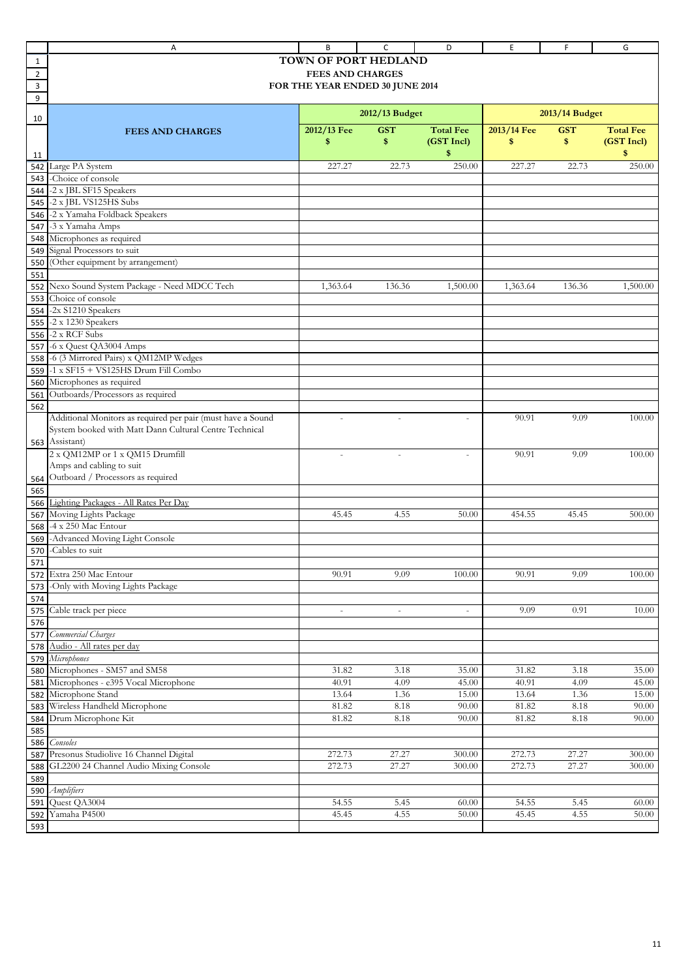|                | Α                                                           | B                               | C                 | D                        | Ε              | F              | G                |
|----------------|-------------------------------------------------------------|---------------------------------|-------------------|--------------------------|----------------|----------------|------------------|
| 1              |                                                             | TOWN OF PORT HEDLAND            |                   |                          |                |                |                  |
| $\overline{2}$ |                                                             | <b>FEES AND CHARGES</b>         |                   |                          |                |                |                  |
| 3              |                                                             | FOR THE YEAR ENDED 30 JUNE 2014 |                   |                          |                |                |                  |
| 9              |                                                             |                                 |                   |                          |                |                |                  |
|                |                                                             |                                 | 2012/13 Budget    |                          |                | 2013/14 Budget |                  |
| 10             |                                                             |                                 |                   |                          |                |                |                  |
|                | <b>FEES AND CHARGES</b>                                     | 2012/13 Fee                     | <b>GST</b>        | <b>Total Fee</b>         | 2013/14 Fee    | <b>GST</b>     | <b>Total Fee</b> |
|                |                                                             | \$                              | \$                | (GST Incl)               | \$             | \$             | (GST Incl)       |
| 11             |                                                             |                                 |                   | \$                       |                |                | \$               |
| 542            | Large PA System                                             | 227.27                          | 22.73             | 250.00                   | 227.27         | 22.73          | 250.00           |
| 543            | -Choice of console                                          |                                 |                   |                          |                |                |                  |
| 544            | -2 x JBL SF15 Speakers                                      |                                 |                   |                          |                |                |                  |
| 545            | -2 x JBL VS125HS Subs                                       |                                 |                   |                          |                |                |                  |
| 546            | -2 x Yamaha Foldback Speakers                               |                                 |                   |                          |                |                |                  |
| 547            | -3 x Yamaha Amps<br>Microphones as required                 |                                 |                   |                          |                |                |                  |
| 548            | Signal Processors to suit                                   |                                 |                   |                          |                |                |                  |
| 549<br>550     | (Other equipment by arrangement)                            |                                 |                   |                          |                |                |                  |
| 551            |                                                             |                                 |                   |                          |                |                |                  |
| 552            | Nexo Sound System Package - Need MDCC Tech                  | 1,363.64                        | 136.36            | 1,500.00                 | 1,363.64       | 136.36         | 1,500.00         |
| 553            | Choice of console                                           |                                 |                   |                          |                |                |                  |
| 554            | -2x S1210 Speakers                                          |                                 |                   |                          |                |                |                  |
| 555            | -2 x 1230 Speakers                                          |                                 |                   |                          |                |                |                  |
| 556            | -2 x RCF Subs                                               |                                 |                   |                          |                |                |                  |
| 557            | -6 x Quest QA3004 Amps                                      |                                 |                   |                          |                |                |                  |
| 558            | -6 (3 Mirrored Pairs) x QM12MP Wedges                       |                                 |                   |                          |                |                |                  |
| 559            | -1 x SF15 + VS125HS Drum Fill Combo                         |                                 |                   |                          |                |                |                  |
| 560            | Microphones as required                                     |                                 |                   |                          |                |                |                  |
| 561            | Outboards/Processors as required                            |                                 |                   |                          |                |                |                  |
| 562            |                                                             |                                 |                   |                          |                |                |                  |
|                | Additional Monitors as required per pair (must have a Sound | $\bar{a}$                       | ÷,                | ÷                        | 90.91          | 9.09           | 100.00           |
|                | System booked with Matt Dann Cultural Centre Technical      |                                 |                   |                          |                |                |                  |
| 563            | Assistant)                                                  |                                 |                   |                          |                |                |                  |
|                | 2 x QM12MP or 1 x QM15 Drumfill                             | $\sim$                          | ÷,                | ÷,                       | 90.91          | 9.09           | 100.00           |
|                | Amps and cabling to suit                                    |                                 |                   |                          |                |                |                  |
| 564            | Outboard / Processors as required                           |                                 |                   |                          |                |                |                  |
| 565            |                                                             |                                 |                   |                          |                |                |                  |
| 566            | Lighting Packages - All Rates Per Day                       |                                 |                   |                          |                |                |                  |
| 567            | Moving Lights Package                                       | 45.45                           | 4.55              | 50.00                    | 454.55         | 45.45          | 500.00           |
| 568            | -4 x 250 Mac Entour                                         |                                 |                   |                          |                |                |                  |
| 569            | -Advanced Moving Light Console                              |                                 |                   |                          |                |                |                  |
| 570            | -Cables to suit                                             |                                 |                   |                          |                |                |                  |
| 571            |                                                             |                                 |                   |                          |                |                |                  |
| 572            | Extra 250 Mac Entour                                        | 90.91                           | 9.09              | 100.00                   | 90.91          | 9.09           | 100.00           |
| 573            | -Only with Moving Lights Package                            |                                 |                   |                          |                |                |                  |
| 574            |                                                             |                                 |                   |                          |                |                |                  |
| 575            | Cable track per piece                                       |                                 | $\sim$            | $\overline{\phantom{a}}$ | 9.09           | 0.91           | 10.00            |
| 576            |                                                             |                                 |                   |                          |                |                |                  |
| 577            | Commercial Charges                                          |                                 |                   |                          |                |                |                  |
| 578            | Audio - All rates per day<br>Microphones                    |                                 |                   |                          |                |                |                  |
| 579            | Microphones - SM57 and SM58                                 |                                 |                   |                          |                |                |                  |
| 580<br>581     | Microphones - e395 Vocal Microphone                         | 31.82<br>40.91                  | 3.18<br>4.09      | 35.00<br>45.00           | 31.82<br>40.91 | 3.18<br>4.09   | 35.00<br>45.00   |
|                | Microphone Stand                                            | 13.64                           | 1.36              | 15.00                    | 13.64          | 1.36           | 15.00            |
| 582<br>583     | Wireless Handheld Microphone                                | 81.82                           | $\overline{8.18}$ | 90.00                    | 81.82          | $8.18\,$       | 90.00            |
| 584            | Drum Microphone Kit                                         | 81.82                           | 8.18              | $90.00\,$                | 81.82          | $8.18\,$       | 90.00            |
| 585            |                                                             |                                 |                   |                          |                |                |                  |
| 586            | Consoles                                                    |                                 |                   |                          |                |                |                  |
| 587            | Presonus Studiolive 16 Channel Digital                      | 272.73                          | 27.27             | 300.00                   | 272.73         | 27.27          | 300.00           |
| 588            | GL2200 24 Channel Audio Mixing Console                      | 272.73                          | 27.27             | 300.00                   | 272.73         | 27.27          | 300.00           |
| 589            |                                                             |                                 |                   |                          |                |                |                  |
| 590            | Amplifiers                                                  |                                 |                   |                          |                |                |                  |
| 591            | Quest QA3004                                                | 54.55                           | 5.45              | 60.00                    | 54.55          | 5.45           | 60.00            |
| 592            | Yamaha P4500                                                | 45.45                           | 4.55              | 50.00                    | 45.45          | 4.55           | 50.00            |
| 593            |                                                             |                                 |                   |                          |                |                |                  |
|                |                                                             |                                 |                   |                          |                |                |                  |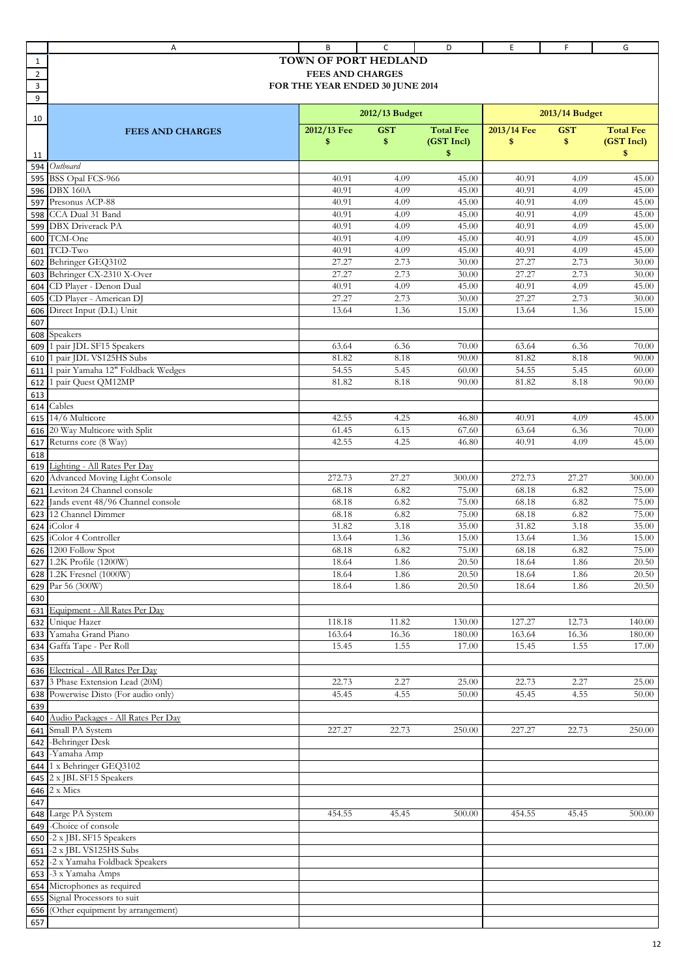|                | Α                                                                      | B                               | C              | D                    | Ε           | F.             | G                |
|----------------|------------------------------------------------------------------------|---------------------------------|----------------|----------------------|-------------|----------------|------------------|
| 1              |                                                                        | TOWN OF PORT HEDLAND            |                |                      |             |                |                  |
| $\overline{2}$ |                                                                        | <b>FEES AND CHARGES</b>         |                |                      |             |                |                  |
| 3              |                                                                        | FOR THE YEAR ENDED 30 JUNE 2014 |                |                      |             |                |                  |
| 9              |                                                                        |                                 |                |                      |             |                |                  |
|                |                                                                        |                                 | 2012/13 Budget |                      |             | 2013/14 Budget |                  |
| 10             |                                                                        |                                 |                |                      |             |                |                  |
|                | <b>FEES AND CHARGES</b>                                                | 2012/13 Fee                     | <b>GST</b>     | <b>Total Fee</b>     | 2013/14 Fee | <b>GST</b>     | <b>Total Fee</b> |
|                |                                                                        | \$                              | \$             | (GST Incl)           | \$          | \$             | (GST Incl)       |
| 11             |                                                                        |                                 |                | \$                   |             |                | \$               |
| 594            | Outboard                                                               |                                 |                |                      |             |                |                  |
| 595            | BSS Opal FCS-966                                                       | 40.91                           | 4.09           | 45.00                | 40.91       | 4.09           | 45.00            |
| 596            | <b>DBX 160A</b>                                                        | 40.91                           | 4.09           | 45.00                | 40.91       | 4.09           | 45.00            |
| 597            | Presonus ACP-88                                                        | 40.91                           | 4.09           | 45.00                | 40.91       | 4.09           | 45.00            |
| 598            | CCA Dual 31 Band                                                       | 40.91                           | 4.09           | 45.00                | 40.91       | 4.09           | 45.00            |
| 599            | <b>DBX</b> Driverack PA                                                | 40.91                           | 4.09           | 45.00                | 40.91       | 4.09           | 45.00            |
| 600            | TCM-One                                                                | 40.91                           | 4.09           | 45.00                | 40.91       | 4.09           | 45.00            |
| 601            | TCD-Two                                                                | 40.91                           | 4.09           | 45.00                | 40.91       | 4.09           | 45.00            |
| 602            | Behringer GEQ3102                                                      | 27.27                           | 2.73           | 30.00                | 27.27       | 2.73           | 30.00            |
| 603            | Behringer CX-2310 X-Over                                               | 27.27                           | 2.73           | 30.00                | 27.27       | 2.73           | 30.00            |
| 604            | CD Player - Denon Dual                                                 | 40.91                           | 4.09           | 45.00                | 40.91       | 4.09           | 45.00            |
| 605            | CD Player - American DJ                                                | 27.27                           | 2.73           | 30.00                | 27.27       | 2.73           | 30.00            |
| 606            | Direct Input (D.I.) Unit                                               | 13.64                           | 1.36           | 15.00                | 13.64       | 1.36           | 15.00            |
| 607            |                                                                        |                                 |                |                      |             |                |                  |
| 608            | Speakers                                                               |                                 |                |                      |             |                |                  |
| 609            | 1 pair JDL SF15 Speakers                                               | 63.64                           | 6.36           | 70.00                | 63.64       | 6.36           | 70.00            |
| 610            | pair JDL VS125HS Subs                                                  | 81.82                           | 8.18           | 90.00                | 81.82       | 8.18           | 90.00            |
| 611            | pair Yamaha 12" Foldback Wedges                                        | 54.55                           | 5.45           | 60.00                | 54.55       | 5.45           | 60.00            |
| 612            | pair Quest QM12MP                                                      | 81.82                           | 8.18           | 90.00                | 81.82       | 8.18           | 90.00            |
| 613            |                                                                        |                                 |                |                      |             |                |                  |
| 614            | Cables                                                                 |                                 |                |                      |             |                |                  |
|                | 615 14/6 Multicore                                                     | 42.55                           | 4.25           | 46.80                | 40.91       | 4.09           | 45.00            |
| 616            | 20 Way Multicore with Split                                            | 61.45                           | 6.15           | 67.60                | 63.64       | 6.36           | 70.00            |
| 617            | Returns core (8 Way)                                                   | 42.55                           | 4.25           | 46.80                | 40.91       | 4.09           | 45.00            |
| 618            |                                                                        |                                 |                |                      |             |                |                  |
| 619            | Lighting - All Rates Per Day                                           |                                 |                |                      |             |                |                  |
| 620            | Advanced Moving Light Console                                          | 272.73                          | 27.27          | 300.00               | 272.73      | 27.27          | 300.00           |
| 621            | Leviton 24 Channel console                                             | 68.18                           | 6.82           | 75.00                | 68.18       | 6.82           | 75.00            |
| 622            | Jands event 48/96 Channel console                                      | 68.18                           | 6.82           | 75.00                | 68.18       | 6.82           | 75.00            |
| 623            | 12 Channel Dimmer                                                      | 68.18                           | 6.82           | 75.00                | 68.18       | 6.82           | 75.00            |
|                | iColor 4                                                               | 31.82                           | 3.18           | 35.00                | 31.82       | 3.18           | 35.00            |
| 624<br>625     | iColor 4 Controller                                                    | 13.64                           | 1.36           | 15.00                | 13.64       | 1.36           | 15.00            |
|                | 626 1200 Follow Spot                                                   | 68.18                           | 6.82           | 75.00                | 68.18       | 6.82           | 75.00            |
|                | 627 1.2K Profile (1200W)                                               | 18.64                           | 1.86           | 20.50                | 18.64       | 1.86           | 20.50            |
|                | 628 1.2K Fresnel (1000W)                                               |                                 | 1.86           | 20.50                | 18.64       |                | 20.50            |
|                | 629 Par 56 (300W)                                                      | 18.64<br>18.64                  | 1.86           | 20.50                | 18.64       | 1.86<br>1.86   | 20.50            |
|                |                                                                        |                                 |                |                      |             |                |                  |
| 630            | Equipment - All Rates Per Day                                          |                                 |                |                      |             |                |                  |
| 631            | 632 Unique Hazer                                                       |                                 |                |                      | 127.27      | 12.73          |                  |
|                | 633 Yamaha Grand Piano                                                 | 118.18<br>163.64                | 11.82<br>16.36 | 130.00<br>$180.00\,$ | 163.64      | 16.36          | 140.00<br>180.00 |
|                |                                                                        |                                 |                |                      |             |                |                  |
| 634            | Gaffa Tape - Per Roll                                                  | 15.45                           | 1.55           | 17.00                | 15.45       | 1.55           | 17.00            |
| 635            |                                                                        |                                 |                |                      |             |                |                  |
|                | 636 Electrical - All Rates Per Day<br>637 3 Phase Extension Lead (20M) | 22.73                           | 2.27           | 25.00                | 22.73       | 2.27           | 25.00            |
|                | Powerwise Disto (For audio only)                                       | 45.45                           |                |                      |             |                |                  |
| 638<br>639     |                                                                        |                                 | 4.55           | 50.00                | 45.45       | 4.55           | 50.00            |
|                |                                                                        |                                 |                |                      |             |                |                  |
|                | 640 Audio Packages - All Rates Per Day                                 |                                 |                |                      |             |                |                  |
|                | 641 Small PA System                                                    | 227.27                          | 22.73          | 250.00               | 227.27      | 22.73          | 250.00           |
| 642            | -Behringer Desk                                                        |                                 |                |                      |             |                |                  |
|                | 643 - Yamaha Amp                                                       |                                 |                |                      |             |                |                  |
|                | 644 1 x Behringer GEQ3102                                              |                                 |                |                      |             |                |                  |
|                | 645 2 x JBL SF15 Speakers                                              |                                 |                |                      |             |                |                  |
|                | $646$ $2 \times$ Mics                                                  |                                 |                |                      |             |                |                  |
| 647            |                                                                        |                                 |                |                      |             |                |                  |
|                | 648 Large PA System                                                    | 454.55                          | 45.45          | 500.00               | 454.55      | 45.45          | 500.00           |
| 649            | -Choice of console                                                     |                                 |                |                      |             |                |                  |
| 650            | -2 x JBL SF15 Speakers                                                 |                                 |                |                      |             |                |                  |
| 651            | -2 x JBL VS125HS Subs                                                  |                                 |                |                      |             |                |                  |
| 652            | -2 x Yamaha Foldback Speakers                                          |                                 |                |                      |             |                |                  |
| 653            | -3 x Yamaha Amps                                                       |                                 |                |                      |             |                |                  |
| 654            | Microphones as required                                                |                                 |                |                      |             |                |                  |
| 655            | Signal Processors to suit                                              |                                 |                |                      |             |                |                  |
|                | 656 (Other equipment by arrangement)                                   |                                 |                |                      |             |                |                  |
| 657            |                                                                        |                                 |                |                      |             |                |                  |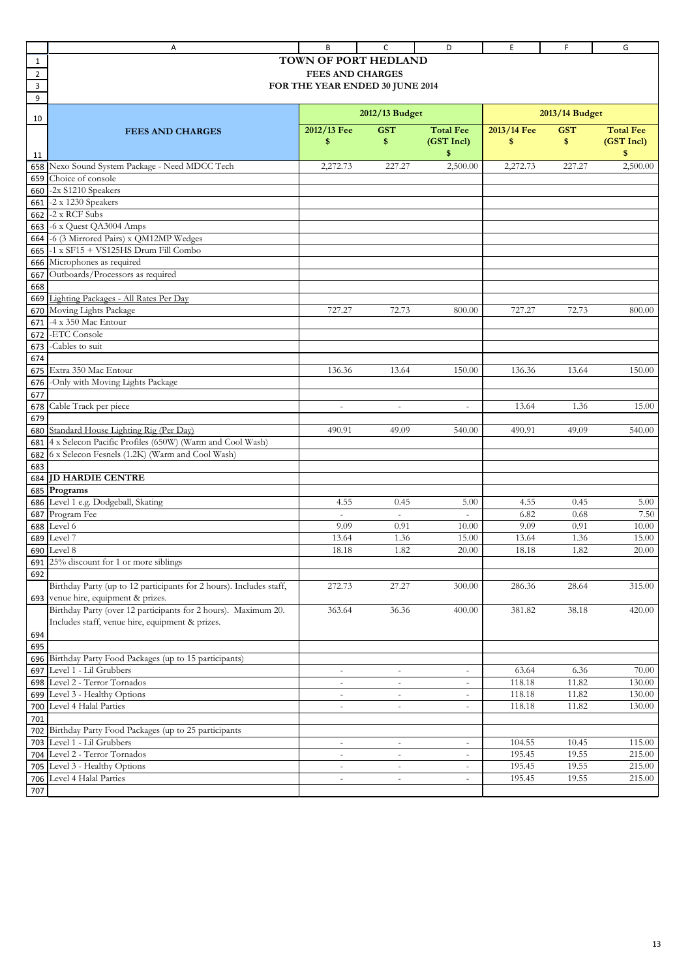|                | Α                                                                   | B                               | C                        | D                        | E                | F              | G                |
|----------------|---------------------------------------------------------------------|---------------------------------|--------------------------|--------------------------|------------------|----------------|------------------|
| $\mathbf{1}$   |                                                                     | TOWN OF PORT HEDLAND            |                          |                          |                  |                |                  |
| $\overline{2}$ |                                                                     | <b>FEES AND CHARGES</b>         |                          |                          |                  |                |                  |
| 3              |                                                                     | FOR THE YEAR ENDED 30 JUNE 2014 |                          |                          |                  |                |                  |
| 9              |                                                                     |                                 |                          |                          |                  |                |                  |
|                |                                                                     |                                 | 2012/13 Budget           |                          |                  | 2013/14 Budget |                  |
| 10             |                                                                     |                                 |                          |                          |                  |                |                  |
|                | <b>FEES AND CHARGES</b>                                             | 2012/13 Fee                     | <b>GST</b>               | <b>Total Fee</b>         | 2013/14 Fee      | <b>GST</b>     | <b>Total Fee</b> |
|                |                                                                     | \$                              | \$                       | (GST Incl)               | \$               | \$             | (GST Incl)       |
| 11             |                                                                     |                                 |                          | \$                       |                  |                | \$               |
| 658            | Nexo Sound System Package - Need MDCC Tech                          | 2,272.73                        | 227.27                   | 2,500.00                 | 2,272.73         | 227.27         | 2,500.00         |
| 659            | Choice of console                                                   |                                 |                          |                          |                  |                |                  |
| 660            | -2x S1210 Speakers                                                  |                                 |                          |                          |                  |                |                  |
| 661            | -2 x 1230 Speakers                                                  |                                 |                          |                          |                  |                |                  |
| 662            | -2 x RCF Subs                                                       |                                 |                          |                          |                  |                |                  |
| 663            | -6 x Quest QA3004 Amps                                              |                                 |                          |                          |                  |                |                  |
| 664            | -6 (3 Mirrored Pairs) x QM12MP Wedges                               |                                 |                          |                          |                  |                |                  |
| 665            | -1 x SF15 + VS125HS Drum Fill Combo                                 |                                 |                          |                          |                  |                |                  |
| 666            | Microphones as required                                             |                                 |                          |                          |                  |                |                  |
| 667            | Outboards/Processors as required                                    |                                 |                          |                          |                  |                |                  |
| 668            |                                                                     |                                 |                          |                          |                  |                |                  |
| 669            | Lighting Packages - All Rates Per Day                               |                                 |                          |                          |                  |                |                  |
| 670            | Moving Lights Package                                               | 727.27                          | 72.73                    | 800.00                   | 727.27           | 72.73          | 800.00           |
| 671            | -4 x 350 Mac Entour                                                 |                                 |                          |                          |                  |                |                  |
| 672            | -ETC Console                                                        |                                 |                          |                          |                  |                |                  |
| 673            | -Cables to suit                                                     |                                 |                          |                          |                  |                |                  |
| 674            |                                                                     |                                 |                          |                          |                  |                |                  |
| 675            | Extra 350 Mac Entour                                                | 136.36                          | 13.64                    | 150.00                   | 136.36           | 13.64          | 150.00           |
| 676            | -Only with Moving Lights Package                                    |                                 |                          |                          |                  |                |                  |
| 677            |                                                                     |                                 |                          |                          |                  |                |                  |
| 678            | Cable Track per piece                                               | $\overline{\phantom{a}}$        | $\overline{\phantom{a}}$ | $\overline{\phantom{a}}$ | 13.64            | 1.36           | 15.00            |
| 679            |                                                                     |                                 |                          |                          |                  |                |                  |
| 680            | Standard House Lighting Rig (Per Day)                               | 490.91                          | 49.09                    | 540.00                   | 490.91           | 49.09          | 540.00           |
| 681            | 4 x Selecon Pacific Profiles (650W) (Warm and Cool Wash)            |                                 |                          |                          |                  |                |                  |
| 682            | 6 x Selecon Fesnels (1.2K) (Warm and Cool Wash)                     |                                 |                          |                          |                  |                |                  |
| 683            |                                                                     |                                 |                          |                          |                  |                |                  |
| 684            | <b>JD HARDIE CENTRE</b>                                             |                                 |                          |                          |                  |                |                  |
| 685            | Programs                                                            |                                 |                          |                          |                  |                |                  |
| 686            | Level 1 e.g. Dodgeball, Skating                                     | 4.55                            | 0.45                     | 5.00                     | 4.55<br>6.82     | 0.45           | 5.00             |
| 687            | Program Fee                                                         | $\sim$                          | $\omega$                 | $\bar{a}$                |                  | 0.68           | 7.50             |
| 688            | Level 6                                                             | 9.09                            | 0.91                     | 10.00                    | 9.09             | 0.91           | 10.00            |
| 689            | Level 7                                                             | 13.64                           | 1.36                     | 15.00                    | 13.64            | 1.36           | 15.00            |
|                | <b>690</b> Level 8                                                  | 18.18                           | 1.82                     | 20.00                    | 18.18            | 1.82           | 20.00            |
|                | 691 25% discount for 1 or more siblings                             |                                 |                          |                          |                  |                |                  |
| 692            |                                                                     |                                 |                          |                          |                  |                |                  |
|                | Birthday Party (up to 12 participants for 2 hours). Includes staff, | 272.73                          | 27.27                    | 300.00                   | 286.36           | 28.64          | 315.00           |
| 693            | venue hire, equipment & prizes.                                     |                                 |                          |                          |                  |                |                  |
|                | Birthday Party (over 12 participants for 2 hours). Maximum 20.      | 363.64                          | 36.36                    | 400.00                   | 381.82           | 38.18          | 420.00           |
|                | Includes staff, venue hire, equipment & prizes.                     |                                 |                          |                          |                  |                |                  |
| 694            |                                                                     |                                 |                          |                          |                  |                |                  |
| 695            |                                                                     |                                 |                          |                          |                  |                |                  |
| 696            | Birthday Party Food Packages (up to 15 participants)                |                                 |                          |                          |                  |                |                  |
| 697            | Level 1 - Lil Grubbers                                              | $\overline{\phantom{a}}$        | $\overline{\phantom{a}}$ | $\overline{\phantom{a}}$ | 63.64            | 6.36           | 70.00            |
| 698            | Level 2 - Terror Tornados                                           | $\overline{\phantom{a}}$        | $\overline{\phantom{a}}$ | $\overline{\phantom{a}}$ | 118.18           | 11.82          | 130.00           |
| 699            | Level 3 - Healthy Options                                           | $\overline{\phantom{a}}$        | $\overline{\phantom{a}}$ | $\overline{\phantom{a}}$ | 118.18           | 11.82          | 130.00           |
| 700            | Level 4 Halal Parties                                               | $\overline{\phantom{a}}$        | $\overline{\phantom{a}}$ | $\overline{\phantom{a}}$ | 118.18           | 11.82          | 130.00           |
| 701            |                                                                     |                                 |                          |                          |                  |                |                  |
| 702            | Birthday Party Food Packages (up to 25 participants                 |                                 |                          |                          |                  |                |                  |
| 703            | Level 1 - Lil Grubbers                                              | $\overline{\phantom{a}}$        | $\overline{\phantom{a}}$ | $\overline{\phantom{a}}$ | 104.55           | 10.45          | 115.00           |
| 704            | Level 2 - Terror Tornados                                           | $\overline{\phantom{a}}$        | $\overline{\phantom{a}}$ | $\overline{\phantom{a}}$ | 195.45           | 19.55          | 215.00           |
| 705            | Level 3 - Healthy Options<br>Level 4 Halal Parties                  | $\overline{\phantom{a}}$        | $\overline{\phantom{a}}$ | $\overline{\phantom{a}}$ | 195.45<br>195.45 | 19.55<br>19.55 | 215.00           |
| 706            |                                                                     |                                 | $\overline{\phantom{a}}$ | $\overline{\phantom{a}}$ |                  |                | 215.00           |
| 707            |                                                                     |                                 |                          |                          |                  |                |                  |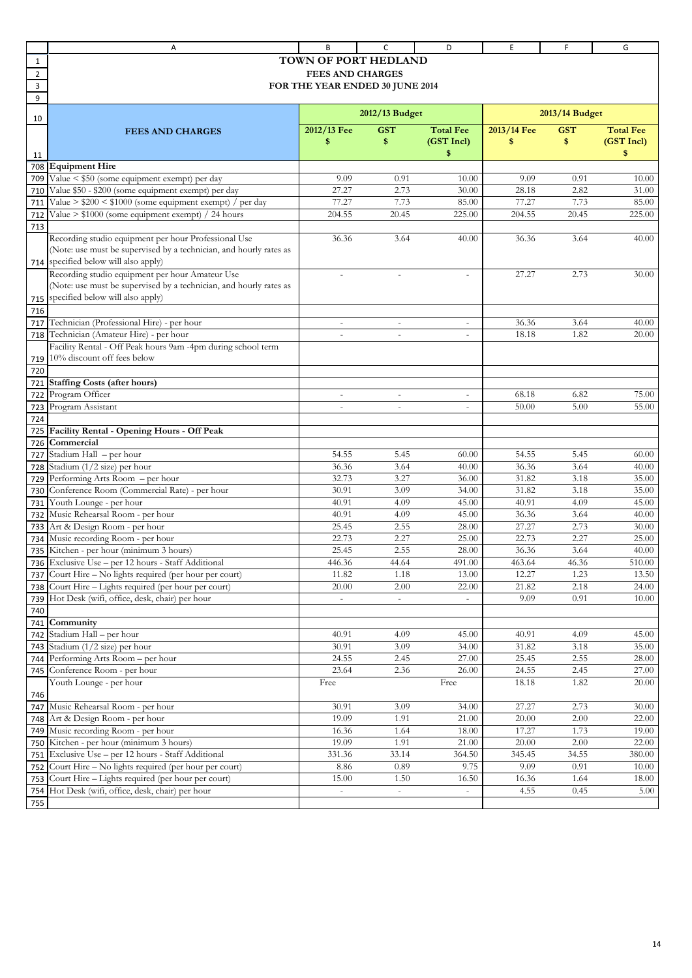|                | Α                                                                       | B                               | c                        | D                        | E              | F              | G                |
|----------------|-------------------------------------------------------------------------|---------------------------------|--------------------------|--------------------------|----------------|----------------|------------------|
| 1              |                                                                         | <b>TOWN OF PORT HEDLAND</b>     |                          |                          |                |                |                  |
| $\overline{2}$ |                                                                         | <b>FEES AND CHARGES</b>         |                          |                          |                |                |                  |
| 3              |                                                                         | FOR THE YEAR ENDED 30 JUNE 2014 |                          |                          |                |                |                  |
| 9              |                                                                         |                                 |                          |                          |                |                |                  |
|                |                                                                         |                                 | 2012/13 Budget           |                          |                | 2013/14 Budget |                  |
| 10             |                                                                         | 2012/13 Fee                     | <b>GST</b>               | <b>Total Fee</b>         | 2013/14 Fee    | <b>GST</b>     | <b>Total Fee</b> |
|                | <b>FEES AND CHARGES</b>                                                 | \$                              | \$                       | (GST Incl)               | \$             | \$             | (GST Incl)       |
| 11             |                                                                         |                                 |                          | \$                       |                |                | \$               |
| 708            | <b>Equipment Hire</b>                                                   |                                 |                          |                          |                |                |                  |
| 709            | Value < \$50 (some equipment exempt) per day                            | 9.09                            | 0.91                     | 10.00                    | 9.09           | 0.91           | 10.00            |
| 710            | Value \$50 - \$200 (some equipment exempt) per day                      | 27.27                           | 2.73                     | 30.00                    | 28.18          | 2.82           | 31.00            |
| 711            | Value > $$200 < $1000$ (some equipment exempt) / per day                | 77.27                           | 7.73                     | 85.00                    | 77.27          | 7.73           | 85.00            |
| 712            | Value > \$1000 (some equipment exempt) / 24 hours                       | 204.55                          | 20.45                    | 225.00                   | 204.55         | 20.45          | 225.00           |
| 713            |                                                                         |                                 |                          |                          |                |                |                  |
|                | Recording studio equipment per hour Professional Use                    | 36.36                           | 3.64                     | 40.00                    | 36.36          | 3.64           | 40.00            |
|                | (Note: use must be supervised by a technician, and hourly rates as      |                                 |                          |                          |                |                |                  |
| 714            | specified below will also apply)                                        |                                 |                          |                          |                |                |                  |
|                | Recording studio equipment per hour Amateur Use                         | $\sim$                          | $\sim$                   | $\overline{\phantom{a}}$ | 27.27          | 2.73           | 30.00            |
|                | (Note: use must be supervised by a technician, and hourly rates as      |                                 |                          |                          |                |                |                  |
| 715            | specified below will also apply)                                        |                                 |                          |                          |                |                |                  |
| 716            |                                                                         |                                 |                          |                          |                |                |                  |
| 717            | Technician (Professional Hire) - per hour                               | $\overline{\phantom{a}}$        | $\overline{\phantom{a}}$ | $\overline{\phantom{a}}$ | 36.36          | 3.64           | 40.00            |
| 718            | Technician (Amateur Hire) - per hour                                    | $\bar{a}$                       | $\sim$                   | $\overline{\phantom{a}}$ | 18.18          | 1.82           | 20.00            |
|                | Facility Rental - Off Peak hours 9am -4pm during school term            |                                 |                          |                          |                |                |                  |
| 719            | 10% discount off fees below                                             |                                 |                          |                          |                |                |                  |
| 720            |                                                                         |                                 |                          |                          |                |                |                  |
| 721            | <b>Staffing Costs (after hours)</b>                                     |                                 |                          |                          |                |                |                  |
| 722            | Program Officer                                                         |                                 |                          | $\equiv$                 | 68.18          | 6.82           | 75.00            |
| 723            | Program Assistant                                                       | $\sim$                          | $\sim$                   | $\equiv$                 | 50.00          | 5.00           | 55.00            |
| 724            |                                                                         |                                 |                          |                          |                |                |                  |
| 725            | Facility Rental - Opening Hours - Off Peak                              |                                 |                          |                          |                |                |                  |
| 726            | Commercial                                                              |                                 |                          |                          |                |                |                  |
| 727            | Stadium Hall - per hour                                                 | 54.55                           | 5.45                     | 60.00                    | 54.55          | 5.45           | 60.00            |
| 728            | Stadium (1/2 size) per hour<br>Performing Arts Room - per hour          | 36.36<br>32.73                  | 3.64                     | 40.00                    | 36.36<br>31.82 | 3.64           | 40.00            |
| 729            |                                                                         | 30.91                           | 3.27<br>3.09             | 36.00                    | 31.82          | 3.18           | 35.00<br>35.00   |
| 730            | Conference Room (Commercial Rate) - per hour<br>Youth Lounge - per hour | 40.91                           | 4.09                     | 34.00<br>45.00           | 40.91          | 3.18<br>4.09   | 45.00            |
| 731<br>732     | Music Rehearsal Room - per hour                                         | 40.91                           | 4.09                     | 45.00                    | 36.36          | 3.64           | 40.00            |
| 733            | Art & Design Room - per hour                                            | 25.45                           | 2.55                     | 28.00                    | 27.27          | 2.73           | 30.00            |
| 734            | Music recording Room - per hour                                         | 22.73                           | 2.27                     | 25.00                    | 22.73          | 2.27           | 25.00            |
|                | 735 Kitchen - per hour (minimum 3 hours)                                | 25.45                           | 2.55                     | 28.00                    | 36.36          | 3.64           | 40.00            |
|                | 736 Exclusive Use - per 12 hours - Staff Additional                     | 446.36                          | $44.\overline{64}$       | 491.00                   | 463.64         | 46.36          | 510.00           |
| 737            | Court Hire - No lights required (per hour per court)                    | 11.82                           | 1.18                     | 13.00                    | 12.27          | 1.23           | 13.50            |
|                | 738 Court Hire - Lights required (per hour per court)                   | 20.00                           | 2.00                     | 22.00                    | 21.82          | 2.18           | 24.00            |
| 739            | Hot Desk (wifi, office, desk, chair) per hour                           |                                 |                          |                          | 9.09           | 0.91           | 10.00            |
| 740            |                                                                         |                                 |                          |                          |                |                |                  |
| 741            | Community                                                               |                                 |                          |                          |                |                |                  |
| 742            | Stadium Hall - per hour                                                 | 40.91                           | 4.09                     | 45.00                    | 40.91          | 4.09           | 45.00            |
| 743            | Stadium (1/2 size) per hour                                             | 30.91                           | 3.09                     | 34.00                    | 31.82          | 3.18           | 35.00            |
| 744            | Performing Arts Room - per hour                                         | 24.55                           | 2.45                     | 27.00                    | 25.45          | 2.55           | 28.00            |
| 745            | Conference Room - per hour                                              | 23.64                           | 2.36                     | 26.00                    | 24.55          | 2.45           | 27.00            |
|                | Youth Lounge - per hour                                                 | Free                            |                          | Free                     | 18.18          | 1.82           | 20.00            |
| 746            |                                                                         |                                 |                          |                          |                |                |                  |
| 747            | Music Rehearsal Room - per hour                                         | 30.91                           | 3.09                     | 34.00                    | 27.27          | 2.73           | 30.00            |
|                | 748 Art & Design Room - per hour                                        | 19.09                           | 1.91                     | 21.00                    | 20.00          | 2.00           | 22.00            |
| 749            | Music recording Room - per hour                                         | 16.36                           | 1.64                     | 18.00                    | 17.27          | 1.73           | 19.00            |
| 750            | Kitchen - per hour (minimum 3 hours)                                    | 19.09                           | 1.91                     | 21.00                    | 20.00          | 2.00           | 22.00            |
| 751            | Exclusive Use - per 12 hours - Staff Additional                         | 331.36                          | 33.14                    | 364.50                   | 345.45         | 34.55          | 380.00           |
| 752            | Court Hire - No lights required (per hour per court)                    | 8.86                            | 0.89                     | 9.75                     | 9.09           | 0.91           | 10.00            |
| 753            | Court Hire - Lights required (per hour per court)                       | 15.00                           | 1.50                     | 16.50                    | 16.36          | 1.64           | 18.00            |
| 754            | Hot Desk (wifi, office, desk, chair) per hour                           | $\sim$                          | $\omega$                 | $\omega$                 | 4.55           | 0.45           | 5.00             |
| 755            |                                                                         |                                 |                          |                          |                |                |                  |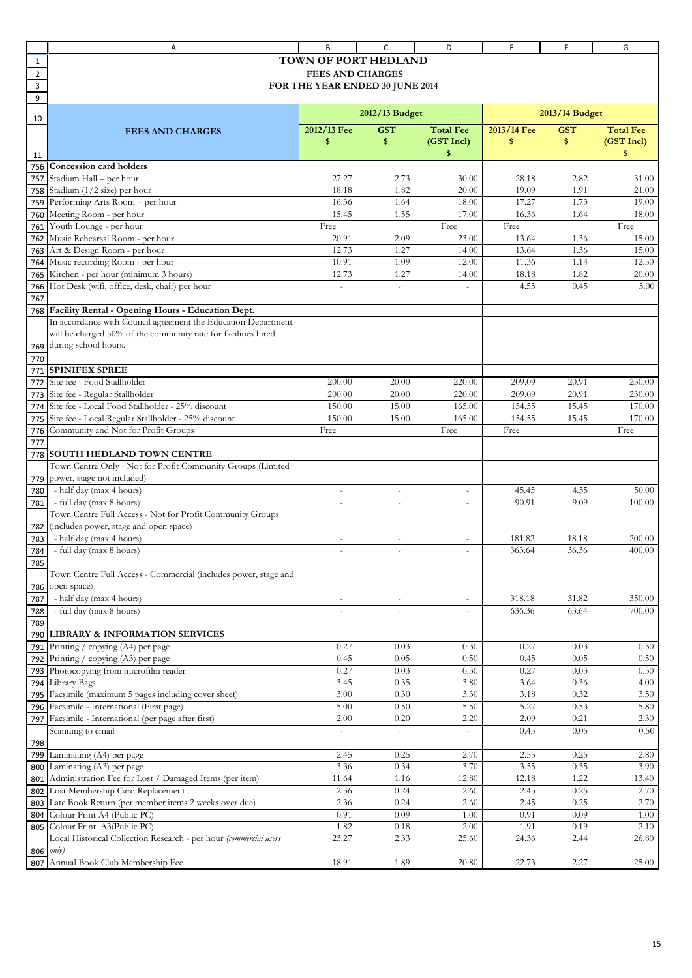|                | Α                                                                                     | В                               | c                        | D                        | Ε           | F              | G                |
|----------------|---------------------------------------------------------------------------------------|---------------------------------|--------------------------|--------------------------|-------------|----------------|------------------|
| 1              |                                                                                       | <b>TOWN OF PORT HEDLAND</b>     |                          |                          |             |                |                  |
| $\overline{2}$ |                                                                                       | <b>FEES AND CHARGES</b>         |                          |                          |             |                |                  |
| 3              |                                                                                       | FOR THE YEAR ENDED 30 JUNE 2014 |                          |                          |             |                |                  |
| 9              |                                                                                       |                                 |                          |                          |             |                |                  |
|                |                                                                                       |                                 |                          |                          |             |                |                  |
| 10             |                                                                                       |                                 | 2012/13 Budget           |                          |             | 2013/14 Budget |                  |
|                | <b>FEES AND CHARGES</b>                                                               | 2012/13 Fee                     | <b>GST</b>               | <b>Total Fee</b>         | 2013/14 Fee | <b>GST</b>     | <b>Total Fee</b> |
|                |                                                                                       | \$                              | \$                       | (GST Incl)               | \$          | \$             | (GST Incl)       |
| 11             |                                                                                       |                                 |                          | \$                       |             |                | \$               |
| 756            | <b>Concession card holders</b>                                                        |                                 |                          |                          |             |                |                  |
| 757            | Stadium Hall - per hour                                                               | 27.27                           | 2.73                     | 30.00                    | 28.18       | 2.82           | 31.00            |
| 758            | Stadium (1/2 size) per hour                                                           | 18.18                           | 1.82                     | 20.00                    | 19.09       | 1.91           | 21.00            |
| 759            | Performing Arts Room - per hour                                                       | 16.36                           | 1.64                     | 18.00                    | 17.27       | 1.73           | 19.00            |
| 760            | Meeting Room - per hour                                                               | 15.45                           | 1.55                     | 17.00                    | 16.36       | 1.64           | 18.00            |
| 761            | Youth Lounge - per hour                                                               | Free                            |                          | Free                     | Free        |                | Free             |
| 762            | Music Rehearsal Room - per hour                                                       | 20.91                           | 2.09                     | 23.00                    | 13.64       | 1.36           | 15.00            |
| 763            | Art & Design Room - per hour                                                          | 12.73                           | 1.27                     | 14.00                    | 13.64       | 1.36           | 15.00            |
| 764            | Music recording Room - per hour                                                       | 10.91                           | 1.09                     | 12.00                    | 11.36       | 1.14           | 12.50            |
| 765            | Kitchen - per hour (minimum 3 hours)                                                  | 12.73                           | 1.27                     | 14.00                    | 18.18       | 1.82           | 20.00            |
| 766            | Hot Desk (wifi, office, desk, chair) per hour                                         |                                 | $\overline{\phantom{a}}$ |                          | 4.55        | 0.45           | 5.00             |
| 767            |                                                                                       |                                 |                          |                          |             |                |                  |
| 768            | Facility Rental - Opening Hours - Education Dept.                                     |                                 |                          |                          |             |                |                  |
|                | In accordance with Council agreement the Education Department                         |                                 |                          |                          |             |                |                  |
|                | will be charged 50% of the community rate for facilities hired                        |                                 |                          |                          |             |                |                  |
| 769            | during school hours.                                                                  |                                 |                          |                          |             |                |                  |
| 770            |                                                                                       |                                 |                          |                          |             |                |                  |
| 771            | <b>SPINIFEX SPREE</b>                                                                 |                                 |                          |                          |             |                |                  |
| 772            | Site fee - Food Stallholder                                                           | 200.00                          | 20.00                    | 220.00                   | 209.09      | 20.91          | 230.00           |
| 773            | Site fee - Regular Stallholder                                                        | 200.00                          | 20.00                    | 220.00                   | 209.09      | 20.91          | 230.00           |
| 774            | Site fee - Local Food Stallholder - 25% discount                                      | 150.00                          | 15.00                    | 165.00                   | 154.55      | 15.45          | 170.00           |
| 775            | Site fee - Local Regular Stallholder - 25% discount                                   | 150.00                          | 15.00                    | 165.00                   | 154.55      | 15.45          | 170.00           |
| 776            | Community and Not for Profit Groups                                                   | Free                            |                          | Free                     | Free        |                | Free             |
| 777            |                                                                                       |                                 |                          |                          |             |                |                  |
| 778            | SOUTH HEDLAND TOWN CENTRE                                                             |                                 |                          |                          |             |                |                  |
|                | Town Centre Only - Not for Profit Community Groups (Limited                           |                                 |                          |                          |             |                |                  |
| 779            | power, stage not included)                                                            |                                 |                          |                          |             |                |                  |
| 780            | - half day (max 4 hours)                                                              | $\overline{\phantom{a}}$        | $\overline{\phantom{a}}$ | $\overline{\phantom{a}}$ | 45.45       | 4.55           | 50.00            |
| 781            | - full day (max 8 hours)<br>Town Centre Full Access - Not for Profit Community Groups | $\sim$                          | $\sim$                   | $\sim$                   | 90.91       | 9.09           | 100.00           |
|                | (includes power, stage and open space)                                                |                                 |                          |                          |             |                |                  |
| 782<br>783     | - half day (max 4 hours)                                                              | $\overline{\phantom{a}}$        | $\sim$                   | $\sim$                   | 181.82      | 18.18          | 200.00           |
|                | - full day (max 8 hours)                                                              | $\bar{a}$                       | $\overline{a}$           | $\bar{a}$                | 363.64      | 36.36          | 400.00           |
| 784<br>785     |                                                                                       |                                 |                          |                          |             |                |                  |
|                | Town Centre Full Access - Commercial (includes power, stage and                       |                                 |                          |                          |             |                |                  |
| 786            | open space)                                                                           |                                 |                          |                          |             |                |                  |
| 787            | - half day (max 4 hours)                                                              | $\overline{\phantom{a}}$        | $\overline{\phantom{a}}$ | $\overline{\phantom{a}}$ | 318.18      | 31.82          | 350.00           |
| 788            | - full day (max 8 hours)                                                              |                                 |                          |                          | 636.36      | 63.64          | 700.00           |
| 789            |                                                                                       |                                 |                          |                          |             |                |                  |
| 790            | <b>LIBRARY &amp; INFORMATION SERVICES</b>                                             |                                 |                          |                          |             |                |                  |
| 791            | Printing / copying (A4) per page                                                      | 0.27                            | 0.03                     | 0.30                     | 0.27        | 0.03           | 0.30             |
| 792            | Printing / copying (A3) per page                                                      | 0.45                            | 0.05                     | 0.50                     | 0.45        | 0.05           | 0.50             |
| 793            | Photocopying from microfilm reader                                                    | 0.27                            | 0.03                     | 0.30                     | 0.27        | 0.03           | 0.30             |
| 794            | Library Bags                                                                          | 3.45                            | 0.35                     | 3.80                     | 3.64        | 0.36           | 4.00             |
| 795            | Facsimile (maximum 5 pages including cover sheet)                                     | 3.00                            | 0.30                     | 3.30                     | 3.18        | 0.32           | 3.50             |
| 796            | Facsimile - International (First page)                                                | 5.00                            | 0.50                     | 5.50                     | 5.27        | 0.53           | 5.80             |
| 797            | Facsimile - International (per page after first)                                      | 2.00                            | 0.20                     | 2.20                     | 2.09        | 0.21           | 2.30             |
|                | Scanning to email                                                                     | $\bar{\phantom{a}}$             | $\overline{\phantom{a}}$ | $\overline{\phantom{0}}$ | 0.45        | 0.05           | 0.50             |
| 798            |                                                                                       |                                 |                          |                          |             |                |                  |
| 799            | Laminating (A4) per page                                                              | 2.45                            | 0.25                     | 2.70                     | 2.55        | 0.25           | 2.80             |
| 800            | Laminating (A3) per page                                                              | 3.36                            | 0.34                     | 3.70                     | 3.55        | 0.35           | 3.90             |
| 801            | Administration Fee for Lost / Damaged Items (per item)                                | 11.64                           | 1.16                     | 12.80                    | 12.18       | 1.22           | 13.40            |
| 802            | Lost Membership Card Replacement                                                      | 2.36                            | 0.24                     | 2.60                     | 2.45        | 0.25           | 2.70             |
| 803            | Late Book Return (per member items 2 weeks over due)                                  | 2.36                            | 0.24                     | 2.60                     | 2.45        | 0.25           | 2.70             |
| 804            | Colour Print A4 (Public PC)                                                           | 0.91                            | 0.09                     | 1.00                     | 0.91        | 0.09           | 1.00             |
| 805            | Colour Print A3(Public PC)                                                            | 1.82                            | 0.18                     | 2.00                     | 1.91        | 0.19           | 2.10             |
|                | Local Historical Collection Research - per hour (commercial users                     | 23.27                           | 2.33                     | 25.60                    | 24.36       | 2.44           | 26.80            |
| 806            | $\text{only}$                                                                         |                                 |                          |                          |             |                |                  |
| 807            | Annual Book Club Membership Fee                                                       | 18.91                           | 1.89                     | 20.80                    | 22.73       | 2.27           | 25.00            |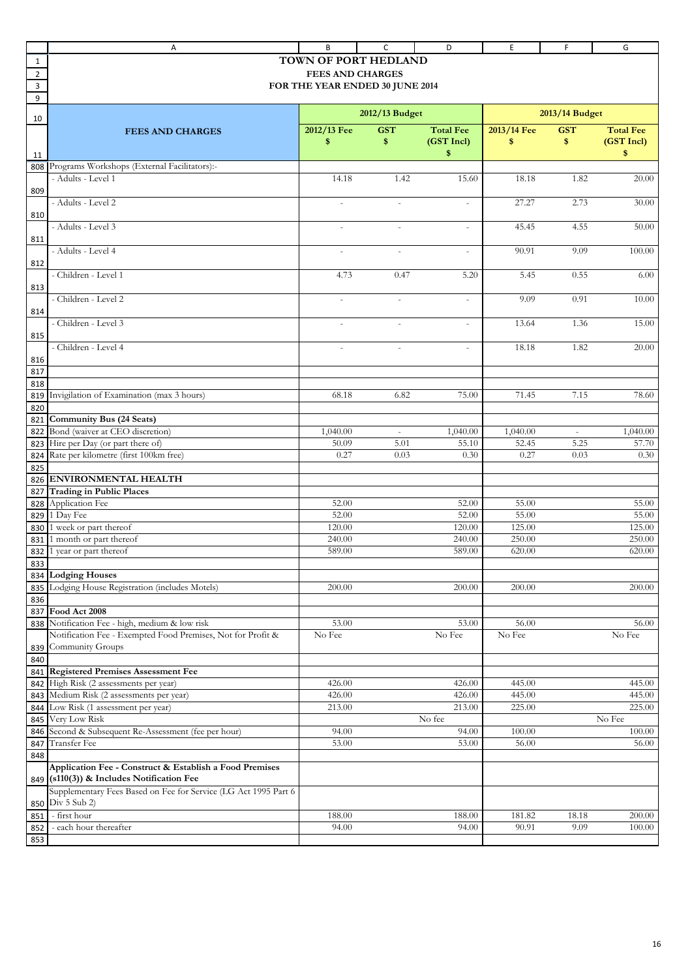|                | Α                                                                          | B                               | C                        | D                 | Ε                 | F.               | G                 |
|----------------|----------------------------------------------------------------------------|---------------------------------|--------------------------|-------------------|-------------------|------------------|-------------------|
| 1              |                                                                            | TOWN OF PORT HEDLAND            |                          |                   |                   |                  |                   |
| $\overline{2}$ |                                                                            | <b>FEES AND CHARGES</b>         |                          |                   |                   |                  |                   |
| 3              |                                                                            | FOR THE YEAR ENDED 30 JUNE 2014 |                          |                   |                   |                  |                   |
| 9              |                                                                            |                                 |                          |                   |                   |                  |                   |
|                |                                                                            |                                 | 2012/13 Budget           |                   |                   | 2013/14 Budget   |                   |
| 10             |                                                                            |                                 |                          | <b>Total Fee</b>  |                   | <b>GST</b>       | <b>Total Fee</b>  |
|                | <b>FEES AND CHARGES</b>                                                    | 2012/13 Fee<br>\$               | <b>GST</b><br>\$         | (GST Incl)        | 2013/14 Fee<br>\$ | \$               | (GST Incl)        |
|                |                                                                            |                                 |                          | \$                |                   |                  | \$                |
| 11<br>808      | Programs Workshops (External Facilitators):-                               |                                 |                          |                   |                   |                  |                   |
|                | - Adults - Level 1                                                         | 14.18                           | 1.42                     | 15.60             | 18.18             | 1.82             | 20.00             |
| 809            |                                                                            |                                 |                          |                   |                   |                  |                   |
|                | - Adults - Level 2                                                         | $\bar{a}$                       | $\sim$                   | $\bar{a}$         | 27.27             | 2.73             | 30.00             |
| 810            |                                                                            |                                 |                          |                   |                   |                  |                   |
|                | - Adults - Level 3                                                         |                                 |                          | ÷.                | 45.45             | 4.55             | 50.00             |
| 811            |                                                                            |                                 |                          |                   |                   |                  |                   |
|                | - Adults - Level 4                                                         | $\sim$                          | $\bar{a}$                | $\bar{a}$         | 90.91             | 9.09             | 100.00            |
| 812            |                                                                            |                                 |                          |                   |                   |                  |                   |
|                | - Children - Level 1                                                       | 4.73                            | 0.47                     | 5.20              | 5.45              | 0.55             | 6.00              |
| 813            |                                                                            |                                 |                          |                   |                   |                  |                   |
|                | - Children - Level 2                                                       | $\sim$                          | ÷,                       | $\sim$            | 9.09              | 0.91             | 10.00             |
| 814            |                                                                            |                                 |                          |                   |                   |                  |                   |
|                | - Children - Level 3                                                       | $\sim$                          | $\sim$                   | $\bar{a}$         | 13.64             | 1.36             | 15.00             |
| 815            |                                                                            |                                 |                          |                   |                   |                  |                   |
|                | - Children - Level 4                                                       | $\sim$                          | $\overline{\phantom{a}}$ | $\equiv$          | 18.18             | 1.82             | 20.00             |
| 816            |                                                                            |                                 |                          |                   |                   |                  |                   |
| 817            |                                                                            |                                 |                          |                   |                   |                  |                   |
| 818            |                                                                            |                                 |                          |                   |                   |                  |                   |
| 819            | Invigilation of Examination (max 3 hours)                                  | 68.18                           | 6.82                     | 75.00             | 71.45             | 7.15             | 78.60             |
| 820            |                                                                            |                                 |                          |                   |                   |                  |                   |
| 821            | Community Bus (24 Seats)                                                   |                                 |                          |                   |                   |                  |                   |
| 822            | Bond (waiver at CEO discretion)<br>Hire per Day (or part there of)         | 1,040.00<br>50.09               | $\omega$<br>5.01         | 1,040.00<br>55.10 | 1,040.00<br>52.45 | $\omega$<br>5.25 | 1,040.00<br>57.70 |
| 823<br>824     | Rate per kilometre (first 100km free)                                      | 0.27                            | 0.03                     | 0.30              | 0.27              | 0.03             | 0.30              |
| 825            |                                                                            |                                 |                          |                   |                   |                  |                   |
| 826            | <b>ENVIRONMENTAL HEALTH</b>                                                |                                 |                          |                   |                   |                  |                   |
| 827            | <b>Trading in Public Places</b>                                            |                                 |                          |                   |                   |                  |                   |
| 828            | Application Fee                                                            | 52.00                           |                          | 52.00             | 55.00             |                  | 55.00             |
| 829            | 1 Day Fee                                                                  | 52.00                           |                          | 52.00             | 55.00             |                  | 55.00             |
| 830            | 1 week or part thereof                                                     | 120.00                          |                          | 120.00            | 125.00            |                  | 125.00            |
| 831            | month or part thereof                                                      | 240.00                          |                          | 240.00            | 250.00            |                  | 250.00            |
| 832            | year or part thereof                                                       | 589.00                          |                          | 589.00            | 620.00            |                  | 620.00            |
| 833            |                                                                            |                                 |                          |                   |                   |                  |                   |
| 834            | <b>Lodging Houses</b>                                                      |                                 |                          |                   |                   |                  |                   |
| 835            | Lodging House Registration (includes Motels)                               | 200.00                          |                          | 200.00            | 200.00            |                  | 200.00            |
| 836            |                                                                            |                                 |                          |                   |                   |                  |                   |
| 837            | Food Act 2008                                                              |                                 |                          |                   |                   |                  |                   |
| 838            | Notification Fee - high, medium & low risk                                 | 53.00                           |                          | 53.00             | 56.00             |                  | 56.00             |
|                | Notification Fee - Exempted Food Premises, Not for Profit &                | No Fee                          |                          | No Fee            | No Fee            |                  | No Fee            |
| 839            | Community Groups                                                           |                                 |                          |                   |                   |                  |                   |
| 840            |                                                                            |                                 |                          |                   |                   |                  |                   |
| 841            | <b>Registered Premises Assessment Fee</b>                                  |                                 |                          |                   |                   |                  |                   |
| 842<br>843     | High Risk (2 assessments per year)<br>Medium Risk (2 assessments per year) | 426.00<br>426.00                |                          | 426.00<br>426.00  | 445.00<br>445.00  |                  | 445.00<br>445.00  |
|                | Low Risk (1 assessment per year)                                           | 213.00                          |                          | 213.00            | 225.00            |                  | 225.00            |
| 844<br>845     | Very Low Risk                                                              |                                 |                          | No fee            |                   |                  | No Fee            |
| 846            | Second & Subsequent Re-Assessment (fee per hour)                           | 94.00                           |                          | 94.00             | 100.00            |                  | 100.00            |
| 847            | Transfer Fee                                                               | 53.00                           |                          | 53.00             | 56.00             |                  | 56.00             |
| 848            |                                                                            |                                 |                          |                   |                   |                  |                   |
|                | Application Fee - Construct & Establish a Food Premises                    |                                 |                          |                   |                   |                  |                   |
| 849            | (s110(3)) & Includes Notification Fee                                      |                                 |                          |                   |                   |                  |                   |
|                | Supplementary Fees Based on Fee for Service (LG Act 1995 Part 6            |                                 |                          |                   |                   |                  |                   |
| 850            | Div 5 Sub 2)                                                               |                                 |                          |                   |                   |                  |                   |
| 851            | - first hour                                                               | 188.00                          |                          | 188.00            | 181.82            | 18.18            | 200.00            |
| 852            | - each hour thereafter                                                     | 94.00                           |                          | 94.00             | 90.91             | 9.09             | 100.00            |
| 853            |                                                                            |                                 |                          |                   |                   |                  |                   |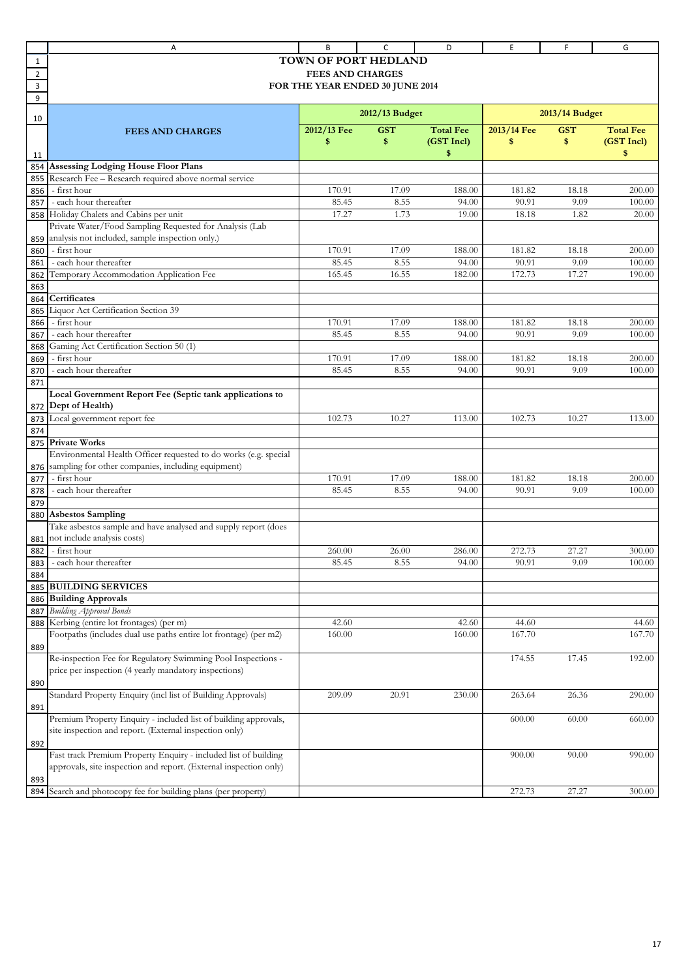|                | Α                                                                                                   | B                               | c              | D                | E           | F              | G                |
|----------------|-----------------------------------------------------------------------------------------------------|---------------------------------|----------------|------------------|-------------|----------------|------------------|
| 1              |                                                                                                     | TOWN OF PORT HEDLAND            |                |                  |             |                |                  |
| $\overline{2}$ |                                                                                                     | <b>FEES AND CHARGES</b>         |                |                  |             |                |                  |
| 3              |                                                                                                     | FOR THE YEAR ENDED 30 JUNE 2014 |                |                  |             |                |                  |
| 9              |                                                                                                     |                                 |                |                  |             |                |                  |
| 10             |                                                                                                     |                                 | 2012/13 Budget |                  |             | 2013/14 Budget |                  |
|                | <b>FEES AND CHARGES</b>                                                                             | 2012/13 Fee                     | <b>GST</b>     | <b>Total Fee</b> | 2013/14 Fee | <b>GST</b>     | <b>Total Fee</b> |
|                |                                                                                                     | \$                              | \$             | (GST Incl)       | \$          | \$             | (GST Incl)       |
|                |                                                                                                     |                                 |                | \$               |             |                | \$               |
| 11             |                                                                                                     |                                 |                |                  |             |                |                  |
| 854            | <b>Assessing Lodging House Floor Plans</b><br>Research Fee - Research required above normal service |                                 |                |                  |             |                |                  |
| 855            |                                                                                                     |                                 |                |                  |             |                |                  |
| 856            | - first hour                                                                                        | 170.91                          | 17.09          | 188.00           | 181.82      | 18.18          | 200.00           |
| 857            | - each hour thereafter                                                                              | 85.45                           | 8.55           | 94.00            | 90.91       | 9.09           | 100.00           |
| 858            | Holiday Chalets and Cabins per unit                                                                 | 17.27                           | 1.73           | 19.00            | 18.18       | 1.82           | 20.00            |
|                | Private Water/Food Sampling Requested for Analysis (Lab                                             |                                 |                |                  |             |                |                  |
| 859            | analysis not included, sample inspection only.)                                                     |                                 |                |                  |             |                |                  |
| 860            | - first hour                                                                                        | 170.91                          | 17.09          | 188.00           | 181.82      | 18.18          | 200.00           |
| 861            | - each hour thereafter                                                                              | 85.45                           | 8.55           | 94.00            | 90.91       | 9.09           | 100.00           |
| 862            | Temporary Accommodation Application Fee                                                             | 165.45                          | 16.55          | 182.00           | 172.73      | 17.27          | 190.00           |
| 863            |                                                                                                     |                                 |                |                  |             |                |                  |
| 864            | Certificates                                                                                        |                                 |                |                  |             |                |                  |
| 865            | Liquor Act Certification Section 39                                                                 |                                 |                |                  |             |                |                  |
| 866            | - first hour                                                                                        | 170.91                          | 17.09          | 188.00           | 181.82      | 18.18          | 200.00           |
| 867            | - each hour thereafter                                                                              | 85.45                           | 8.55           | 94.00            | 90.91       | 9.09           | 100.00           |
| 868            | Gaming Act Certification Section 50 (1)                                                             |                                 |                |                  |             |                |                  |
| 869            | - first hour                                                                                        | 170.91                          | 17.09          | 188.00           | 181.82      | 18.18          | 200.00           |
| 870            | - each hour thereafter                                                                              | 85.45                           | 8.55           | 94.00            | 90.91       | 9.09           | 100.00           |
| 871            |                                                                                                     |                                 |                |                  |             |                |                  |
|                | Local Government Report Fee (Septic tank applications to                                            |                                 |                |                  |             |                |                  |
| 872            | Dept of Health)                                                                                     |                                 |                |                  |             |                |                  |
| 873            | Local government report fee                                                                         | 102.73                          | 10.27          | 113.00           | 102.73      | 10.27          | 113.00           |
| 874            |                                                                                                     |                                 |                |                  |             |                |                  |
| 875            | <b>Private Works</b>                                                                                |                                 |                |                  |             |                |                  |
|                | Environmental Health Officer requested to do works (e.g. special                                    |                                 |                |                  |             |                |                  |
| 876            | sampling for other companies, including equipment)                                                  |                                 |                |                  |             |                |                  |
| 877            | - first hour                                                                                        | 170.91                          | 17.09          | 188.00           | 181.82      | 18.18          | 200.00           |
| 878            | - each hour thereafter                                                                              | 85.45                           | 8.55           | 94.00            | 90.91       | 9.09           | 100.00           |
| 879            |                                                                                                     |                                 |                |                  |             |                |                  |
| 880            | <b>Asbestos Sampling</b>                                                                            |                                 |                |                  |             |                |                  |
|                | Take asbestos sample and have analysed and supply report (does                                      |                                 |                |                  |             |                |                  |
| 881            | not include analysis costs)                                                                         |                                 |                |                  |             |                |                  |
| 882            | - first hour                                                                                        | 260.00                          | 26.00          | 286.00           | 272.73      | 27.27          | 300.00           |
|                | - each hour thereafter                                                                              | 85.45                           | 8.55           | 94.00            | 90.91       | 9.09           | 100.00           |
| 883            |                                                                                                     |                                 |                |                  |             |                |                  |
| 884            |                                                                                                     |                                 |                |                  |             |                |                  |
| 885            | <b>BUILDING SERVICES</b>                                                                            |                                 |                |                  |             |                |                  |
| 886            | <b>Building Approvals</b>                                                                           |                                 |                |                  |             |                |                  |
| 887            | <b>Building Approval Bonds</b>                                                                      |                                 |                |                  |             |                |                  |
| 888            | Kerbing (entire lot frontages) (per m)                                                              | 42.60                           |                | 42.60            | 44.60       |                | 44.60            |
|                | Footpaths (includes dual use paths entire lot frontage) (per m2)                                    | 160.00                          |                | 160.00           | 167.70      |                | 167.70           |
| 889            |                                                                                                     |                                 |                |                  |             |                |                  |
|                | Re-inspection Fee for Regulatory Swimming Pool Inspections -                                        |                                 |                |                  | 174.55      | 17.45          | 192.00           |
|                | price per inspection (4 yearly mandatory inspections)                                               |                                 |                |                  |             |                |                  |
| 890            |                                                                                                     |                                 |                |                  |             |                |                  |
|                | Standard Property Enquiry (incl list of Building Approvals)                                         | 209.09                          | 20.91          | 230.00           | 263.64      | 26.36          | 290.00           |
| 891            |                                                                                                     |                                 |                |                  |             |                |                  |
|                | Premium Property Enquiry - included list of building approvals,                                     |                                 |                |                  | 600.00      | 60.00          | 660.00           |
|                | site inspection and report. (External inspection only)                                              |                                 |                |                  |             |                |                  |
| 892            |                                                                                                     |                                 |                |                  |             |                |                  |
|                | Fast track Premium Property Enquiry - included list of building                                     |                                 |                |                  | 900.00      | 90.00          | 990.00           |
|                | approvals, site inspection and report. (External inspection only)                                   |                                 |                |                  |             |                |                  |
| 893            |                                                                                                     |                                 |                |                  |             |                |                  |
| 894            | Search and photocopy fee for building plans (per property)                                          |                                 |                |                  | 272.73      | 27.27          | 300.00           |
|                |                                                                                                     |                                 |                |                  |             |                |                  |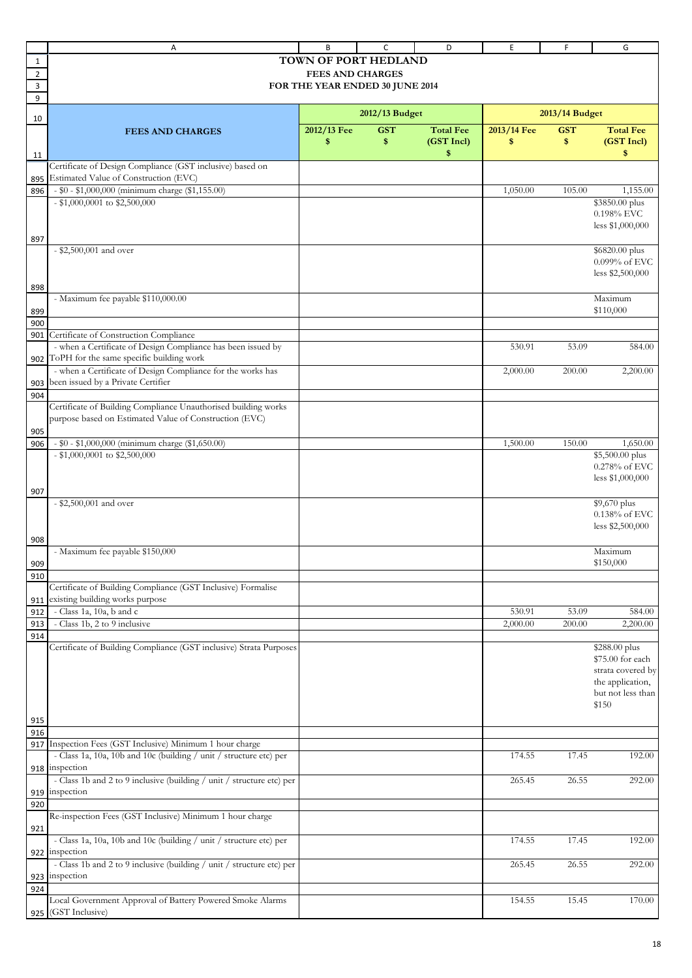|             | Α                                                                                               | B                               | C              | D                | E           | F              | G                                     |
|-------------|-------------------------------------------------------------------------------------------------|---------------------------------|----------------|------------------|-------------|----------------|---------------------------------------|
| 1           |                                                                                                 | <b>TOWN OF PORT HEDLAND</b>     |                |                  |             |                |                                       |
| $\mathbf 2$ |                                                                                                 | <b>FEES AND CHARGES</b>         |                |                  |             |                |                                       |
| 3           |                                                                                                 | FOR THE YEAR ENDED 30 JUNE 2014 |                |                  |             |                |                                       |
| 9           |                                                                                                 |                                 |                |                  |             |                |                                       |
| 10          |                                                                                                 |                                 | 2012/13 Budget |                  |             | 2013/14 Budget |                                       |
|             | <b>FEES AND CHARGES</b>                                                                         | 2012/13 Fee                     | <b>GST</b>     | <b>Total Fee</b> | 2013/14 Fee | <b>GST</b>     | <b>Total Fee</b>                      |
|             |                                                                                                 | \$                              | \$             | (GST Incl)       | \$          | \$             | (GST Incl)                            |
| 11          |                                                                                                 |                                 |                | \$               |             |                | \$                                    |
|             | Certificate of Design Compliance (GST inclusive) based on                                       |                                 |                |                  |             |                |                                       |
| 895         | Estimated Value of Construction (EVC)                                                           |                                 |                |                  |             |                |                                       |
| 896         | - \$0 - \$1,000,000 (minimum charge (\$1,155.00)<br>- \$1,000,0001 to \$2,500,000               |                                 |                |                  | 1,050.00    | 105.00         | 1,155.00<br>\$3850.00 plus            |
|             |                                                                                                 |                                 |                |                  |             |                | $0.198\%$ EVC                         |
|             |                                                                                                 |                                 |                |                  |             |                | less \$1,000,000                      |
| 897         |                                                                                                 |                                 |                |                  |             |                |                                       |
|             | - \$2,500,001 and over                                                                          |                                 |                |                  |             |                | \$6820.00 plus                        |
|             |                                                                                                 |                                 |                |                  |             |                | 0.099% of EVC                         |
|             |                                                                                                 |                                 |                |                  |             |                | less \$2,500,000                      |
| 898         |                                                                                                 |                                 |                |                  |             |                | Maximum                               |
| 899         | - Maximum fee payable \$110,000.00                                                              |                                 |                |                  |             |                | \$110,000                             |
| 900         |                                                                                                 |                                 |                |                  |             |                |                                       |
| 901         | Certificate of Construction Compliance                                                          |                                 |                |                  |             |                |                                       |
|             | - when a Certificate of Design Compliance has been issued by                                    |                                 |                |                  | 530.91      | 53.09          | 584.00                                |
|             | 902 ToPH for the same specific building work                                                    |                                 |                |                  |             |                |                                       |
|             | - when a Certificate of Design Compliance for the works has                                     |                                 |                |                  | 2,000.00    | 200.00         | 2,200.00                              |
| 903         | been issued by a Private Certifier                                                              |                                 |                |                  |             |                |                                       |
| 904         | Certificate of Building Compliance Unauthorised building works                                  |                                 |                |                  |             |                |                                       |
|             | purpose based on Estimated Value of Construction (EVC)                                          |                                 |                |                  |             |                |                                       |
| 905         |                                                                                                 |                                 |                |                  |             |                |                                       |
| 906         | - \$0 - \$1,000,000 (minimum charge (\$1,650.00)                                                |                                 |                |                  | 1,500.00    | 150.00         | 1,650.00                              |
|             | $-$ \$1,000,0001 to \$2,500,000                                                                 |                                 |                |                  |             |                | \$5,500.00 plus                       |
|             |                                                                                                 |                                 |                |                  |             |                | 0.278% of EVC                         |
|             |                                                                                                 |                                 |                |                  |             |                | less \$1,000,000                      |
| 907         |                                                                                                 |                                 |                |                  |             |                |                                       |
|             | - \$2,500,001 and over                                                                          |                                 |                |                  |             |                | \$9,670 plus<br>0.138% of EVC         |
|             |                                                                                                 |                                 |                |                  |             |                | less \$2,500,000                      |
| 908         |                                                                                                 |                                 |                |                  |             |                |                                       |
|             | - Maximum fee payable \$150,000                                                                 |                                 |                |                  |             |                | Maximum                               |
| 909         |                                                                                                 |                                 |                |                  |             |                | \$150,000                             |
| 910         |                                                                                                 |                                 |                |                  |             |                |                                       |
|             | Certificate of Building Compliance (GST Inclusive) Formalise<br>existing building works purpose |                                 |                |                  |             |                |                                       |
| 911<br>912  | - Class 1a, 10a, b and c                                                                        |                                 |                |                  | 530.91      | 53.09          | 584.00                                |
| 913         | - Class 1b, 2 to 9 inclusive                                                                    |                                 |                |                  | 2,000.00    | 200.00         | 2,200.00                              |
| 914         |                                                                                                 |                                 |                |                  |             |                |                                       |
|             | Certificate of Building Compliance (GST inclusive) Strata Purposes                              |                                 |                |                  |             |                | \$288.00 plus                         |
|             |                                                                                                 |                                 |                |                  |             |                | \$75.00 for each                      |
|             |                                                                                                 |                                 |                |                  |             |                | strata covered by                     |
|             |                                                                                                 |                                 |                |                  |             |                | the application,<br>but not less than |
|             |                                                                                                 |                                 |                |                  |             |                | \$150                                 |
| 915         |                                                                                                 |                                 |                |                  |             |                |                                       |
| 916         |                                                                                                 |                                 |                |                  |             |                |                                       |
| 917         | Inspection Fees (GST Inclusive) Minimum 1 hour charge                                           |                                 |                |                  |             |                |                                       |
|             | - Class 1a, 10a, 10b and 10c (building / unit / structure etc) per                              |                                 |                |                  | 174.55      | 17.45          | 192.00                                |
|             | 918 inspection                                                                                  |                                 |                |                  |             |                |                                       |
|             | - Class 1b and 2 to 9 inclusive (building / unit / structure etc) per                           |                                 |                |                  | 265.45      | 26.55          | 292.00                                |
| 920         | 919 inspection                                                                                  |                                 |                |                  |             |                |                                       |
|             | Re-inspection Fees (GST Inclusive) Minimum 1 hour charge                                        |                                 |                |                  |             |                |                                       |
| 921         |                                                                                                 |                                 |                |                  |             |                |                                       |
|             | - Class 1a, 10a, 10b and 10c (building / unit / structure etc) per                              |                                 |                |                  | 174.55      | 17.45          | 192.00                                |
| 922         | inspection                                                                                      |                                 |                |                  |             |                |                                       |
|             | - Class 1b and 2 to 9 inclusive (building / unit / structure etc) per                           |                                 |                |                  | 265.45      | 26.55          | 292.00                                |
|             | 923 inspection                                                                                  |                                 |                |                  |             |                |                                       |
| 924         | Local Government Approval of Battery Powered Smoke Alarms                                       |                                 |                |                  | 154.55      | 15.45          | 170.00                                |
|             | 925 (GST Inclusive)                                                                             |                                 |                |                  |             |                |                                       |
|             |                                                                                                 |                                 |                |                  |             |                |                                       |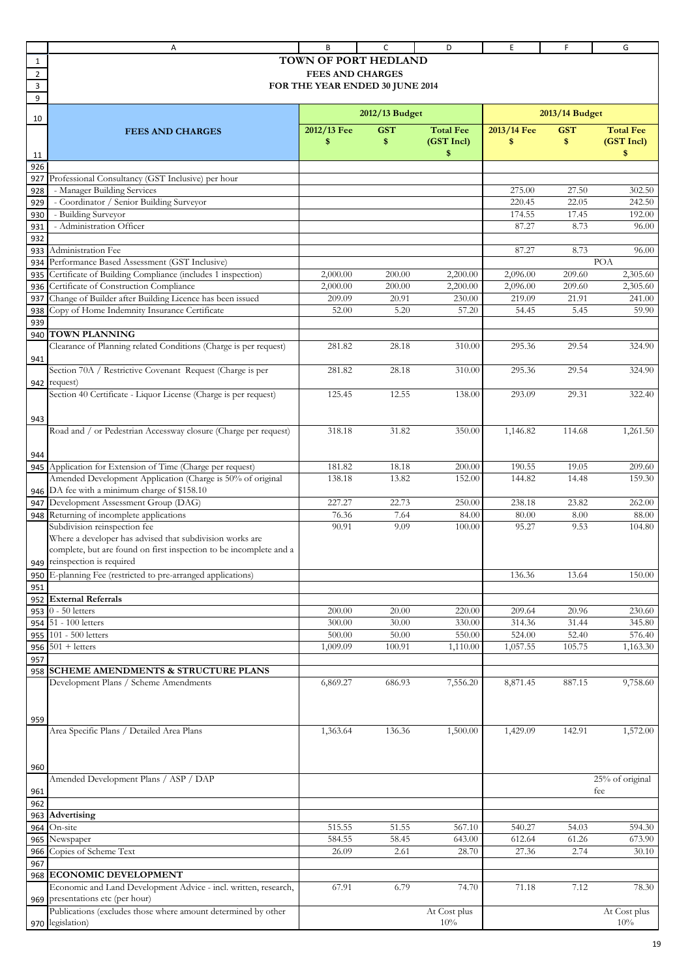|                | Α                                                                  | В                               | C              | D                | E           | F              | G                |
|----------------|--------------------------------------------------------------------|---------------------------------|----------------|------------------|-------------|----------------|------------------|
| 1              |                                                                    | <b>TOWN OF PORT HEDLAND</b>     |                |                  |             |                |                  |
| $\overline{2}$ |                                                                    | <b>FEES AND CHARGES</b>         |                |                  |             |                |                  |
| 3              |                                                                    | FOR THE YEAR ENDED 30 JUNE 2014 |                |                  |             |                |                  |
| 9              |                                                                    |                                 |                |                  |             |                |                  |
|                |                                                                    |                                 | 2012/13 Budget |                  |             | 2013/14 Budget |                  |
| 10             |                                                                    |                                 |                |                  |             |                |                  |
|                | <b>FEES AND CHARGES</b>                                            | 2012/13 Fee                     | <b>GST</b>     | <b>Total Fee</b> | 2013/14 Fee | <b>GST</b>     | <b>Total Fee</b> |
|                |                                                                    | \$                              | \$             | (GST Incl)       | \$          | \$             | (GST Incl)       |
| 11             |                                                                    |                                 |                | \$               |             |                | \$               |
| 926            |                                                                    |                                 |                |                  |             |                |                  |
| 927            | Professional Consultancy (GST Inclusive) per hour                  |                                 |                |                  |             |                |                  |
| 928            | - Manager Building Services                                        |                                 |                |                  | 275.00      | 27.50          | 302.50           |
| 929            | - Coordinator / Senior Building Surveyor                           |                                 |                |                  | 220.45      | 22.05          | 242.50           |
| 930            | - Building Surveyor                                                |                                 |                |                  | 174.55      | 17.45          | 192.00           |
| 931            | - Administration Officer                                           |                                 |                |                  | 87.27       | 8.73           | 96.00            |
| 932            |                                                                    |                                 |                |                  |             |                |                  |
| 933            | Administration Fee                                                 |                                 |                |                  | 87.27       | 8.73           | 96.00            |
| 934            | Performance Based Assessment (GST Inclusive)                       |                                 |                |                  |             |                | POA              |
| 935            | Certificate of Building Compliance (includes 1 inspection)         | 2,000.00                        | 200.00         | 2,200.00         | 2,096.00    | 209.60         | 2,305.60         |
| 936            | Certificate of Construction Compliance                             | 2,000.00                        | 200.00         | 2,200.00         | 2,096.00    | 209.60         | 2,305.60         |
| 937            | Change of Builder after Building Licence has been issued           | 209.09                          | 20.91          | 230.00           | 219.09      | 21.91          | 241.00           |
| 938            | Copy of Home Indemnity Insurance Certificate                       | 52.00                           | 5.20           | 57.20            | 54.45       | 5.45           | 59.90            |
| 939            |                                                                    |                                 |                |                  |             |                |                  |
| 940            | <b>TOWN PLANNING</b>                                               |                                 |                |                  |             |                |                  |
|                | Clearance of Planning related Conditions (Charge is per request)   | 281.82                          | 28.18          | 310.00           | 295.36      | 29.54          | 324.90           |
| 941            |                                                                    |                                 |                |                  |             |                |                  |
|                | Section 70A / Restrictive Covenant Request (Charge is per          | 281.82                          | 28.18          | 310.00           | 295.36      | 29.54          | 324.90           |
| 942            | request)                                                           |                                 |                |                  |             |                |                  |
|                | Section 40 Certificate - Liquor License (Charge is per request)    | 125.45                          | 12.55          | 138.00           | 293.09      | 29.31          | 322.40           |
|                |                                                                    |                                 |                |                  |             |                |                  |
| 943            |                                                                    |                                 |                |                  |             |                |                  |
|                | Road and / or Pedestrian Accessway closure (Charge per request)    | 318.18                          | 31.82          | 350.00           | 1,146.82    | 114.68         | 1,261.50         |
|                |                                                                    |                                 |                |                  |             |                |                  |
| 944            |                                                                    |                                 |                |                  |             |                |                  |
| 945            | Application for Extension of Time (Charge per request)             | 181.82                          | 18.18          | 200.00           | 190.55      | 19.05          | 209.60           |
|                | Amended Development Application (Charge is 50% of original         | 138.18                          | 13.82          | 152.00           | 144.82      | 14.48          | 159.30           |
| 946            | DA fee with a minimum charge of \$158.10                           |                                 |                |                  |             |                |                  |
| 947            | Development Assessment Group (DAG)                                 | 227.27                          | 22.73          | 250.00           | 238.18      | 23.82          | 262.00           |
| 948            | Returning of incomplete applications                               | 76.36                           | 7.64           | 84.00            | 80.00       | 8.00           | 88.00            |
|                | Subdivision reinspection fee                                       | 90.91                           | 9.09           | 100.00           | 95.27       | 9.53           | 104.80           |
|                | Where a developer has advised that subdivision works are           |                                 |                |                  |             |                |                  |
|                | complete, but are found on first inspection to be incomplete and a |                                 |                |                  |             |                |                  |
|                | 949 reinspection is required                                       |                                 |                |                  |             |                |                  |
| 950            | E-planning Fee (restricted to pre-arranged applications)           |                                 |                |                  | 136.36      | 13.64          | 150.00           |
| 951            |                                                                    |                                 |                |                  |             |                |                  |
| 952            | <b>External Referrals</b>                                          |                                 |                |                  |             |                |                  |
| 953            | $0$ - 50 letters                                                   | 200.00                          | 20.00          | 220.00           | 209.64      | 20.96          | 230.60           |
| 954            | 51 - 100 letters                                                   | 300.00                          | 30.00          | 330.00           | 314.36      | 31.44          | 345.80           |
| 955            | 101 - 500 letters                                                  | 500.00                          | 50.00          | 550.00           | 524.00      | 52.40          | 576.40           |
| 956            | $501 + letters$                                                    | 1,009.09                        | 100.91         | 1,110.00         | 1,057.55    | 105.75         | 1,163.30         |
| 957            |                                                                    |                                 |                |                  |             |                |                  |
| 958            | <b>SCHEME AMENDMENTS &amp; STRUCTURE PLANS</b>                     |                                 |                |                  |             |                |                  |
|                | Development Plans / Scheme Amendments                              | 6,869.27                        | 686.93         | 7,556.20         | 8,871.45    | 887.15         | 9,758.60         |
|                |                                                                    |                                 |                |                  |             |                |                  |
|                |                                                                    |                                 |                |                  |             |                |                  |
| 959            |                                                                    |                                 |                |                  |             |                |                  |
|                | Area Specific Plans / Detailed Area Plans                          | 1,363.64                        | 136.36         | 1,500.00         | 1,429.09    | 142.91         | 1,572.00         |
|                |                                                                    |                                 |                |                  |             |                |                  |
|                |                                                                    |                                 |                |                  |             |                |                  |
| 960            |                                                                    |                                 |                |                  |             |                |                  |
|                | Amended Development Plans / ASP / DAP                              |                                 |                |                  |             |                | 25% of original  |
| 961            |                                                                    |                                 |                |                  |             |                | fee              |
| 962            |                                                                    |                                 |                |                  |             |                |                  |
| 963            | Advertising                                                        |                                 |                |                  |             |                |                  |
| 964            | On-site                                                            | 515.55                          | 51.55          | 567.10           | 540.27      | 54.03          | 594.30           |
| 965            | Newspaper                                                          | 584.55                          | 58.45          | 643.00           | 612.64      | 61.26          | 673.90           |
| 966            | Copies of Scheme Text                                              | 26.09                           | 2.61           | 28.70            | 27.36       | 2.74           | 30.10            |
| 967            |                                                                    |                                 |                |                  |             |                |                  |
| 968            | <b>ECONOMIC DEVELOPMENT</b>                                        |                                 |                |                  |             |                |                  |
|                | Economic and Land Development Advice - incl. written, research,    | 67.91                           | 6.79           | 74.70            | 71.18       | 7.12           | 78.30            |
| 969            | presentations etc (per hour)                                       |                                 |                |                  |             |                |                  |
|                | Publications (excludes those where amount determined by other      |                                 |                | At Cost plus     |             |                | At Cost plus     |
|                | 970 legislation)                                                   |                                 |                | 10%              |             |                | 10%              |
|                |                                                                    |                                 |                |                  |             |                |                  |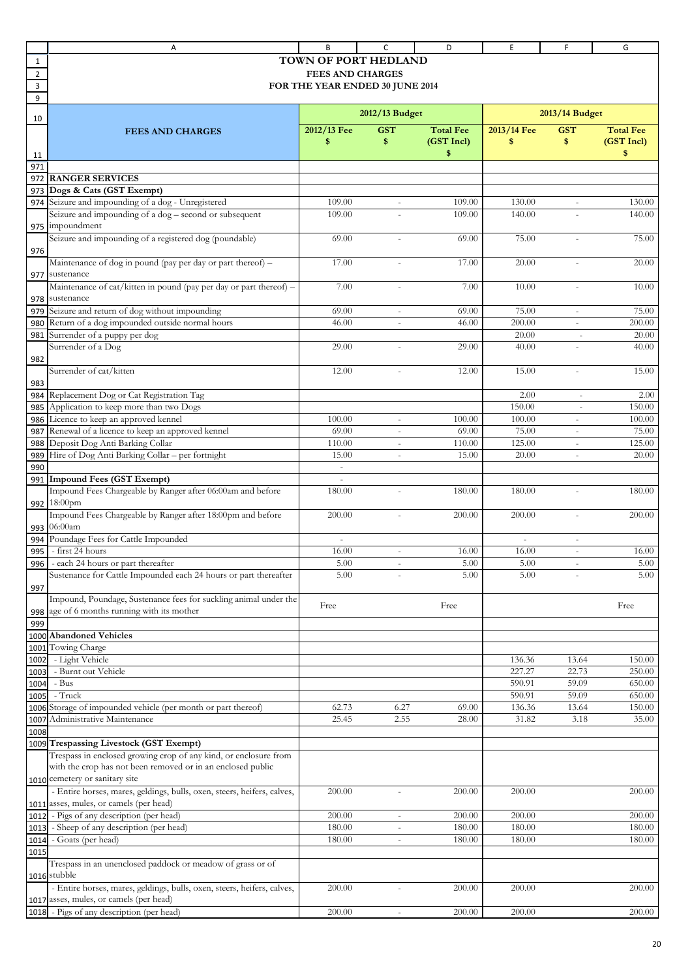|                | Α                                                                                              | B                               | C                        | D                | E                        | F                                                       | G                |
|----------------|------------------------------------------------------------------------------------------------|---------------------------------|--------------------------|------------------|--------------------------|---------------------------------------------------------|------------------|
| 1              |                                                                                                | <b>TOWN OF PORT HEDLAND</b>     |                          |                  |                          |                                                         |                  |
| $\overline{2}$ |                                                                                                | <b>FEES AND CHARGES</b>         |                          |                  |                          |                                                         |                  |
| 3              |                                                                                                | FOR THE YEAR ENDED 30 JUNE 2014 |                          |                  |                          |                                                         |                  |
| 9              |                                                                                                |                                 |                          |                  |                          |                                                         |                  |
| 10             |                                                                                                |                                 | 2012/13 Budget           |                  |                          | 2013/14 Budget                                          |                  |
|                | <b>FEES AND CHARGES</b>                                                                        | 2012/13 Fee                     | <b>GST</b>               | <b>Total Fee</b> | 2013/14 Fee              | <b>GST</b>                                              | <b>Total Fee</b> |
|                |                                                                                                | \$                              | \$                       | (GST Incl)       | \$                       | \$                                                      | (GST Incl)       |
| 11             |                                                                                                |                                 |                          | \$               |                          |                                                         | \$               |
| 971            | <b>RANGER SERVICES</b>                                                                         |                                 |                          |                  |                          |                                                         |                  |
| 972<br>973     | Dogs & Cats (GST Exempt)                                                                       |                                 |                          |                  |                          |                                                         |                  |
| 974            | Seizure and impounding of a dog - Unregistered                                                 | 109.00                          |                          | 109.00           | 130.00                   |                                                         | 130.00           |
|                | Seizure and impounding of a dog - second or subsequent                                         | 109.00                          |                          | 109.00           | 140.00                   |                                                         | 140.00           |
| 975            | impoundment                                                                                    |                                 |                          |                  |                          |                                                         |                  |
|                | Seizure and impounding of a registered dog (poundable)                                         | 69.00                           |                          | 69.00            | 75.00                    | ÷,                                                      | 75.00            |
| 976            |                                                                                                |                                 |                          |                  |                          |                                                         |                  |
|                | Maintenance of dog in pound (pay per day or part thereof) -                                    | 17.00                           |                          | 17.00            | 20.00                    |                                                         | 20.00            |
| 977            | sustenance                                                                                     |                                 |                          |                  |                          |                                                         |                  |
|                | Maintenance of cat/kitten in pound (pay per day or part thereof) -                             | 7.00                            | ٠                        | 7.00             | 10.00                    | ÷.                                                      | 10.00            |
| 978            | sustenance                                                                                     |                                 |                          |                  |                          |                                                         |                  |
| 979            | Seizure and return of dog without impounding<br>Return of a dog impounded outside normal hours | 69.00<br>46.00                  |                          | 69.00            | 75.00<br>200.00          | L.                                                      | 75.00            |
| 980<br>981     | Surrender of a puppy per dog                                                                   |                                 | ä,                       | 46.00            | 20.00                    | $\bar{\phantom{a}}$<br>$\sim$                           | 200.00<br>20.00  |
|                | Surrender of a Dog                                                                             | 29.00                           |                          | 29.00            | 40.00                    |                                                         | 40.00            |
| 982            |                                                                                                |                                 |                          |                  |                          |                                                         |                  |
|                | Surrender of cat/kitten                                                                        | 12.00                           | ÷                        | 12.00            | 15.00                    | ä,                                                      | 15.00            |
| 983            |                                                                                                |                                 |                          |                  |                          |                                                         |                  |
| 984            | Replacement Dog or Cat Registration Tag                                                        |                                 |                          |                  | 2.00                     |                                                         | 2.00             |
| 985            | Application to keep more than two Dogs                                                         |                                 |                          |                  | 150.00                   | $\sim$                                                  | 150.00           |
| 986            | Licence to keep an approved kennel                                                             | 100.00                          | $\overline{\phantom{a}}$ | 100.00           | 100.00                   | $\overline{\phantom{a}}$                                | 100.00           |
| 987            | Renewal of a licence to keep an approved kennel                                                | 69.00                           |                          | 69.00            | 75.00                    | $\overline{\phantom{a}}$                                | 75.00            |
| 988            | Deposit Dog Anti Barking Collar<br>Hire of Dog Anti Barking Collar - per fortnight             | 110.00<br>15.00                 | ÷,                       | 110.00<br>15.00  | 125.00<br>20.00          | $\mathcal{L}_{\mathcal{A}}$<br>$\overline{\phantom{a}}$ | 125.00<br>20.00  |
| 989<br>990     |                                                                                                | $\blacksquare$                  | $\overline{\phantom{a}}$ |                  |                          |                                                         |                  |
| 991            | Impound Fees (GST Exempt)                                                                      |                                 |                          |                  |                          |                                                         |                  |
|                | Impound Fees Chargeable by Ranger after 06:00am and before                                     | 180.00                          |                          | 180.00           | 180.00                   |                                                         | 180.00           |
|                | 992 18:00pm                                                                                    |                                 |                          |                  |                          |                                                         |                  |
|                | Impound Fees Chargeable by Ranger after 18:00pm and before                                     | 200.00                          |                          | 200.00           | 200.00                   |                                                         | 200.00           |
| 993            | 06:00am                                                                                        |                                 |                          |                  |                          |                                                         |                  |
| 994            | Poundage Fees for Cattle Impounded                                                             |                                 |                          |                  | $\overline{\phantom{a}}$ | $\overline{\phantom{a}}$                                |                  |
| 995            | - first 24 hours                                                                               | 16.00                           | ÷,                       | 16.00            | 16.00                    | $\bar{a}$                                               | 16.00            |
| 996            | - each 24 hours or part thereafter                                                             | 5.00<br>5.00                    |                          | $5.00$<br>5.00   | 5.00<br>5.00             |                                                         | 5.00<br>5.00     |
| 997            | Sustenance for Cattle Impounded each 24 hours or part thereafter                               |                                 |                          |                  |                          |                                                         |                  |
|                | Impound, Poundage, Sustenance fees for suckling animal under the                               |                                 |                          |                  |                          |                                                         |                  |
| 998            | age of 6 months running with its mother                                                        | Free                            |                          | Free             |                          |                                                         | Free             |
| 999            |                                                                                                |                                 |                          |                  |                          |                                                         |                  |
|                | 1000 Abandoned Vehicles                                                                        |                                 |                          |                  |                          |                                                         |                  |
|                | 1001 Towing Charge                                                                             |                                 |                          |                  |                          |                                                         |                  |
| 1002           | - Light Vehicle                                                                                |                                 |                          |                  | 136.36                   | 13.64                                                   | 150.00           |
| 1003           | - Burnt out Vehicle                                                                            |                                 |                          |                  | 227.27                   | 22.73                                                   | 250.00           |
| 1004           | - Bus                                                                                          |                                 |                          |                  | 590.91                   | 59.09                                                   | 650.00           |
| 1005           | - Truck                                                                                        |                                 |                          |                  | 590.91                   | 59.09                                                   | 650.00           |
| 1007           | 1006 Storage of impounded vehicle (per month or part thereof)<br>Administrative Maintenance    | 62.73<br>25.45                  | 6.27<br>2.55             | 69.00<br>28.00   | 136.36<br>31.82          | 13.64<br>3.18                                           | 150.00<br>35.00  |
| 1008           |                                                                                                |                                 |                          |                  |                          |                                                         |                  |
|                | 1009 Trespassing Livestock (GST Exempt)                                                        |                                 |                          |                  |                          |                                                         |                  |
|                | Trespass in enclosed growing crop of any kind, or enclosure from                               |                                 |                          |                  |                          |                                                         |                  |
|                | with the crop has not been removed or in an enclosed public                                    |                                 |                          |                  |                          |                                                         |                  |
|                | 1010 cemetery or sanitary site                                                                 |                                 |                          |                  |                          |                                                         |                  |
|                | - Entire horses, mares, geldings, bulls, oxen, steers, heifers, calves,                        | 200.00                          |                          | 200.00           | 200.00                   |                                                         | 200.00           |
|                | 1011 asses, mules, or camels (per head)                                                        |                                 |                          |                  |                          |                                                         |                  |
|                | 1012 - Pigs of any description (per head)                                                      | 200.00                          | ÷,                       | 200.00           | 200.00                   |                                                         | 200.00           |
| 1013           | - Sheep of any description (per head)                                                          | 180.00                          |                          | 180.00           | 180.00                   |                                                         | 180.00           |
| 1015           | 1014 - Goats (per head)                                                                        | 180.00                          | ÷,                       | 180.00           | 180.00                   |                                                         | 180.00           |
|                | Trespass in an unenclosed paddock or meadow of grass or of                                     |                                 |                          |                  |                          |                                                         |                  |
|                | $1016$ stubble                                                                                 |                                 |                          |                  |                          |                                                         |                  |
|                | - Entire horses, mares, geldings, bulls, oxen, steers, heifers, calves,                        | 200.00                          |                          | 200.00           | 200.00                   |                                                         | 200.00           |
|                | 1017 asses, mules, or camels (per head)                                                        |                                 |                          |                  |                          |                                                         |                  |
|                | 1018 - Pigs of any description (per head)                                                      | 200.00                          | $\blacksquare$           | 200.00           | 200.00                   |                                                         | 200.00           |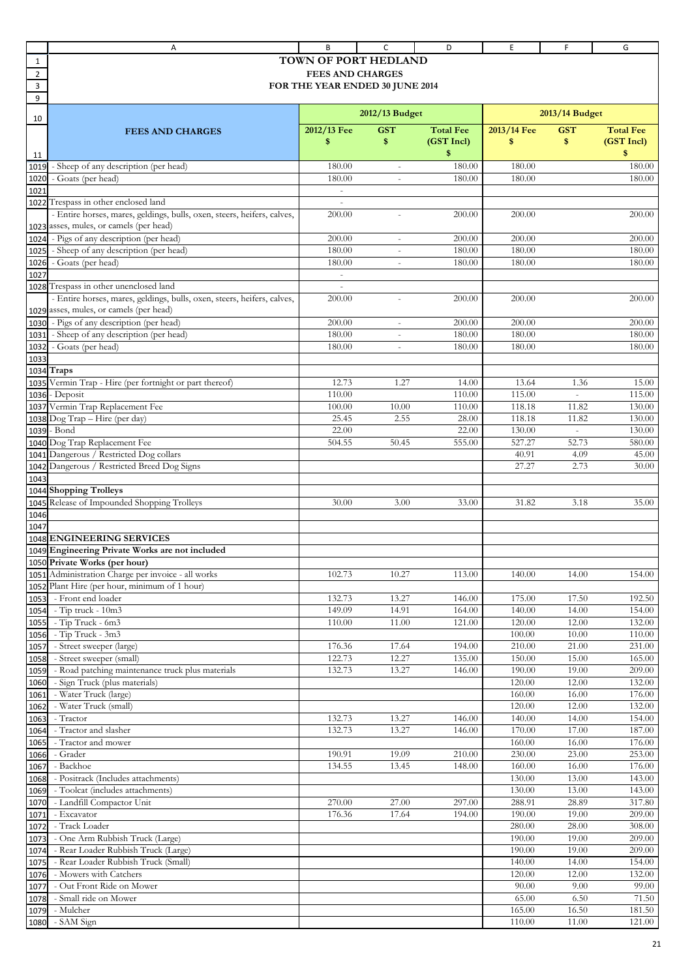|                | Α                                                                        | B                               | C                        | D                | Ε                | F              | G                |
|----------------|--------------------------------------------------------------------------|---------------------------------|--------------------------|------------------|------------------|----------------|------------------|
| 1              |                                                                          | TOWN OF PORT HEDLAND            |                          |                  |                  |                |                  |
| $\overline{2}$ |                                                                          | <b>FEES AND CHARGES</b>         |                          |                  |                  |                |                  |
| 3              |                                                                          | FOR THE YEAR ENDED 30 JUNE 2014 |                          |                  |                  |                |                  |
| 9              |                                                                          |                                 |                          |                  |                  |                |                  |
| 10             |                                                                          |                                 | 2012/13 Budget           |                  |                  | 2013/14 Budget |                  |
|                | <b>FEES AND CHARGES</b>                                                  | 2012/13 Fee                     | <b>GST</b>               | <b>Total Fee</b> | 2013/14 Fee      | <b>GST</b>     | <b>Total Fee</b> |
|                |                                                                          | \$                              | \$                       | (GST Incl)       | \$               | \$             | (GST Incl)       |
| 11             |                                                                          |                                 |                          | \$               |                  |                | \$               |
| 1019           | - Sheep of any description (per head)                                    | 180.00                          |                          | 180.00           | 180.00           |                | 180.00           |
| 1020           | - Goats (per head)                                                       | 180.00                          | $\overline{\phantom{a}}$ | 180.00           | 180.00           |                | 180.00           |
| 1021           |                                                                          | $\blacksquare$                  |                          |                  |                  |                |                  |
|                | 1022 Trespass in other enclosed land                                     | $\sim$                          |                          |                  |                  |                |                  |
|                | - Entire horses, mares, geldings, bulls, oxen, steers, heifers, calves,  | 200.00                          |                          | 200.00           | 200.00           |                | 200.00           |
|                | 1023 asses, mules, or camels (per head)                                  |                                 |                          |                  |                  |                |                  |
|                | 1024 - Pigs of any description (per head)                                | 200.00                          | $\overline{\phantom{a}}$ | 200.00           | 200.00           |                | 200.00           |
| 1025           | - Sheep of any description (per head)                                    | 180.00                          |                          | 180.00           | 180.00           |                | 180.00           |
| 1026           | - Goats (per head)                                                       | 180.00                          |                          | 180.00           | 180.00           |                | 180.00           |
| 1027           |                                                                          | $\blacksquare$                  |                          |                  |                  |                |                  |
|                | 1028 Trespass in other unenclosed land                                   | $\sim$                          |                          |                  |                  |                |                  |
|                | - Entire horses, mares, geldings, bulls, oxen, steers, heifers, calves,  | 200.00                          |                          | 200.00           | 200.00           |                | 200.00           |
|                | 1029 asses, mules, or camels (per head)                                  |                                 |                          |                  |                  |                |                  |
|                | 1030 - Pigs of any description (per head)                                | 200.00                          | $\overline{\phantom{a}}$ | 200.00           | 200.00           |                | 200.00           |
|                | 1031 - Sheep of any description (per head)<br>- Goats (per head)         | 180.00<br>180.00                | $\overline{\phantom{a}}$ | 180.00<br>180.00 | 180.00<br>180.00 |                | 180.00<br>180.00 |
| 1032           |                                                                          |                                 |                          |                  |                  |                |                  |
| 1033           | 1034 Traps                                                               |                                 |                          |                  |                  |                |                  |
|                | 1035 Vermin Trap - Hire (per fortnight or part thereof)                  | 12.73                           | 1.27                     | 14.00            | 13.64            | 1.36           | 15.00            |
|                | 1036 - Deposit                                                           | 110.00                          |                          | 110.00           | 115.00           | ÷.             | 115.00           |
| 1037           | Vermin Trap Replacement Fee                                              | 100.00                          | 10.00                    | 110.00           | 118.18           | 11.82          | 130.00           |
|                | 1038 Dog Trap - Hire (per day)                                           | 25.45                           | 2.55                     | 28.00            | 118.18           | 11.82          | 130.00           |
|                | 1039 - Bond                                                              | 22.00                           |                          | 22.00            | 130.00           | $\equiv$       | 130.00           |
|                | 1040 Dog Trap Replacement Fee                                            | 504.55                          | 50.45                    | 555.00           | 527.27           | 52.73          | 580.00           |
|                | 1041 Dangerous / Restricted Dog collars                                  |                                 |                          |                  | 40.91            | 4.09           | 45.00            |
|                | 1042 Dangerous / Restricted Breed Dog Signs                              |                                 |                          |                  | 27.27            | 2.73           | 30.00            |
| 1043           |                                                                          |                                 |                          |                  |                  |                |                  |
|                | 1044 Shopping Trolleys                                                   |                                 |                          |                  |                  |                |                  |
|                | 1045 Release of Impounded Shopping Trolleys                              | 30.00                           | 3.00                     | 33.00            | 31.82            | 3.18           | 35.00            |
| 1046           |                                                                          |                                 |                          |                  |                  |                |                  |
| 1047           |                                                                          |                                 |                          |                  |                  |                |                  |
|                | 1048 ENGINEERING SERVICES                                                |                                 |                          |                  |                  |                |                  |
|                | 1049 Engineering Private Works are not included                          |                                 |                          |                  |                  |                |                  |
|                | 1050 Private Works (per hour)                                            |                                 |                          |                  |                  |                |                  |
|                | 1051 Administration Charge per invoice - all works                       | 102.73                          | 10.27                    | 113.00           | 140.00           | 14.00          | 154.00           |
|                | 1052 Plant Hire (per hour, minimum of 1 hour)<br>1053 - Front end loader | 132.73                          | 13.27                    | 146.00           | 175.00           | 17.50          | 192.50           |
|                | 1054 - Tip truck - 10m3                                                  | 149.09                          | 14.91                    | 164.00           | 140.00           | 14.00          | 154.00           |
| 1055           | - Tip Truck - 6m3                                                        | 110.00                          | 11.00                    | 121.00           | 120.00           | 12.00          | 132.00           |
|                | 1056 - Tip Truck - 3m3                                                   |                                 |                          |                  | 100.00           | 10.00          | 110.00           |
| 1057           | - Street sweeper (large)                                                 | 176.36                          | 17.64                    | 194.00           | 210.00           | 21.00          | 231.00           |
| 1058           | - Street sweeper (small)                                                 | 122.73                          | 12.27                    | 135.00           | 150.00           | 15.00          | 165.00           |
| 1059           | - Road patching maintenance truck plus materials                         | 132.73                          | 13.27                    | 146.00           | 190.00           | 19.00          | 209.00           |
| 1060           | - Sign Truck (plus materials)                                            |                                 |                          |                  | 120.00           | 12.00          | 132.00           |
| 1061           | - Water Truck (large)                                                    |                                 |                          |                  | 160.00           | 16.00          | 176.00           |
| 1062           | - Water Truck (small)                                                    |                                 |                          |                  | 120.00           | 12.00          | 132.00           |
| 1063           | - Tractor                                                                | 132.73                          | 13.27                    | 146.00           | 140.00           | 14.00          | 154.00           |
| 1064           | - Tractor and slasher                                                    | 132.73                          | 13.27                    | 146.00           | 170.00           | 17.00          | 187.00           |
| 1065           | - Tractor and mower                                                      |                                 |                          |                  | 160.00           | 16.00          | 176.00           |
| 1066           | - Grader                                                                 | 190.91                          | 19.09                    | 210.00           | 230.00           | 23.00          | 253.00           |
| 1067           | - Backhoe                                                                | 134.55                          | 13.45                    | 148.00           | 160.00           | 16.00          | 176.00           |
| 1068           | - Positrack (Includes attachments)                                       |                                 |                          |                  | 130.00           | 13.00          | 143.00           |
| 1069           | - Toolcat (includes attachments)                                         |                                 |                          |                  | 130.00           | 13.00          | 143.00           |
| 1070           | - Landfill Compactor Unit                                                | 270.00                          | 27.00                    | 297.00           | 288.91           | 28.89          | 317.80           |
| 1071           | - Excavator                                                              | 176.36                          | 17.64                    | 194.00           | 190.00           | 19.00          | 209.00           |
| 1072           | - Track Loader<br>- One Arm Rubbish Truck (Large)                        |                                 |                          |                  | 280.00<br>190.00 | 28.00<br>19.00 | 308.00           |
| 1073           | - Rear Loader Rubbish Truck (Large)                                      |                                 |                          |                  | 190.00           | 19.00          | 209.00           |
| 1074           | - Rear Loader Rubbish Truck (Small)                                      |                                 |                          |                  | 140.00           | 14.00          | 209.00<br>154.00 |
| 1075<br>1076   | - Mowers with Catchers                                                   |                                 |                          |                  | 120.00           | 12.00          | 132.00           |
| 1077           | - Out Front Ride on Mower                                                |                                 |                          |                  | 90.00            | 9.00           | 99.00            |
| 1078           | - Small ride on Mower                                                    |                                 |                          |                  | 65.00            | 6.50           | 71.50            |
| 1079           | - Mulcher                                                                |                                 |                          |                  | 165.00           | 16.50          | 181.50           |
| 1080           | - SAM Sign                                                               |                                 |                          |                  | 110.00           | 11.00          | 121.00           |
|                |                                                                          |                                 |                          |                  |                  |                |                  |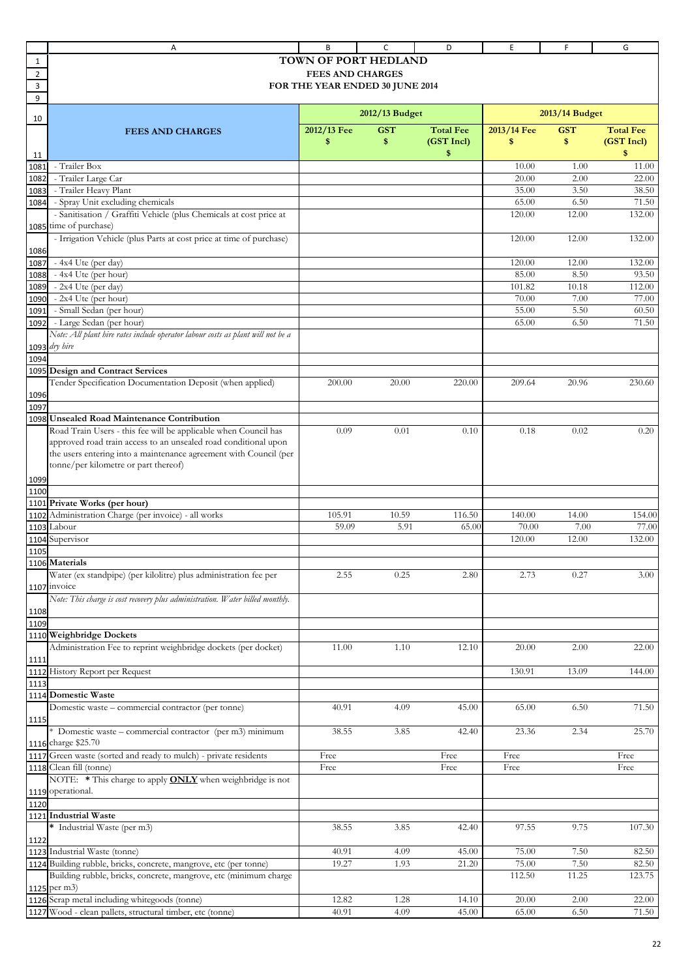|              | Α                                                                                                                                    | В                               | C                | D                | Ε               | F              | G                |
|--------------|--------------------------------------------------------------------------------------------------------------------------------------|---------------------------------|------------------|------------------|-----------------|----------------|------------------|
| 1            |                                                                                                                                      | TOWN OF PORT HEDLAND            |                  |                  |                 |                |                  |
| 2            |                                                                                                                                      | <b>FEES AND CHARGES</b>         |                  |                  |                 |                |                  |
| 3            |                                                                                                                                      | FOR THE YEAR ENDED 30 JUNE 2014 |                  |                  |                 |                |                  |
| 9            |                                                                                                                                      |                                 |                  |                  |                 |                |                  |
| 10           |                                                                                                                                      |                                 | $2012/13$ Budget |                  |                 | 2013/14 Budget |                  |
|              | <b>FEES AND CHARGES</b>                                                                                                              | 2012/13 Fee                     | <b>GST</b>       | <b>Total Fee</b> | 2013/14 Fee     | <b>GST</b>     | <b>Total Fee</b> |
|              |                                                                                                                                      | \$                              | \$               | (GST Incl)       | \$              | \$             | (GST Incl)       |
| 11           |                                                                                                                                      |                                 |                  | \$               |                 |                | \$               |
| 1081         | - Trailer Box                                                                                                                        |                                 |                  |                  | 10.00           | 1.00           | 11.00            |
| 1082         | - Trailer Large Car                                                                                                                  |                                 |                  |                  | 20.00           | 2.00           | 22.00            |
| 1083         | - Trailer Heavy Plant                                                                                                                |                                 |                  |                  | 35.00           | 3.50           | 38.50            |
| 1084         | - Spray Unit excluding chemicals                                                                                                     |                                 |                  |                  | 65.00           | 6.50           | 71.50            |
|              | - Sanitisation / Graffiti Vehicle (plus Chemicals at cost price at                                                                   |                                 |                  |                  | 120.00          | 12.00          | 132.00           |
|              | 1085 time of purchase)                                                                                                               |                                 |                  |                  |                 |                |                  |
|              | - Irrigation Vehicle (plus Parts at cost price at time of purchase)                                                                  |                                 |                  |                  | 120.00          | 12.00          | 132.00           |
| 1086         |                                                                                                                                      |                                 |                  |                  |                 |                |                  |
| 1087         | - 4x4 Ute (per day)                                                                                                                  |                                 |                  |                  | 120.00<br>85.00 | 12.00<br>8.50  | 132.00<br>93.50  |
| 1088<br>1089 | - 4x4 Ute (per hour)<br>$-2x4$ Ute (per day)                                                                                         |                                 |                  |                  | 101.82          | 10.18          | 112.00           |
| 1090         | - 2x4 Ute (per hour)                                                                                                                 |                                 |                  |                  | 70.00           | 7.00           | 77.00            |
| 1091         | - Small Sedan (per hour)                                                                                                             |                                 |                  |                  | 55.00           | 5.50           | 60.50            |
| 1092         | - Large Sedan (per hour)                                                                                                             |                                 |                  |                  | 65.00           | 6.50           | 71.50            |
|              | Note: All plant hire rates include operator labour costs as plant will not be a                                                      |                                 |                  |                  |                 |                |                  |
|              | 1093 dry hire                                                                                                                        |                                 |                  |                  |                 |                |                  |
| 1094         |                                                                                                                                      |                                 |                  |                  |                 |                |                  |
|              | 1095 Design and Contract Services                                                                                                    |                                 |                  |                  |                 |                |                  |
|              | Tender Specification Documentation Deposit (when applied)                                                                            | 200.00                          | 20.00            | 220.00           | 209.64          | 20.96          | 230.60           |
| 1096         |                                                                                                                                      |                                 |                  |                  |                 |                |                  |
| 1097         |                                                                                                                                      |                                 |                  |                  |                 |                |                  |
|              | 1098 Unsealed Road Maintenance Contribution                                                                                          |                                 |                  |                  |                 |                |                  |
|              | Road Train Users - this fee will be applicable when Council has                                                                      | 0.09                            | 0.01             | 0.10             | 0.18            | 0.02           | 0.20             |
|              | approved road train access to an unsealed road conditional upon<br>the users entering into a maintenance agreement with Council (per |                                 |                  |                  |                 |                |                  |
|              | tonne/per kilometre or part thereof)                                                                                                 |                                 |                  |                  |                 |                |                  |
|              |                                                                                                                                      |                                 |                  |                  |                 |                |                  |
| 1099<br>1100 |                                                                                                                                      |                                 |                  |                  |                 |                |                  |
|              | 1101 Private Works (per hour)                                                                                                        |                                 |                  |                  |                 |                |                  |
| 1102         | Administration Charge (per invoice) - all works                                                                                      | 105.91                          | 10.59            | 116.50           | 140.00          | 14.00          | 154.00           |
| 1103         | Labour                                                                                                                               | 59.09                           | 5.91             | 65.00            | 70.00           | 7.00           | 77.00            |
|              | 1104 Supervisor                                                                                                                      |                                 |                  |                  | 120.00          | 12.00          | 132.00           |
| 1105         |                                                                                                                                      |                                 |                  |                  |                 |                |                  |
|              | 1106 Materials                                                                                                                       |                                 |                  |                  |                 |                |                  |
|              | Water (ex standpipe) (per kilolitre) plus administration fee per                                                                     | 2.55                            | 0.25             | 2.80             | 2.73            | 0.27           | 3.00             |
|              | 1107 invoice                                                                                                                         |                                 |                  |                  |                 |                |                  |
|              | Note: This charge is cost recovery plus administration. Water billed monthly.                                                        |                                 |                  |                  |                 |                |                  |
| 1108<br>1109 |                                                                                                                                      |                                 |                  |                  |                 |                |                  |
|              | 1110 Weighbridge Dockets                                                                                                             |                                 |                  |                  |                 |                |                  |
|              | Administration Fee to reprint weighbridge dockets (per docket)                                                                       | 11.00                           | 1.10             | 12.10            | 20.00           | 2.00           | 22.00            |
| 1111         |                                                                                                                                      |                                 |                  |                  |                 |                |                  |
|              | 1112 History Report per Request                                                                                                      |                                 |                  |                  | 130.91          | 13.09          | 144.00           |
| 1113         |                                                                                                                                      |                                 |                  |                  |                 |                |                  |
|              | 1114 Domestic Waste                                                                                                                  |                                 |                  |                  |                 |                |                  |
|              | Domestic waste - commercial contractor (per tonne)                                                                                   | 40.91                           | 4.09             | 45.00            | 65.00           | 6.50           | 71.50            |
| 1115         |                                                                                                                                      |                                 |                  |                  |                 |                |                  |
|              | * Domestic waste - commercial contractor (per m3) minimum                                                                            | 38.55                           | 3.85             | 42.40            | 23.36           | 2.34           | 25.70            |
|              | 1116 charge \$25.70                                                                                                                  |                                 |                  |                  |                 |                |                  |
|              | 1117 Green waste (sorted and ready to mulch) - private residents                                                                     | Free                            |                  | Free             | Free            |                | Free             |
| 1118         | Clean fill (tonne)                                                                                                                   | Free                            |                  | Free             | Free            |                | Free             |
|              | NOTE: * This charge to apply <b>ONLY</b> when weighbridge is not<br>1119 operational.                                                |                                 |                  |                  |                 |                |                  |
| 1120         |                                                                                                                                      |                                 |                  |                  |                 |                |                  |
|              | 1121 Industrial Waste                                                                                                                |                                 |                  |                  |                 |                |                  |
|              | * Industrial Waste (per m3)                                                                                                          | 38.55                           | 3.85             | 42.40            | 97.55           | 9.75           | 107.30           |
| 1122         |                                                                                                                                      |                                 |                  |                  |                 |                |                  |
|              | 1123 Industrial Waste (tonne)                                                                                                        | 40.91                           | 4.09             | 45.00            | 75.00           | 7.50           | 82.50            |
|              | 1124 Building rubble, bricks, concrete, mangrove, etc (per tonne)                                                                    | 19.27                           | 1.93             | 21.20            | 75.00           | 7.50           | 82.50            |
|              | Building rubble, bricks, concrete, mangrove, etc (minimum charge                                                                     |                                 |                  |                  | 112.50          | 11.25          | 123.75           |
|              | 1125 per m3)                                                                                                                         |                                 |                  |                  |                 |                |                  |
|              | 1126 Scrap metal including whitegoods (tonne)                                                                                        | 12.82                           | 1.28             | 14.10            | 20.00           | 2.00           | 22.00            |
|              | 1127 Wood - clean pallets, structural timber, etc (tonne)                                                                            | 40.91                           | 4.09             | 45.00            | 65.00           | 6.50           | 71.50            |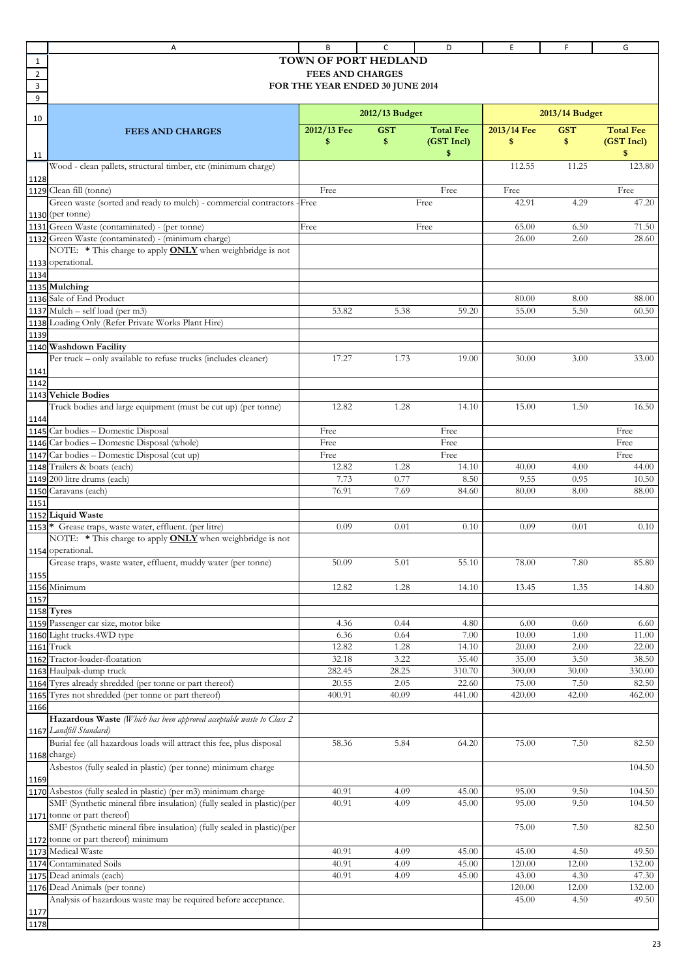|      | Α                                                                                                                      | В                               | c                | D                | Ε               | F              | G                |
|------|------------------------------------------------------------------------------------------------------------------------|---------------------------------|------------------|------------------|-----------------|----------------|------------------|
| 1    |                                                                                                                        | <b>TOWN OF PORT HEDLAND</b>     |                  |                  |                 |                |                  |
| 2    |                                                                                                                        | <b>FEES AND CHARGES</b>         |                  |                  |                 |                |                  |
| 3    |                                                                                                                        | FOR THE YEAR ENDED 30 JUNE 2014 |                  |                  |                 |                |                  |
| 9    |                                                                                                                        |                                 |                  |                  |                 |                |                  |
| 10   |                                                                                                                        |                                 | $2012/13$ Budget |                  |                 | 2013/14 Budget |                  |
|      | <b>FEES AND CHARGES</b>                                                                                                | 2012/13 Fee                     | <b>GST</b>       | <b>Total Fee</b> | 2013/14 Fee     | <b>GST</b>     | <b>Total Fee</b> |
|      |                                                                                                                        | \$                              | \$               | (GST Incl)       | \$              | \$             | (GST Incl)       |
| 11   |                                                                                                                        |                                 |                  | \$               |                 |                | \$               |
|      | Wood - clean pallets, structural timber, etc (minimum charge)                                                          |                                 |                  |                  | 112.55          | 11.25          | 123.80           |
| 1128 |                                                                                                                        |                                 |                  |                  |                 |                |                  |
|      | 1129 Clean fill (tonne)                                                                                                | Free                            |                  | Free             | Free            |                | Free             |
|      | Green waste (sorted and ready to mulch) - commercial contractors - Free                                                |                                 |                  | Free             | 42.91           | 4.29           | 47.20            |
|      | 1130 (per tonne)                                                                                                       |                                 |                  |                  |                 |                |                  |
|      | 1131 Green Waste (contaminated) - (per tonne)                                                                          | Free                            |                  | Free             | 65.00           | 6.50           | 71.50            |
|      | 1132 Green Waste (contaminated) - (minimum charge)<br>NOTE: * This charge to apply <b>ONLY</b> when weighbridge is not |                                 |                  |                  | 26.00           | 2.60           | 28.60            |
|      | 1133 operational.                                                                                                      |                                 |                  |                  |                 |                |                  |
| 1134 |                                                                                                                        |                                 |                  |                  |                 |                |                  |
|      | 1135 Mulching                                                                                                          |                                 |                  |                  |                 |                |                  |
|      | 1136 Sale of End Product                                                                                               |                                 |                  |                  | 80.00           | 8.00           | 88.00            |
|      | 1137 Mulch - self load (per m3)                                                                                        | 53.82                           | 5.38             | 59.20            | 55.00           | 5.50           | 60.50            |
|      | 1138 Loading Only (Refer Private Works Plant Hire)                                                                     |                                 |                  |                  |                 |                |                  |
| 1139 |                                                                                                                        |                                 |                  |                  |                 |                |                  |
|      | 1140 Washdown Facility                                                                                                 |                                 |                  |                  |                 |                |                  |
|      | Per truck - only available to refuse trucks (includes cleaner)                                                         | 17.27                           | 1.73             | 19.00            | 30.00           | 3.00           | 33.00            |
| 1141 |                                                                                                                        |                                 |                  |                  |                 |                |                  |
| 1142 | 1143 Vehicle Bodies                                                                                                    |                                 |                  |                  |                 |                |                  |
|      | Truck bodies and large equipment (must be cut up) (per tonne)                                                          | 12.82                           | 1.28             | 14.10            | 15.00           | 1.50           | 16.50            |
| 1144 |                                                                                                                        |                                 |                  |                  |                 |                |                  |
|      | 1145 Car bodies - Domestic Disposal                                                                                    | Free                            |                  | Free             |                 |                | Free             |
|      | 1146 Car bodies - Domestic Disposal (whole)                                                                            | Free                            |                  | Free             |                 |                | Free             |
|      | 1147 Car bodies - Domestic Disposal (cut up)                                                                           | Free                            |                  | Free             |                 |                | Free             |
|      | 1148 Trailers & boats (each)                                                                                           | 12.82                           | 1.28             | 14.10            | 40.00           | 4.00           | 44.00            |
|      | 1149 200 litre drums (each)                                                                                            | 7.73                            | 0.77             | 8.50             | 9.55            | 0.95           | 10.50            |
|      | 1150 Caravans (each)                                                                                                   | 76.91                           | 7.69             | 84.60            | 80.00           | 8.00           | 88.00            |
| 1151 |                                                                                                                        |                                 |                  |                  |                 |                |                  |
|      | 1152 Liquid Waste                                                                                                      |                                 |                  |                  |                 |                |                  |
|      | 1153 * Grease traps, waste water, effluent. (per litre)                                                                | 0.09                            | 0.01             | 0.10             | 0.09            | 0.01           | 0.10             |
|      | NOTE: * This charge to apply <b>ONLY</b> when weighbridge is not<br>1154 operational.                                  |                                 |                  |                  |                 |                |                  |
|      | Grease traps, waste water, effluent, muddy water (per tonne)                                                           | 50.09                           | 5.01             | 55.10            | 78.00           | 7.80           | 85.80            |
| 1155 |                                                                                                                        |                                 |                  |                  |                 |                |                  |
|      | 1156 Minimum                                                                                                           | 12.82                           | 1.28             | 14.10            | 13.45           | 1.35           | 14.80            |
| 1157 |                                                                                                                        |                                 |                  |                  |                 |                |                  |
|      | 1158 Tyres                                                                                                             |                                 |                  |                  |                 |                |                  |
|      | 1159 Passenger car size, motor bike                                                                                    | 4.36                            | 0.44             | 4.80             | 6.00            | 0.60           | 6.60             |
|      | 1160 Light trucks.4WD type                                                                                             | 6.36                            | 0.64             | 7.00             | 10.00           | 1.00           | 11.00            |
|      | 1161 Truck                                                                                                             | 12.82                           | 1.28             | 14.10            | 20.00           | 2.00           | 22.00            |
|      | 1162 Tractor-loader-floatation                                                                                         | 32.18                           | 3.22             | 35.40            | 35.00           | 3.50           | 38.50            |
|      | 1163 Haulpak-dump truck                                                                                                | 282.45                          | 28.25            | 310.70           | 300.00          | 30.00          | 330.00           |
|      | 1164 Tyres already shredded (per tonne or part thereof)                                                                | 20.55                           | 2.05             | 22.60<br>441.00  | 75.00<br>420.00 | 7.50<br>42.00  | 82.50            |
| 1166 | 1165 Tyres not shredded (per tonne or part thereof)                                                                    | 400.91                          | 40.09            |                  |                 |                | 462.00           |
|      | Hazardous Waste (Which has been approved acceptable waste to Class 2                                                   |                                 |                  |                  |                 |                |                  |
|      | 1167 Landfill Standard)                                                                                                |                                 |                  |                  |                 |                |                  |
|      | Burial fee (all hazardous loads will attract this fee, plus disposal                                                   | 58.36                           | 5.84             | 64.20            | 75.00           | 7.50           | 82.50            |
|      | 1168 charge)                                                                                                           |                                 |                  |                  |                 |                |                  |
|      | Asbestos (fully sealed in plastic) (per tonne) minimum charge                                                          |                                 |                  |                  |                 |                | 104.50           |
| 1169 |                                                                                                                        |                                 |                  |                  |                 |                |                  |
|      | 1170 Asbestos (fully sealed in plastic) (per m3) minimum charge                                                        | 40.91                           | 4.09             | 45.00            | 95.00           | 9.50           | 104.50           |
|      | SMF (Synthetic mineral fibre insulation) (fully sealed in plastic)(per                                                 | 40.91                           | 4.09             | 45.00            | 95.00           | 9.50           | 104.50           |
|      | 1171 tonne or part thereof)                                                                                            |                                 |                  |                  |                 |                |                  |
|      | SMF (Synthetic mineral fibre insulation) (fully sealed in plastic)(per                                                 |                                 |                  |                  | 75.00           | 7.50           | 82.50            |
| 1172 | tonne or part thereof) minimum                                                                                         |                                 |                  |                  |                 |                |                  |
| 1173 | Medical Waste<br>1174 Contaminated Soils                                                                               | 40.91<br>40.91                  | 4.09<br>4.09     | 45.00<br>45.00   | 45.00<br>120.00 | 4.50<br>12.00  | 49.50<br>132.00  |
|      | 1175 Dead animals (each)                                                                                               | 40.91                           | 4.09             | 45.00            | 43.00           | 4.30           | 47.30            |
|      | 1176 Dead Animals (per tonne)                                                                                          |                                 |                  |                  | 120.00          | 12.00          | 132.00           |
|      | Analysis of hazardous waste may be required before acceptance.                                                         |                                 |                  |                  | 45.00           | 4.50           | 49.50            |
| 1177 |                                                                                                                        |                                 |                  |                  |                 |                |                  |
| 1178 |                                                                                                                        |                                 |                  |                  |                 |                |                  |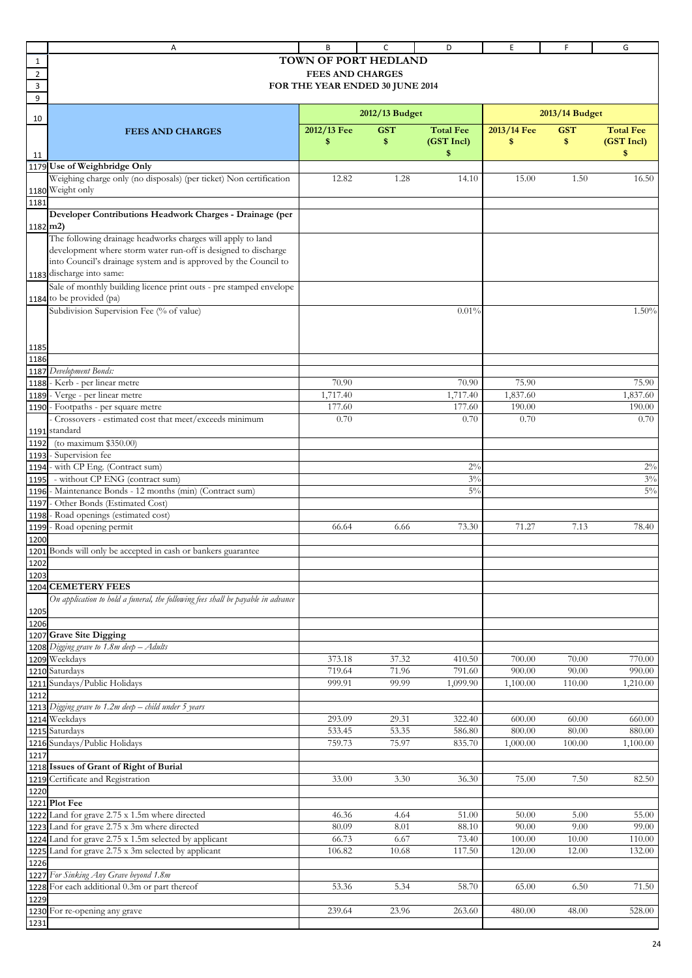|          | Α                                                                                | B                       | с                               | D                | E                 | F              | G                |
|----------|----------------------------------------------------------------------------------|-------------------------|---------------------------------|------------------|-------------------|----------------|------------------|
| 1        |                                                                                  |                         | <b>TOWN OF PORT HEDLAND</b>     |                  |                   |                |                  |
| 2        |                                                                                  | <b>FEES AND CHARGES</b> |                                 |                  |                   |                |                  |
| 3        |                                                                                  |                         | FOR THE YEAR ENDED 30 JUNE 2014 |                  |                   |                |                  |
| 9        |                                                                                  |                         |                                 |                  |                   |                |                  |
|          |                                                                                  |                         | 2012/13 Budget                  |                  |                   | 2013/14 Budget |                  |
| 10       |                                                                                  |                         |                                 | <b>Total Fee</b> |                   | <b>GST</b>     | <b>Total Fee</b> |
|          | <b>FEES AND CHARGES</b>                                                          | 2012/13 Fee<br>\$       | <b>GST</b><br>\$                | (GST Incl)       | 2013/14 Fee<br>\$ | \$             | (GST Incl)       |
| 11       |                                                                                  |                         |                                 | \$               |                   |                | \$               |
|          | 1179 Use of Weighbridge Only                                                     |                         |                                 |                  |                   |                |                  |
|          | Weighing charge only (no disposals) (per ticket) Non certification               | 12.82                   | 1.28                            | 14.10            | 15.00             | 1.50           | 16.50            |
|          | 1180 Weight only                                                                 |                         |                                 |                  |                   |                |                  |
| 1181     |                                                                                  |                         |                                 |                  |                   |                |                  |
|          | Developer Contributions Headwork Charges - Drainage (per                         |                         |                                 |                  |                   |                |                  |
| 1182 m2) |                                                                                  |                         |                                 |                  |                   |                |                  |
|          | The following drainage headworks charges will apply to land                      |                         |                                 |                  |                   |                |                  |
|          | development where storm water run-off is designed to discharge                   |                         |                                 |                  |                   |                |                  |
|          | into Council's drainage system and is approved by the Council to                 |                         |                                 |                  |                   |                |                  |
| 1183     | discharge into same:                                                             |                         |                                 |                  |                   |                |                  |
|          | Sale of monthly building licence print outs - pre stamped envelope               |                         |                                 |                  |                   |                |                  |
|          | 1184 to be provided (pa)                                                         |                         |                                 |                  |                   |                |                  |
|          | Subdivision Supervision Fee (% of value)                                         |                         |                                 | 0.01%            |                   |                | 1.50%            |
|          |                                                                                  |                         |                                 |                  |                   |                |                  |
|          |                                                                                  |                         |                                 |                  |                   |                |                  |
| 1185     |                                                                                  |                         |                                 |                  |                   |                |                  |
| 1186     |                                                                                  |                         |                                 |                  |                   |                |                  |
| 1187     | Development Bonds:                                                               |                         |                                 |                  |                   |                |                  |
|          | 1188 - Kerb - per linear metre                                                   | 70.90                   |                                 | 70.90            | 75.90             |                | 75.90            |
| 1189     | - Verge - per linear metre                                                       | 1,717.40                |                                 | 1,717.40         | 1,837.60          |                | 1,837.60         |
|          | 1190 - Footpaths - per square metre                                              | 177.60                  |                                 | 177.60           | 190.00            |                | 190.00           |
|          | Crossovers - estimated cost that meet/exceeds minimum                            | 0.70                    |                                 | 0.70             | 0.70              |                | 0.70             |
|          | 1191 standard                                                                    |                         |                                 |                  |                   |                |                  |
| 1192     | (to maximum $$350.00$ )                                                          |                         |                                 |                  |                   |                |                  |
| 1193     | - Supervision fee                                                                |                         |                                 |                  |                   |                |                  |
|          | 1194 - with CP Eng. (Contract sum)                                               |                         |                                 | $2\%$            |                   |                | $2\%$            |
| 1195     | - without CP ENG (contract sum)                                                  |                         |                                 | 3%               |                   |                | 3%               |
| 1196     | - Maintenance Bonds - 12 months (min) (Contract sum)                             |                         |                                 | $5\%$            |                   |                | $5\%$            |
| 1197     | - Other Bonds (Estimated Cost)                                                   |                         |                                 |                  |                   |                |                  |
| 1198     | - Road openings (estimated cost)                                                 |                         |                                 |                  |                   |                |                  |
| 1199     | - Road opening permit                                                            | 66.64                   | 6.66                            | 73.30            | 71.27             | 7.13           | 78.40            |
| 1200     |                                                                                  |                         |                                 |                  |                   |                |                  |
|          | 1201 Bonds will only be accepted in cash or bankers guarantee                    |                         |                                 |                  |                   |                |                  |
| 1202     |                                                                                  |                         |                                 |                  |                   |                |                  |
| 1203     |                                                                                  |                         |                                 |                  |                   |                |                  |
|          | 1204 CEMETERY FEES                                                               |                         |                                 |                  |                   |                |                  |
|          | On application to hold a funeral, the following fees shall be payable in advance |                         |                                 |                  |                   |                |                  |
| 1205     |                                                                                  |                         |                                 |                  |                   |                |                  |
| 1206     | 1207 Grave Site Digging                                                          |                         |                                 |                  |                   |                |                  |
|          | 1208 Digging grave to 1.8m deep - Adults                                         |                         |                                 |                  |                   |                |                  |
|          | 1209 Weekdays                                                                    | 373.18                  | 37.32                           | 410.50           | 700.00            | 70.00          | 770.00           |
|          | 1210 Saturdays                                                                   | 719.64                  | 71.96                           | 791.60           | 900.00            | 90.00          | 990.00           |
|          | 1211 Sundays/Public Holidays                                                     | 999.91                  | 99.99                           | 1,099.90         | 1,100.00          | 110.00         | 1,210.00         |
| 1212     |                                                                                  |                         |                                 |                  |                   |                |                  |
|          | 1213 Digging grave to 1.2m deep - child under 5 years                            |                         |                                 |                  |                   |                |                  |
|          | 1214 Weekdays                                                                    | 293.09                  | 29.31                           | 322.40           | 600.00            | 60.00          | 660.00           |
|          | 1215 Saturdays                                                                   | 533.45                  | 53.35                           | 586.80           | 800.00            | 80.00          | 880.00           |
|          | 1216 Sundays/Public Holidays                                                     | 759.73                  | 75.97                           | 835.70           | 1,000.00          | 100.00         | 1,100.00         |
| 1217     |                                                                                  |                         |                                 |                  |                   |                |                  |
|          | 1218 Issues of Grant of Right of Burial                                          |                         |                                 |                  |                   |                |                  |
| 1219     | Certificate and Registration                                                     | 33.00                   | 3.30                            | 36.30            | 75.00             | 7.50           | 82.50            |
| 1220     |                                                                                  |                         |                                 |                  |                   |                |                  |
|          | 1221 Plot Fee                                                                    |                         |                                 |                  |                   |                |                  |
|          | 1222 Land for grave 2.75 x 1.5m where directed                                   | 46.36                   | 4.64                            | 51.00            | 50.00             | 5.00           | 55.00            |
|          | 1223 Land for grave 2.75 x 3m where directed                                     | 80.09                   | 8.01                            | 88.10            | 90.00             | 9.00           | 99.00            |
|          | 1224 Land for grave 2.75 x 1.5m selected by applicant                            | 66.73                   | 6.67                            | 73.40            | 100.00            | 10.00          | 110.00           |
|          | 1225 Land for grave 2.75 x 3m selected by applicant                              | 106.82                  | 10.68                           | 117.50           | 120.00            | 12.00          | 132.00           |
| 1226     |                                                                                  |                         |                                 |                  |                   |                |                  |
|          | 1227 For Sinking Any Grave beyond 1.8m                                           |                         |                                 |                  |                   |                |                  |
| 1228     | For each additional 0.3m or part thereof                                         | 53.36                   | 5.34                            | 58.70            | 65.00             | 6.50           | 71.50            |
| 1229     |                                                                                  |                         |                                 |                  |                   |                |                  |
|          | 1230 For re-opening any grave                                                    | 239.64                  | 23.96                           | 263.60           | 480.00            | 48.00          | 528.00           |
| 1231     |                                                                                  |                         |                                 |                  |                   |                |                  |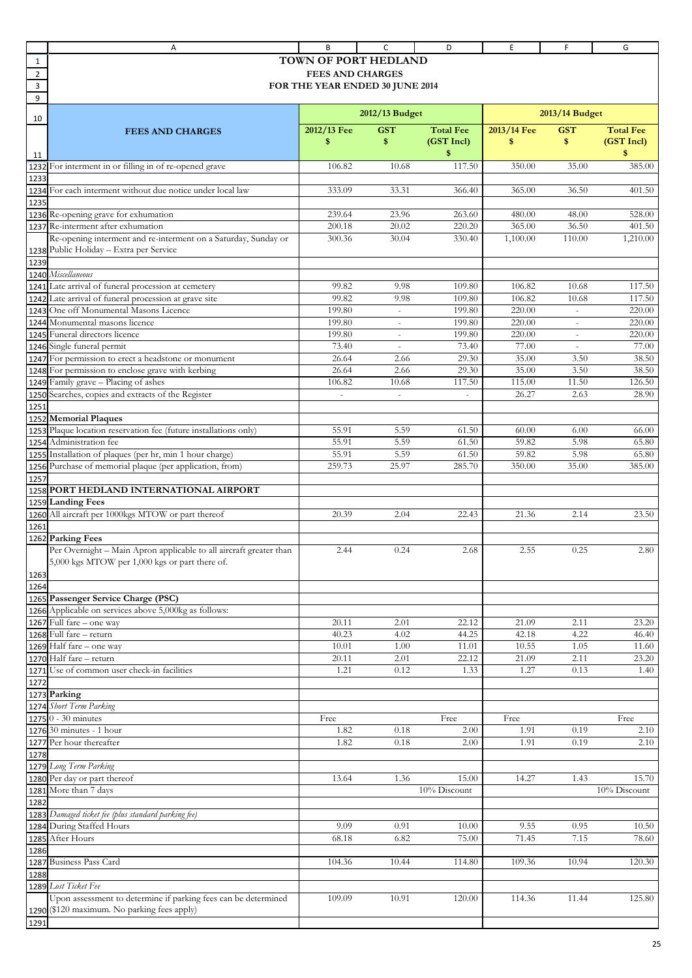|                | Α                                                                  | B                       | c                        | D                | E           | F                        | G                |  |  |
|----------------|--------------------------------------------------------------------|-------------------------|--------------------------|------------------|-------------|--------------------------|------------------|--|--|
| 1              |                                                                    | TOWN OF PORT HEDLAND    |                          |                  |             |                          |                  |  |  |
| $\overline{2}$ |                                                                    | <b>FEES AND CHARGES</b> |                          |                  |             |                          |                  |  |  |
| 3              | FOR THE YEAR ENDED 30 JUNE 2014                                    |                         |                          |                  |             |                          |                  |  |  |
| 9              |                                                                    |                         |                          |                  |             |                          |                  |  |  |
|                |                                                                    |                         |                          |                  |             |                          |                  |  |  |
| 10             |                                                                    |                         | 2012/13 Budget           |                  |             | 2013/14 Budget           |                  |  |  |
|                | <b>FEES AND CHARGES</b>                                            | 2012/13 Fee             | <b>GST</b>               | <b>Total Fee</b> | 2013/14 Fee | <b>GST</b>               | <b>Total Fee</b> |  |  |
|                |                                                                    | \$                      | \$                       | (GST Incl)       | \$          | \$                       | (GST Incl)       |  |  |
| 11             |                                                                    |                         |                          | \$               |             |                          | \$               |  |  |
| 1232           | For interment in or filling in of re-opened grave                  | 106.82                  | 10.68                    | 117.50           | 350.00      | 35.00                    | 385.00           |  |  |
| 1233           |                                                                    |                         |                          |                  |             |                          |                  |  |  |
|                | 1234 For each interment without due notice under local law         | 333.09                  | 33.31                    | 366.40           | 365.00      | 36.50                    | 401.50           |  |  |
| 1235           |                                                                    |                         |                          |                  |             |                          |                  |  |  |
|                | 1236 Re-opening grave for exhumation                               | 239.64                  | 23.96                    | 263.60           | 480.00      | 48.00                    | 528.00           |  |  |
|                | 1237 Re-interment after exhumation                                 | 200.18                  | 20.02                    | 220.20           | 365.00      | 36.50                    | 401.50           |  |  |
|                | Re-opening interment and re-interment on a Saturday, Sunday or     | 300.36                  | 30.04                    | 330.40           | 1,100.00    | 110.00                   | 1,210.00         |  |  |
| 1238           | Public Holiday - Extra per Service                                 |                         |                          |                  |             |                          |                  |  |  |
| 1239           |                                                                    |                         |                          |                  |             |                          |                  |  |  |
|                | 1240 Miscellaneous                                                 |                         |                          |                  |             |                          |                  |  |  |
| 1241           | Late arrival of funeral procession at cemetery                     | 99.82                   | 9.98                     | 109.80           | 106.82      | 10.68                    | 117.50           |  |  |
|                | 1242 Late arrival of funeral procession at grave site              | 99.82                   | 9.98                     | 109.80           | 106.82      | 10.68                    | 117.50           |  |  |
| 1243           | One off Monumental Masons Licence                                  | 199.80                  | $\overline{\phantom{a}}$ | 199.80           | 220.00      | $\overline{\phantom{a}}$ | 220.00           |  |  |
|                | 1244 Monumental masons licence                                     | 199.80                  | $\overline{\phantom{a}}$ | 199.80           | 220.00      | $\overline{\phantom{a}}$ | 220.00           |  |  |
|                | 1245 Funeral directors licence                                     | 199.80                  | $\overline{\phantom{a}}$ | 199.80           | 220.00      | $\sim$                   | 220.00           |  |  |
|                | 1246 Single funeral permit                                         | 73.40                   |                          | 73.40            | 77.00       |                          | 77.00            |  |  |
| 1247           | For permission to erect a headstone or monument                    | 26.64                   | 2.66                     | 29.30            | 35.00       | 3.50                     | 38.50            |  |  |
| 1248           | For permission to enclose grave with kerbing                       | 26.64                   | 2.66                     | 29.30            | 35.00       | 3.50                     | 38.50            |  |  |
| 1249           | Family grave - Placing of ashes                                    | 106.82                  | 10.68                    | 117.50           | 115.00      | 11.50                    | 126.50           |  |  |
|                | 1250 Searches, copies and extracts of the Register                 |                         |                          |                  | 26.27       | 2.63                     | 28.90            |  |  |
| 1251           |                                                                    |                         |                          |                  |             |                          |                  |  |  |
| 1252           | <b>Memorial Plaques</b>                                            |                         |                          |                  |             |                          |                  |  |  |
| 1253           | Plaque location reservation fee (future installations only)        | 55.91                   | 5.59                     | 61.50            | 60.00       | 6.00                     | 66.00            |  |  |
| 1254           | Administration fee                                                 | 55.91                   | 5.59                     | 61.50            | 59.82       | 5.98                     | 65.80            |  |  |
| 1255           | Installation of plaques (per hr, min 1 hour charge)                | 55.91                   | 5.59                     | 61.50            | 59.82       | 5.98                     | 65.80            |  |  |
| 1256           | Purchase of memorial plaque (per application, from)                | 259.73                  | 25.97                    | 285.70           | 350.00      | 35.00                    | 385.00           |  |  |
| 1257           |                                                                    |                         |                          |                  |             |                          |                  |  |  |
| 1258           | PORT HEDLAND INTERNATIONAL AIRPORT                                 |                         |                          |                  |             |                          |                  |  |  |
| 1259           | <b>Landing Fees</b>                                                |                         |                          |                  |             |                          |                  |  |  |
| 1260           | All aircraft per 1000kgs MTOW or part thereof                      | 20.39                   | 2.04                     | 22.43            | 21.36       | 2.14                     | 23.50            |  |  |
| 1261           |                                                                    |                         |                          |                  |             |                          |                  |  |  |
| 1262           | <b>Parking Fees</b>                                                |                         |                          |                  |             |                          |                  |  |  |
|                | Per Overnight - Main Apron applicable to all aircraft greater than | 2.44                    | 0.24                     | 2.68             | 2.55        | 0.25                     | 2.80             |  |  |
|                | 5,000 kgs MTOW per 1,000 kgs or part there of.                     |                         |                          |                  |             |                          |                  |  |  |
| 1263           |                                                                    |                         |                          |                  |             |                          |                  |  |  |
| 1264           |                                                                    |                         |                          |                  |             |                          |                  |  |  |
|                | 1265 Passenger Service Charge (PSC)                                |                         |                          |                  |             |                          |                  |  |  |
|                | 1266 Applicable on services above 5,000kg as follows:              |                         |                          |                  |             |                          |                  |  |  |
|                | 1267 Full fare - one way                                           | 20.11                   | 2.01                     | 22.12            | 21.09       | 2.11                     | 23.20            |  |  |
|                | 1268 Full fare - return                                            | 40.23                   | 4.02                     | 44.25            | 42.18       | 4.22                     | 46.40            |  |  |
|                | 1269 Half fare - one way                                           | 10.01                   | 1.00                     | 11.01            | 10.55       | 1.05                     | 11.60            |  |  |
|                | 1270 Half fare - return                                            | 20.11                   | 2.01                     | 22.12            | 21.09       | 2.11                     | 23.20            |  |  |
|                | 1271 Use of common user check-in facilities                        | 1.21                    | 0.12                     | 1.33             | 1.27        | 0.13                     | 1.40             |  |  |
| 1272           |                                                                    |                         |                          |                  |             |                          |                  |  |  |
|                | 1273 Parking                                                       |                         |                          |                  |             |                          |                  |  |  |
|                | 1274 Short Term Parking                                            |                         |                          |                  |             |                          |                  |  |  |
|                | 1275 0 - 30 minutes                                                | Free                    |                          | Free             | Free        |                          | Free             |  |  |
|                | 1276 30 minutes - 1 hour                                           | 1.82                    | 0.18                     | 2.00             | 1.91        | 0.19                     | 2.10             |  |  |
|                | 1277 Per hour thereafter                                           | 1.82                    | 0.18                     | 2.00             | 1.91        | 0.19                     | 2.10             |  |  |
| 1278           |                                                                    |                         |                          |                  |             |                          |                  |  |  |
|                | 1279 Long Term Parking                                             |                         |                          |                  |             |                          |                  |  |  |
|                | 1280 Per day or part thereof                                       | 13.64                   | 1.36                     | 15.00            | 14.27       | 1.43                     | 15.70            |  |  |
|                | 1281 More than 7 days                                              |                         |                          | 10% Discount     |             |                          | 10% Discount     |  |  |
| 1282           |                                                                    |                         |                          |                  |             |                          |                  |  |  |
|                | 1283 Damaged ticket fee (plus standard parking fee)                |                         |                          |                  |             |                          |                  |  |  |
|                | 1284 During Staffed Hours                                          | 9.09                    | 0.91                     | 10.00            | 9.55        | 0.95                     | 10.50            |  |  |
|                | 1285 After Hours                                                   | 68.18                   | 6.82                     | 75.00            | 71.45       | 7.15                     | 78.60            |  |  |
| 1286           |                                                                    |                         |                          |                  |             |                          |                  |  |  |
|                | 1287 Business Pass Card                                            | 104.36                  | 10.44                    | 114.80           | 109.36      | 10.94                    | 120.30           |  |  |
| 1288           |                                                                    |                         |                          |                  |             |                          |                  |  |  |
|                | 1289 Lost Ticket Fee                                               |                         |                          |                  |             |                          |                  |  |  |
|                | Upon assessment to determine if parking fees can be determined     | 109.09                  | 10.91                    | 120.00           | 114.36      | 11.44                    | 125.80           |  |  |
|                | 1290 (\$120 maximum. No parking fees apply)                        |                         |                          |                  |             |                          |                  |  |  |
| 1291           |                                                                    |                         |                          |                  |             |                          |                  |  |  |